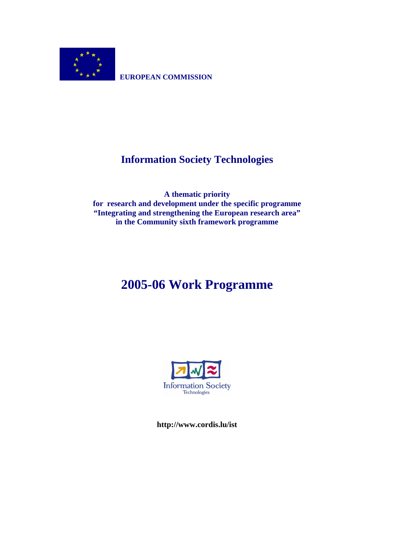

**EUROPEAN COMMISSION** 

# **Information Society Technologies**

**A thematic priority for research and development under the specific programme "Integrating and strengthening the European research area" in the Community sixth framework programme** 

# **2005-06 Work Programme**



**http://www.cordis.lu/ist**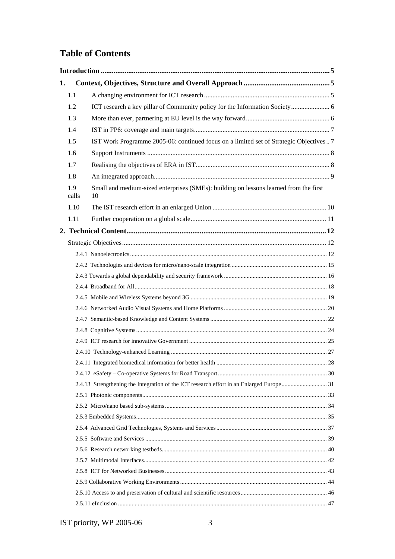# **Table of Contents**

| 1. |              |                                                                                             |  |
|----|--------------|---------------------------------------------------------------------------------------------|--|
|    | 1.1          |                                                                                             |  |
|    | 1.2          |                                                                                             |  |
|    | 1.3          |                                                                                             |  |
|    | 1.4          |                                                                                             |  |
|    | 1.5          | IST Work Programme 2005-06: continued focus on a limited set of Strategic Objectives  7     |  |
|    | 1.6          |                                                                                             |  |
|    | 1.7          |                                                                                             |  |
|    | 1.8          |                                                                                             |  |
|    | 1.9<br>calls | Small and medium-sized enterprises (SMEs): building on lessons learned from the first<br>10 |  |
|    | 1.10         |                                                                                             |  |
|    | 1.11         |                                                                                             |  |
|    |              |                                                                                             |  |
|    |              |                                                                                             |  |
|    |              |                                                                                             |  |
|    |              |                                                                                             |  |
|    |              |                                                                                             |  |
|    |              |                                                                                             |  |
|    |              |                                                                                             |  |
|    |              |                                                                                             |  |
|    |              |                                                                                             |  |
|    |              |                                                                                             |  |
|    |              |                                                                                             |  |
|    |              |                                                                                             |  |
|    |              |                                                                                             |  |
|    |              |                                                                                             |  |
|    |              |                                                                                             |  |
|    |              |                                                                                             |  |
|    |              |                                                                                             |  |
|    |              |                                                                                             |  |
|    |              |                                                                                             |  |
|    |              |                                                                                             |  |
|    |              |                                                                                             |  |
|    |              |                                                                                             |  |
|    |              |                                                                                             |  |
|    |              |                                                                                             |  |
|    |              |                                                                                             |  |
|    |              |                                                                                             |  |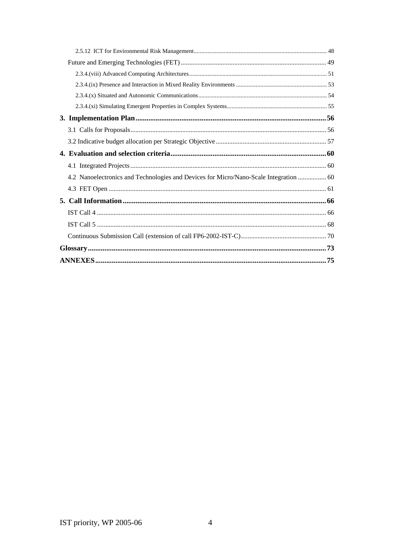| 4.2 Nanoelectronics and Technologies and Devices for Micro/Nano-Scale Integration  60 |  |
|---------------------------------------------------------------------------------------|--|
|                                                                                       |  |
|                                                                                       |  |
|                                                                                       |  |
|                                                                                       |  |
|                                                                                       |  |
|                                                                                       |  |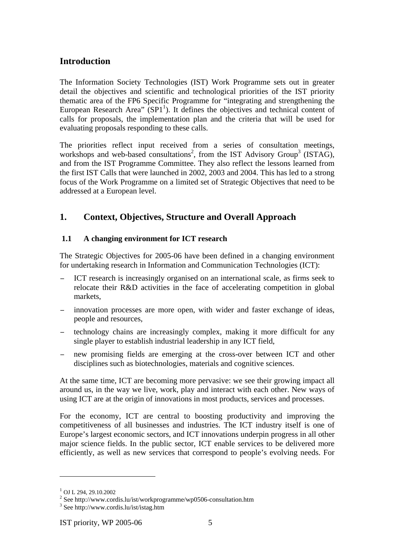# **Introduction**

The Information Society Technologies (IST) Work Programme sets out in greater detail the objectives and scientific and technological priorities of the IST priority thematic area of the FP6 Specific Programme for "integrating and strengthening the European Research Area"  $(SP1<sup>1</sup>)$ . It defines the objectives and technical content of calls for proposals, the implementation plan and the criteria that will be used for evaluating proposals responding to these calls.

The priorities reflect input received from a series of consultation meetings, workshops and web-based consultations<sup>2</sup>, from the IST Advisory Group<sup>3</sup> (ISTAG), and from the IST Programme Committee. They also reflect the lessons learned from the first IST Calls that were launched in 2002, 2003 and 2004. This has led to a strong focus of the Work Programme on a limited set of Strategic Objectives that need to be addressed at a European level.

# **1. Context, Objectives, Structure and Overall Approach**

# **1.1 A changing environment for ICT research**

The Strategic Objectives for 2005-06 have been defined in a changing environment for undertaking research in Information and Communication Technologies (ICT):

- − ICT research is increasingly organised on an international scale, as firms seek to relocate their R&D activities in the face of accelerating competition in global markets,
- innovation processes are more open, with wider and faster exchange of ideas, people and resources,
- technology chains are increasingly complex, making it more difficult for any single player to establish industrial leadership in any ICT field,
- new promising fields are emerging at the cross-over between ICT and other disciplines such as biotechnologies, materials and cognitive sciences.

At the same time, ICT are becoming more pervasive: we see their growing impact all around us, in the way we live, work, play and interact with each other. New ways of using ICT are at the origin of innovations in most products, services and processes.

For the economy, ICT are central to boosting productivity and improving the competitiveness of all businesses and industries. The ICT industry itself is one of Europe's largest economic sectors, and ICT innovations underpin progress in all other major science fields. In the public sector, ICT enable services to be delivered more efficiently, as well as new services that correspond to people's evolving needs. For

 $^{1}$  OI L 294, 29, 10, 2002.

<sup>&</sup>lt;sup>2</sup> See http://www.cordis.lu/ist/workprogramme/wp0506-consultation.htm  $\frac{3}{3}$  See http://www.cordis.lu/ist/isteg.htm

 $3$  See http://www.cordis.lu/ist/istag.htm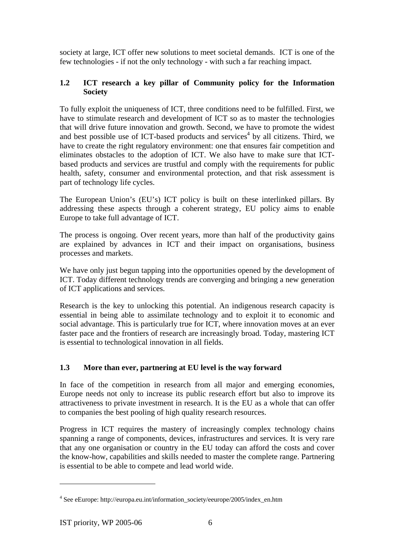society at large, ICT offer new solutions to meet societal demands. ICT is one of the few technologies - if not the only technology - with such a far reaching impact.

# **1.2 ICT research a key pillar of Community policy for the Information Society**

To fully exploit the uniqueness of ICT, three conditions need to be fulfilled. First, we have to stimulate research and development of ICT so as to master the technologies that will drive future innovation and growth. Second, we have to promote the widest and best possible use of ICT-based products and services<sup>4</sup> by all citizens. Third, we have to create the right regulatory environment: one that ensures fair competition and eliminates obstacles to the adoption of ICT. We also have to make sure that ICTbased products and services are trustful and comply with the requirements for public health, safety, consumer and environmental protection, and that risk assessment is part of technology life cycles.

The European Union's (EU's) ICT policy is built on these interlinked pillars. By addressing these aspects through a coherent strategy, EU policy aims to enable Europe to take full advantage of ICT.

The process is ongoing. Over recent years, more than half of the productivity gains are explained by advances in ICT and their impact on organisations, business processes and markets.

We have only just begun tapping into the opportunities opened by the development of ICT. Today different technology trends are converging and bringing a new generation of ICT applications and services.

Research is the key to unlocking this potential. An indigenous research capacity is essential in being able to assimilate technology and to exploit it to economic and social advantage. This is particularly true for ICT, where innovation moves at an ever faster pace and the frontiers of research are increasingly broad. Today, mastering ICT is essential to technological innovation in all fields.

# **1.3 More than ever, partnering at EU level is the way forward**

In face of the competition in research from all major and emerging economies, Europe needs not only to increase its public research effort but also to improve its attractiveness to private investment in research. It is the EU as a whole that can offer to companies the best pooling of high quality research resources.

Progress in ICT requires the mastery of increasingly complex technology chains spanning a range of components, devices, infrastructures and services. It is very rare that any one organisation or country in the EU today can afford the costs and cover the know-how, capabilities and skills needed to master the complete range. Partnering is essential to be able to compete and lead world wide.

<sup>&</sup>lt;sup>4</sup> See eEurope: http://europa.eu.int/information\_society/eeurope/2005/index\_en.htm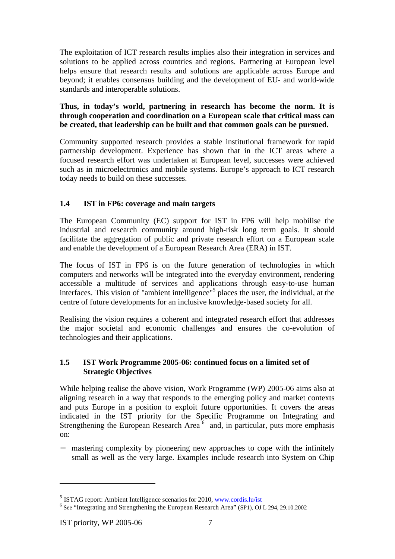The exploitation of ICT research results implies also their integration in services and solutions to be applied across countries and regions. Partnering at European level helps ensure that research results and solutions are applicable across Europe and beyond; it enables consensus building and the development of EU- and world-wide standards and interoperable solutions.

# **Thus, in today's world, partnering in research has become the norm. It is through cooperation and coordination on a European scale that critical mass can be created, that leadership can be built and that common goals can be pursued.**

Community supported research provides a stable institutional framework for rapid partnership development. Experience has shown that in the ICT areas where a focused research effort was undertaken at European level, successes were achieved such as in microelectronics and mobile systems. Europe's approach to ICT research today needs to build on these successes.

# **1.4 IST in FP6: coverage and main targets**

The European Community (EC) support for IST in FP6 will help mobilise the industrial and research community around high-risk long term goals. It should facilitate the aggregation of public and private research effort on a European scale and enable the development of a European Research Area (ERA) in IST.

The focus of IST in FP6 is on the future generation of technologies in which computers and networks will be integrated into the everyday environment, rendering accessible a multitude of services and applications through easy-to-use human interfaces. This vision of "ambient intelligence"5 places the user, the individual, at the centre of future developments for an inclusive knowledge-based society for all.

Realising the vision requires a coherent and integrated research effort that addresses the major societal and economic challenges and ensures the co-evolution of technologies and their applications.

# **1.5 IST Work Programme 2005-06: continued focus on a limited set of Strategic Objectives**

While helping realise the above vision, Work Programme (WP) 2005-06 aims also at aligning research in a way that responds to the emerging policy and market contexts and puts Europe in a position to exploit future opportunities. It covers the areas indicated in the IST priority for the Specific Programme on Integrating and Strengthening the European Research Area<sup>6</sup> and, in particular, puts more emphasis on:

− mastering complexity by pioneering new approaches to cope with the infinitely small as well as the very large. Examples include research into System on Chip

<sup>5</sup> ISTAG report: Ambient Intelligence scenarios for 2010, www.cordis.lu/ist

<sup>6</sup> See "Integrating and Strengthening the European Research Area" (SP1), OJ L 294, 29.10.2002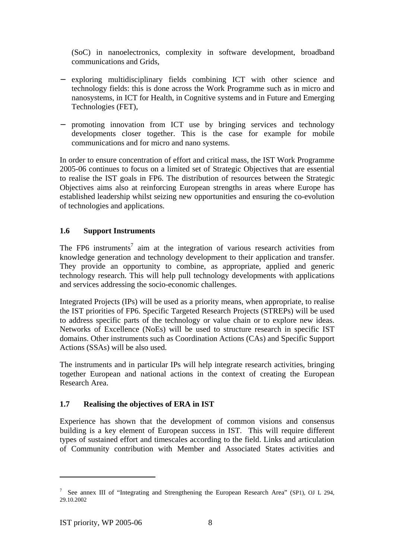(SoC) in nanoelectronics, complexity in software development, broadband communications and Grids,

- − exploring multidisciplinary fields combining ICT with other science and technology fields: this is done across the Work Programme such as in micro and nanosystems, in ICT for Health, in Cognitive systems and in Future and Emerging Technologies (FET),
- − promoting innovation from ICT use by bringing services and technology developments closer together. This is the case for example for mobile communications and for micro and nano systems.

In order to ensure concentration of effort and critical mass, the IST Work Programme 2005-06 continues to focus on a limited set of Strategic Objectives that are essential to realise the IST goals in FP6. The distribution of resources between the Strategic Objectives aims also at reinforcing European strengths in areas where Europe has established leadership whilst seizing new opportunities and ensuring the co-evolution of technologies and applications.

# **1.6 Support Instruments**

The FP6 instruments<sup>7</sup> aim at the integration of various research activities from knowledge generation and technology development to their application and transfer. They provide an opportunity to combine, as appropriate, applied and generic technology research. This will help pull technology developments with applications and services addressing the socio-economic challenges.

Integrated Projects (IPs) will be used as a priority means, when appropriate, to realise the IST priorities of FP6. Specific Targeted Research Projects (STREPs) will be used to address specific parts of the technology or value chain or to explore new ideas. Networks of Excellence (NoEs) will be used to structure research in specific IST domains. Other instruments such as Coordination Actions (CAs) and Specific Support Actions (SSAs) will be also used.

The instruments and in particular IPs will help integrate research activities, bringing together European and national actions in the context of creating the European Research Area.

# **1.7 Realising the objectives of ERA in IST**

Experience has shown that the development of common visions and consensus building is a key element of European success in IST. This will require different types of sustained effort and timescales according to the field. Links and articulation of Community contribution with Member and Associated States activities and

<sup>&</sup>lt;sup>7</sup> See annex III of "Integrating and Strengthening the European Research Area" (SP1), OJ L 294, 29.10.2002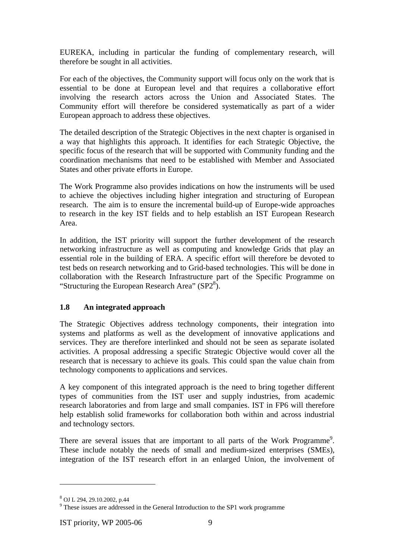EUREKA, including in particular the funding of complementary research, will therefore be sought in all activities.

For each of the objectives, the Community support will focus only on the work that is essential to be done at European level and that requires a collaborative effort involving the research actors across the Union and Associated States. The Community effort will therefore be considered systematically as part of a wider European approach to address these objectives.

The detailed description of the Strategic Objectives in the next chapter is organised in a way that highlights this approach. It identifies for each Strategic Objective, the specific focus of the research that will be supported with Community funding and the coordination mechanisms that need to be established with Member and Associated States and other private efforts in Europe.

The Work Programme also provides indications on how the instruments will be used to achieve the objectives including higher integration and structuring of European research. The aim is to ensure the incremental build-up of Europe-wide approaches to research in the key IST fields and to help establish an IST European Research Area.

In addition, the IST priority will support the further development of the research networking infrastructure as well as computing and knowledge Grids that play an essential role in the building of ERA. A specific effort will therefore be devoted to test beds on research networking and to Grid-based technologies. This will be done in collaboration with the Research Infrastructure part of the Specific Programme on "Structuring the European Research Area"  $(SP2<sup>8</sup>)$ .

# **1.8 An integrated approach**

The Strategic Objectives address technology components, their integration into systems and platforms as well as the development of innovative applications and services. They are therefore interlinked and should not be seen as separate isolated activities. A proposal addressing a specific Strategic Objective would cover all the research that is necessary to achieve its goals. This could span the value chain from technology components to applications and services.

A key component of this integrated approach is the need to bring together different types of communities from the IST user and supply industries, from academic research laboratories and from large and small companies. IST in FP6 will therefore help establish solid frameworks for collaboration both within and across industrial and technology sectors.

There are several issues that are important to all parts of the Work Programme<sup>9</sup>. These include notably the needs of small and medium-sized enterprises (SMEs), integration of the IST research effort in an enlarged Union, the involvement of

<sup>8</sup> OJ L 294, 29.10.2002, p.44

<sup>&</sup>lt;sup>9</sup> These issues are addressed in the General Introduction to the SP1 work programme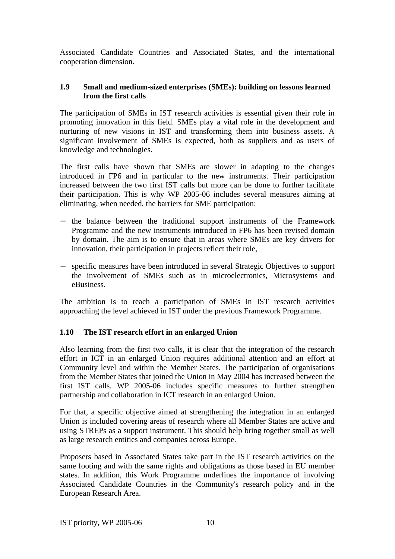Associated Candidate Countries and Associated States, and the international cooperation dimension.

# **1.9 Small and medium-sized enterprises (SMEs): building on lessons learned from the first calls**

The participation of SMEs in IST research activities is essential given their role in promoting innovation in this field. SMEs play a vital role in the development and nurturing of new visions in IST and transforming them into business assets. A significant involvement of SMEs is expected, both as suppliers and as users of knowledge and technologies.

The first calls have shown that SMEs are slower in adapting to the changes introduced in FP6 and in particular to the new instruments. Their participation increased between the two first IST calls but more can be done to further facilitate their participation. This is why WP 2005-06 includes several measures aiming at eliminating, when needed, the barriers for SME participation:

- − the balance between the traditional support instruments of the Framework Programme and the new instruments introduced in FP6 has been revised domain by domain. The aim is to ensure that in areas where SMEs are key drivers for innovation, their participation in projects reflect their role,
- − specific measures have been introduced in several Strategic Objectives to support the involvement of SMEs such as in microelectronics, Microsystems and eBusiness.

The ambition is to reach a participation of SMEs in IST research activities approaching the level achieved in IST under the previous Framework Programme.

# **1.10 The IST research effort in an enlarged Union**

Also learning from the first two calls, it is clear that the integration of the research effort in ICT in an enlarged Union requires additional attention and an effort at Community level and within the Member States. The participation of organisations from the Member States that joined the Union in May 2004 has increased between the first IST calls. WP 2005-06 includes specific measures to further strengthen partnership and collaboration in ICT research in an enlarged Union.

For that, a specific objective aimed at strengthening the integration in an enlarged Union is included covering areas of research where all Member States are active and using STREPs as a support instrument. This should help bring together small as well as large research entities and companies across Europe.

Proposers based in Associated States take part in the IST research activities on the same footing and with the same rights and obligations as those based in EU member states. In addition, this Work Programme underlines the importance of involving Associated Candidate Countries in the Community's research policy and in the European Research Area.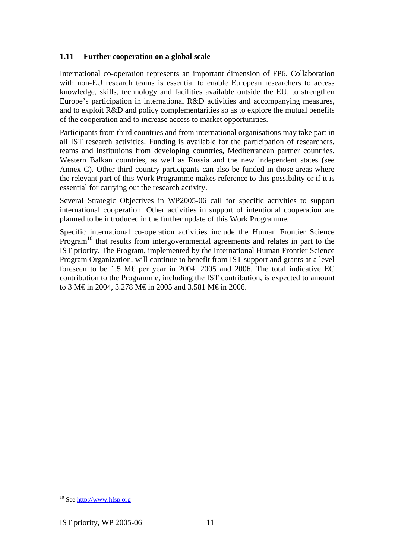### **1.11 Further cooperation on a global scale**

International co-operation represents an important dimension of FP6. Collaboration with non-EU research teams is essential to enable European researchers to access knowledge, skills, technology and facilities available outside the EU, to strengthen Europe's participation in international R&D activities and accompanying measures, and to exploit R&D and policy complementarities so as to explore the mutual benefits of the cooperation and to increase access to market opportunities.

Participants from third countries and from international organisations may take part in all IST research activities. Funding is available for the participation of researchers, teams and institutions from developing countries, Mediterranean partner countries, Western Balkan countries, as well as Russia and the new independent states (see Annex C). Other third country participants can also be funded in those areas where the relevant part of this Work Programme makes reference to this possibility or if it is essential for carrying out the research activity.

Several Strategic Objectives in WP2005-06 call for specific activities to support international cooperation. Other activities in support of intentional cooperation are planned to be introduced in the further update of this Work Programme.

Specific international co-operation activities include the Human Frontier Science Program<sup>10</sup> that results from intergovernmental agreements and relates in part to the IST priority. The Program, implemented by the International Human Frontier Science Program Organization, will continue to benefit from IST support and grants at a level foreseen to be 1.5 M€ per year in 2004, 2005 and 2006. The total indicative EC contribution to the Programme, including the IST contribution, is expected to amount to 3 M€ in 2004, 3.278 M€ in 2005 and 3.581 M€ in 2006.

<sup>10</sup> See http://www.hfsp.org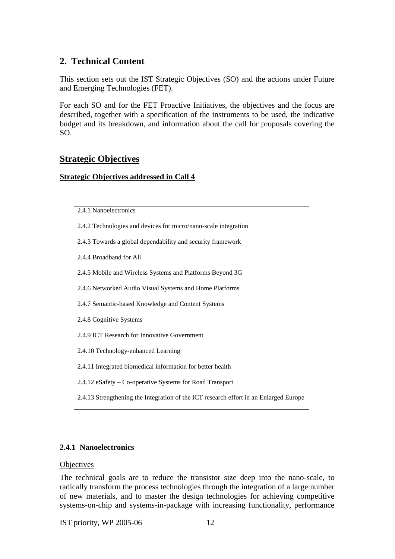# **2. Technical Content**

This section sets out the IST Strategic Objectives (SO) and the actions under Future and Emerging Technologies (FET).

For each SO and for the FET Proactive Initiatives, the objectives and the focus are described, together with a specification of the instruments to be used, the indicative budget and its breakdown, and information about the call for proposals covering the SO.

# **Strategic Objectives**

#### **Strategic Objectives addressed in Call 4**

- 2.4.2 Technologies and devices for micro/nano-scale integration
- 2.4.3 Towards a global dependability and security framework
- 2.4.4 Broadband for All
- 2.4.5 Mobile and Wireless Systems and Platforms Beyond 3G
- 2.4.6 Networked Audio Visual Systems and Home Platforms
- 2.4.7 Semantic-based Knowledge and Content Systems
- 2.4.8 Cognitive Systems
- 2.4.9 ICT Research for Innovative Government
- 2.4.10 Technology-enhanced Learning
- 2.4.11 Integrated biomedical information for better health
- 2.4.12 eSafety Co-operative Systems for Road Transport
- 2.4.13 Strengthening the Integration of the ICT research effort in an Enlarged Europe

#### **2.4.1 Nanoelectronics**

#### **Objectives**

The technical goals are to reduce the transistor size deep into the nano-scale, to radically transform the process technologies through the integration of a large number of new materials, and to master the design technologies for achieving competitive systems-on-chip and systems-in-package with increasing functionality, performance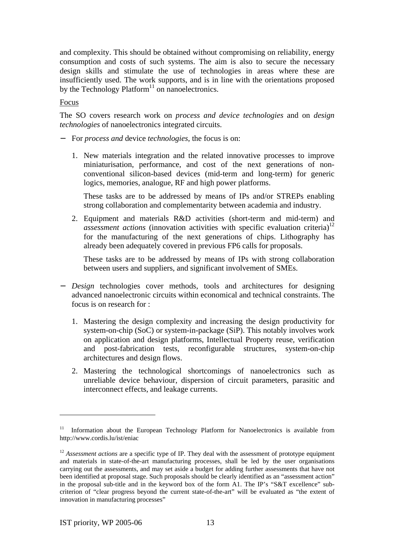and complexity. This should be obtained without compromising on reliability, energy consumption and costs of such systems. The aim is also to secure the necessary design skills and stimulate the use of technologies in areas where these are insufficiently used. The work supports, and is in line with the orientations proposed by the Technology Platform<sup>11</sup> on nanoelectronics.

#### Focus

The SO covers research work on *process and device technologies* and on *design technologies* of nanoelectronics integrated circuits.

- − For *process and* device *technologies*, the focus is on:
	- 1. New materials integration and the related innovative processes to improve miniaturisation, performance, and cost of the next generations of nonconventional silicon-based devices (mid-term and long-term) for generic logics, memories, analogue, RF and high power platforms.

These tasks are to be addressed by means of IPs and/or STREPs enabling strong collaboration and complementarity between academia and industry.

2. Equipment and materials R&D activities (short-term and mid-term) and *assessment actions* (innovation activities with specific evaluation criteria)<sup>12</sup> for the manufacturing of the next generations of chips. Lithography has already been adequately covered in previous FP6 calls for proposals.

These tasks are to be addressed by means of IPs with strong collaboration between users and suppliers, and significant involvement of SMEs.

- − *Design* technologies cover methods, tools and architectures for designing advanced nanoelectronic circuits within economical and technical constraints. The focus is on research for :
	- 1. Mastering the design complexity and increasing the design productivity for system-on-chip (SoC) or system-in-package (SiP). This notably involves work on application and design platforms, Intellectual Property reuse, verification and post-fabrication tests, reconfigurable structures, system-on-chip architectures and design flows.
	- 2. Mastering the technological shortcomings of nanoelectronics such as unreliable device behaviour, dispersion of circuit parameters, parasitic and interconnect effects, and leakage currents.

<sup>&</sup>lt;sup>11</sup> Information about the European Technology Platform for Nanoelectronics is available from http://www.cordis.lu/ist/eniac

<sup>&</sup>lt;sup>12</sup> Assessment actions are a specific type of IP. They deal with the assessment of prototype equipment and materials in state-of-the-art manufacturing processes, shall be led by the user organisations carrying out the assessments, and may set aside a budget for adding further assessments that have not been identified at proposal stage. Such proposals should be clearly identified as an "assessment action" in the proposal sub-title and in the keyword box of the form A1. The IP's "S&T excellence" subcriterion of "clear progress beyond the current state-of-the-art" will be evaluated as "the extent of innovation in manufacturing processes"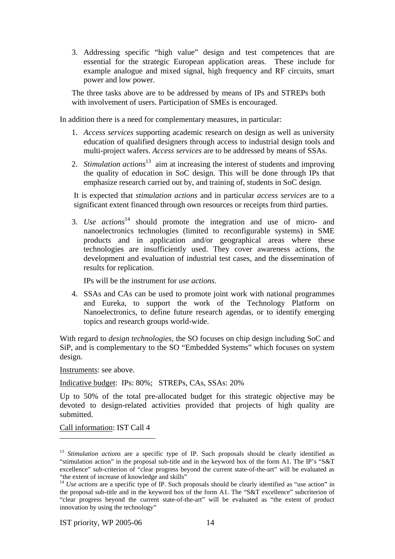3. Addressing specific "high value" design and test competences that are essential for the strategic European application areas. These include for example analogue and mixed signal, high frequency and RF circuits, smart power and low power.

The three tasks above are to be addressed by means of IPs and STREPs both with involvement of users. Participation of SMEs is encouraged.

In addition there is a need for complementary measures, in particular:

- 1. *Access services* supporting academic research on design as well as university education of qualified designers through access to industrial design tools and multi-project wafers. *Access services* are to be addressed by means of SSAs.
- 2. *Stimulation actions*<sup>13</sup> aim at increasing the interest of students and improving the quality of education in SoC design. This will be done through IPs that emphasize research carried out by, and training of, students in SoC design.

It is expected that *stimulation actions* and in particular *access services* are to a significant extent financed through own resources or receipts from third parties.

3. *Use actions*<sup>14</sup> should promote the integration and use of micro- and nanoelectronics technologies (limited to reconfigurable systems) in SME products and in application and/or geographical areas where these technologies are insufficiently used. They cover awareness actions, the development and evaluation of industrial test cases, and the dissemination of results for replication.

IPs will be the instrument for *use actions*.

4. SSAs and CAs can be used to promote joint work with national programmes and Eureka, to support the work of the Technology Platform on Nanoelectronics, to define future research agendas, or to identify emerging topics and research groups world-wide.

With regard to *design technologies*, the SO focuses on chip design including SoC and SiP, and is complementary to the SO "Embedded Systems" which focuses on system design.

Instruments: see above.

Indicative budget: IPs: 80%; STREPs, CAs, SSAs: 20%

Up to 50% of the total pre-allocated budget for this strategic objective may be devoted to design-related activities provided that projects of high quality are submitted.

Call information: IST Call 4

 $\overline{a}$ 

<sup>&</sup>lt;sup>13</sup> *Stimulation actions* are a specific type of IP. Such proposals should be clearly identified as "stimulation action" in the proposal sub-title and in the keyword box of the form A1. The IP's "S&T excellence" sub-criterion of "clear progress beyond the current state-of-the-art" will be evaluated as "the extent of increase of knowledge and skills"

<sup>&</sup>lt;sup>14</sup> *Use actions* are a specific type of IP. Such proposals should be clearly identified as "use action" in the proposal sub-title and in the keyword box of the form A1. The "S&T excellence" subcriterion of "clear progress beyond the current state-of-the-art" will be evaluated as "the extent of product innovation by using the technology"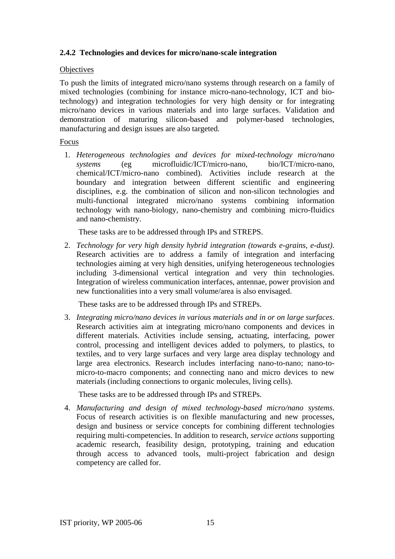# **2.4.2 Technologies and devices for micro/nano-scale integration**

#### **Objectives**

To push the limits of integrated micro/nano systems through research on a family of mixed technologies (combining for instance micro-nano-technology, ICT and biotechnology) and integration technologies for very high density or for integrating micro/nano devices in various materials and into large surfaces. Validation and demonstration of maturing silicon-based and polymer-based technologies, manufacturing and design issues are also targeted.

#### Focus

1. *Heterogeneous technologies and devices for mixed-technology micro/nano systems* (eg microfluidic/ICT/micro-nano, bio/ICT/micro-nano, chemical/ICT/micro-nano combined). Activities include research at the boundary and integration between different scientific and engineering disciplines, e.g. the combination of silicon and non-silicon technologies and multi-functional integrated micro/nano systems combining information technology with nano-biology, nano-chemistry and combining micro-fluidics and nano-chemistry.

These tasks are to be addressed through IPs and STREPS.

2. *Technology for very high density hybrid integration (towards e-grains, e-dust)*. Research activities are to address a family of integration and interfacing technologies aiming at very high densities, unifying heterogeneous technologies including 3-dimensional vertical integration and very thin technologies. Integration of wireless communication interfaces, antennae, power provision and new functionalities into a very small volume/area is also envisaged.

These tasks are to be addressed through IPs and STREPs.

3. *Integrating micro/nano devices in various materials and in or on large surfaces*. Research activities aim at integrating micro/nano components and devices in different materials. Activities include sensing, actuating, interfacing, power control, processing and intelligent devices added to polymers, to plastics, to textiles, and to very large surfaces and very large area display technology and large area electronics. Research includes interfacing nano-to-nano; nano-tomicro-to-macro components; and connecting nano and micro devices to new materials (including connections to organic molecules, living cells).

These tasks are to be addressed through IPs and STREPs*.*

4. *Manufacturing and design of mixed technology-based micro/nano systems*. Focus of research activities is on flexible manufacturing and new processes, design and business or service concepts for combining different technologies requiring multi-competencies. In addition to research, *service actions* supporting academic research, feasibility design, prototyping, training and education through access to advanced tools, multi-project fabrication and design competency are called for.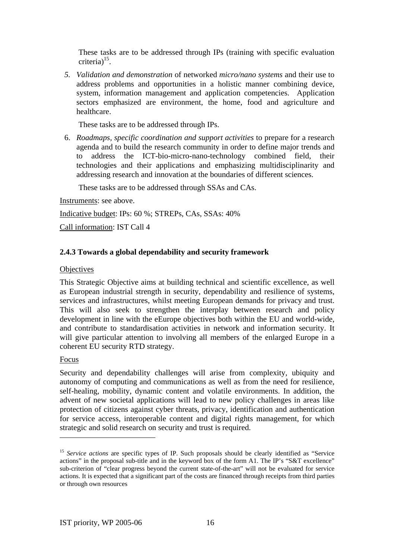These tasks are to be addressed through IPs (training with specific evaluation criteria) $15$ .

*5. Validation and demonstration* of networked *micro/nano systems* and their use to address problems and opportunities in a holistic manner combining device, system, information management and application competencies. Application sectors emphasized are environment, the home, food and agriculture and healthcare.

These tasks are to be addressed through IPs.

6. *Roadmaps, specific coordination and support activities* to prepare for a research agenda and to build the research community in order to define major trends and to address the ICT-bio-micro-nano-technology combined field, their technologies and their applications and emphasizing multidisciplinarity and addressing research and innovation at the boundaries of different sciences.

These tasks are to be addressed through SSAs and CAs.

Instruments: see above.

Indicative budget: IPs: 60 %; STREPs, CAs, SSAs: 40%

Call information: IST Call 4

# **2.4.3 Towards a global dependability and security framework**

#### **Objectives**

This Strategic Objective aims at building technical and scientific excellence, as well as European industrial strength in security, dependability and resilience of systems, services and infrastructures, whilst meeting European demands for privacy and trust. This will also seek to strengthen the interplay between research and policy development in line with the eEurope objectives both within the EU and world-wide, and contribute to standardisation activities in network and information security. It will give particular attention to involving all members of the enlarged Europe in a coherent EU security RTD strategy.

#### Focus

 $\overline{a}$ 

Security and dependability challenges will arise from complexity, ubiquity and autonomy of computing and communications as well as from the need for resilience, self-healing, mobility, dynamic content and volatile environments. In addition, the advent of new societal applications will lead to new policy challenges in areas like protection of citizens against cyber threats, privacy, identification and authentication for service access, interoperable content and digital rights management, for which strategic and solid research on security and trust is required.

<sup>&</sup>lt;sup>15</sup> *Service actions* are specific types of IP. Such proposals should be clearly identified as "Service" actions" in the proposal sub-title and in the keyword box of the form A1. The IP's "S&T excellence" sub-criterion of "clear progress beyond the current state-of-the-art" will not be evaluated for service actions. It is expected that a significant part of the costs are financed through receipts from third parties or through own resources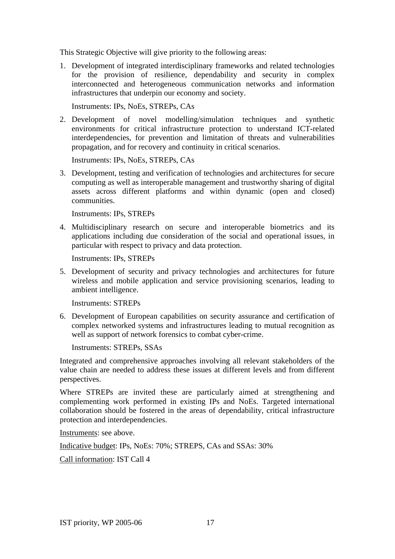This Strategic Objective will give priority to the following areas:

1. Development of integrated interdisciplinary frameworks and related technologies for the provision of resilience, dependability and security in complex interconnected and heterogeneous communication networks and information infrastructures that underpin our economy and society.

Instruments: IPs, NoEs, STREPs, CAs

2. Development of novel modelling/simulation techniques and synthetic environments for critical infrastructure protection to understand ICT-related interdependencies, for prevention and limitation of threats and vulnerabilities propagation, and for recovery and continuity in critical scenarios.

Instruments: IPs, NoEs, STREPs, CAs

3. Development, testing and verification of technologies and architectures for secure computing as well as interoperable management and trustworthy sharing of digital assets across different platforms and within dynamic (open and closed) communities.

Instruments: IPs, STREPs

4. Multidisciplinary research on secure and interoperable biometrics and its applications including due consideration of the social and operational issues, in particular with respect to privacy and data protection.

Instruments: IPs, STREPs

5. Development of security and privacy technologies and architectures for future wireless and mobile application and service provisioning scenarios, leading to ambient intelligence.

Instruments: STREPs

6. Development of European capabilities on security assurance and certification of complex networked systems and infrastructures leading to mutual recognition as well as support of network forensics to combat cyber-crime.

Instruments: STREPs, SSAs

Integrated and comprehensive approaches involving all relevant stakeholders of the value chain are needed to address these issues at different levels and from different perspectives.

Where STREPs are invited these are particularly aimed at strengthening and complementing work performed in existing IPs and NoEs. Targeted international collaboration should be fostered in the areas of dependability, critical infrastructure protection and interdependencies.

Instruments: see above.

Indicative budget: IPs, NoEs: 70%; STREPS, CAs and SSAs: 30%

Call information: IST Call 4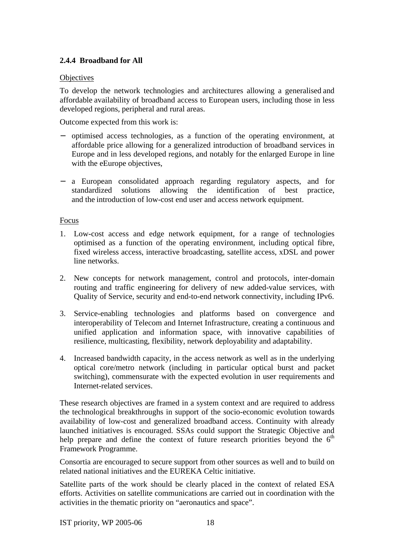# **2.4.4 Broadband for All**

### **Objectives**

To develop the network technologies and architectures allowing a generalised and affordable availability of broadband access to European users, including those in less developed regions, peripheral and rural areas.

Outcome expected from this work is:

- − optimised access technologies, as a function of the operating environment, at affordable price allowing for a generalized introduction of broadband services in Europe and in less developed regions, and notably for the enlarged Europe in line with the eEurope objectives,
- − a European consolidated approach regarding regulatory aspects, and for standardized solutions allowing the identification of best practice, and the introduction of low-cost end user and access network equipment.

#### Focus

- 1. Low-cost access and edge network equipment, for a range of technologies optimised as a function of the operating environment, including optical fibre, fixed wireless access, interactive broadcasting, satellite access, xDSL and power line networks.
- 2. New concepts for network management, control and protocols, inter-domain routing and traffic engineering for delivery of new added-value services, with Quality of Service, security and end-to-end network connectivity, including IPv6.
- 3. Service-enabling technologies and platforms based on convergence and interoperability of Telecom and Internet Infrastructure, creating a continuous and unified application and information space, with innovative capabilities of resilience, multicasting, flexibility, network deployability and adaptability.
- 4. Increased bandwidth capacity, in the access network as well as in the underlying optical core/metro network (including in particular optical burst and packet switching), commensurate with the expected evolution in user requirements and Internet-related services.

These research objectives are framed in a system context and are required to address the technological breakthroughs in support of the socio-economic evolution towards availability of low-cost and generalized broadband access. Continuity with already launched initiatives is encouraged. SSAs could support the Strategic Objective and help prepare and define the context of future research priorities beyond the  $6<sup>th</sup>$ Framework Programme.

Consortia are encouraged to secure support from other sources as well and to build on related national initiatives and the EUREKA Celtic initiative.

Satellite parts of the work should be clearly placed in the context of related ESA efforts. Activities on satellite communications are carried out in coordination with the activities in the thematic priority on "aeronautics and space".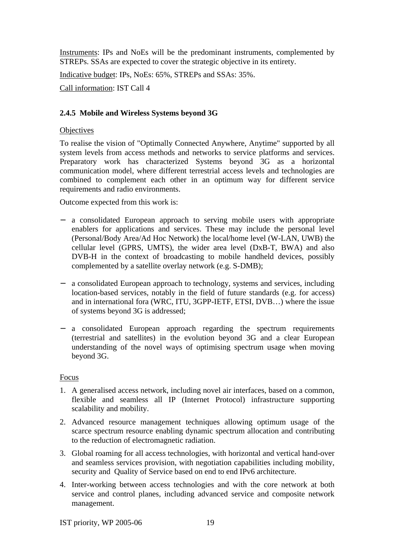Instruments: IPs and NoEs will be the predominant instruments, complemented by STREPs. SSAs are expected to cover the strategic objective in its entirety.

Indicative budget: IPs, NoEs: 65%, STREPs and SSAs: 35%.

Call information: IST Call 4

#### **2.4.5 Mobile and Wireless Systems beyond 3G**

#### **Objectives**

To realise the vision of "Optimally Connected Anywhere, Anytime" supported by all system levels from access methods and networks to service platforms and services. Preparatory work has characterized Systems beyond 3G as a horizontal communication model, where different terrestrial access levels and technologies are combined to complement each other in an optimum way for different service requirements and radio environments.

Outcome expected from this work is:

- − a consolidated European approach to serving mobile users with appropriate enablers for applications and services. These may include the personal level (Personal/Body Area/Ad Hoc Network) the local/home level (W-LAN, UWB) the cellular level (GPRS, UMTS), the wider area level (DxB-T, BWA) and also DVB-H in the context of broadcasting to mobile handheld devices, possibly complemented by a satellite overlay network (e.g. S-DMB);
- − a consolidated European approach to technology, systems and services, including location-based services, notably in the field of future standards (e.g. for access) and in international fora (WRC, ITU, 3GPP-IETF, ETSI, DVB…) where the issue of systems beyond 3G is addressed;
- − a consolidated European approach regarding the spectrum requirements (terrestrial and satellites) in the evolution beyond 3G and a clear European understanding of the novel ways of optimising spectrum usage when moving beyond 3G.

#### Focus

- 1. A generalised access network, including novel air interfaces, based on a common, flexible and seamless all IP (Internet Protocol) infrastructure supporting scalability and mobility.
- 2. Advanced resource management techniques allowing optimum usage of the scarce spectrum resource enabling dynamic spectrum allocation and contributing to the reduction of electromagnetic radiation.
- 3. Global roaming for all access technologies, with horizontal and vertical hand-over and seamless services provision, with negotiation capabilities including mobility, security and Quality of Service based on end to end IPv6 architecture.
- 4. Inter-working between access technologies and with the core network at both service and control planes, including advanced service and composite network management.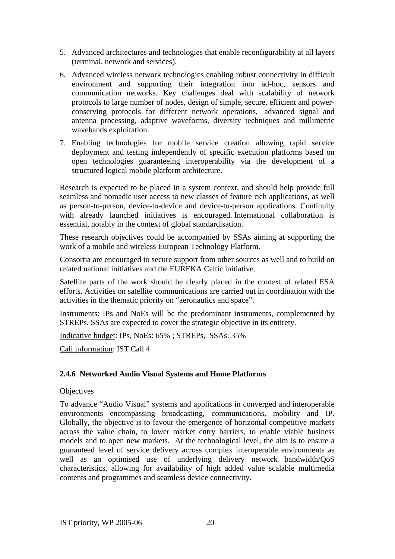- 5. Advanced architectures and technologies that enable reconfigurability at all layers (terminal, network and services).
- 6. Advanced wireless network technologies enabling robust connectivity in difficult environment and supporting their integration into ad-hoc, sensors and communication networks. Key challenges deal with scalability of network protocols to large number of nodes, design of simple, secure, efficient and powerconserving protocols for different network operations, advanced signal and antenna processing, adaptive waveforms, diversity techniques and millimetric wavebands exploitation.
- 7. Enabling technologies for mobile service creation allowing rapid service deployment and testing independently of specific execution platforms based on open technologies guaranteeing interoperability via the development of a structured logical mobile platform architecture.

Research is expected to be placed in a system context, and should help provide full seamless and nomadic user access to new classes of feature rich applications, as well as person-to-person, device-to-device and device-to-person applications. Continuity with already launched initiatives is encouraged. International collaboration is essential, notably in the context of global standardisation.

These research objectives could be accompanied by SSAs aiming at supporting the work of a mobile and wireless European Technology Platform.

Consortia are encouraged to secure support from other sources as well and to build on related national initiatives and the EUREKA Celtic initiative.

Satellite parts of the work should be clearly placed in the context of related ESA efforts. Activities on satellite communications are carried out in coordination with the activities in the thematic priority on "aeronautics and space".

Instruments: IPs and NoEs will be the predominant instruments, complemented by STREPs. SSAs are expected to cover the strategic objective in its entirety.

Indicative budget: IPs, NoEs: 65% ; STREPs, SSAs: 35%

Call information: IST Call 4

# **2.4.6 Networked Audio Visual Systems and Home Platforms**

# **Objectives**

To advance "Audio Visual" systems and applications in converged and interoperable environments encompassing broadcasting, communications, mobility and IP. Globally, the objective is to favour the emergence of horizontal competitive markets across the value chain, to lower market entry barriers, to enable viable business models and to open new markets. At the technological level, the aim is to ensure a guaranteed level of service delivery across complex interoperable environments as well as an optimised use of underlying delivery network bandwidth/QoS characteristics, allowing for availability of high added value scalable multimedia contents and programmes and seamless device connectivity.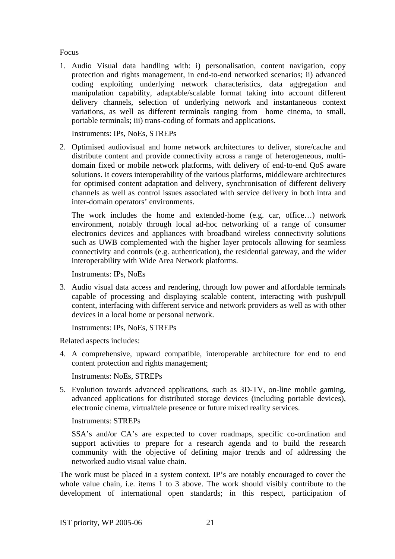#### Focus

1. Audio Visual data handling with: i) personalisation, content navigation, copy protection and rights management, in end-to-end networked scenarios; ii) advanced coding exploiting underlying network characteristics, data aggregation and manipulation capability, adaptable/scalable format taking into account different delivery channels, selection of underlying network and instantaneous context variations, as well as different terminals ranging from home cinema, to small, portable terminals; iii) trans-coding of formats and applications.

Instruments: IPs, NoEs, STREPs

2. Optimised audiovisual and home network architectures to deliver, store/cache and distribute content and provide connectivity across a range of heterogeneous, multidomain fixed or mobile network platforms, with delivery of end-to-end QoS aware solutions. It covers interoperability of the various platforms, middleware architectures for optimised content adaptation and delivery, synchronisation of different delivery channels as well as control issues associated with service delivery in both intra and inter-domain operators' environments.

The work includes the home and extended-home (e.g. car, office…) network environment, notably through local ad-hoc networking of a range of consumer electronics devices and appliances with broadband wireless connectivity solutions such as UWB complemented with the higher layer protocols allowing for seamless connectivity and controls (e.g. authentication), the residential gateway, and the wider interoperability with Wide Area Network platforms.

Instruments: IPs, NoEs

3. Audio visual data access and rendering, through low power and affordable terminals capable of processing and displaying scalable content, interacting with push/pull content, interfacing with different service and network providers as well as with other devices in a local home or personal network.

Instruments: IPs, NoEs, STREPs

Related aspects includes:

4. A comprehensive, upward compatible, interoperable architecture for end to end content protection and rights management;

Instruments: NoEs, STREPs

5. Evolution towards advanced applications, such as 3D-TV, on-line mobile gaming, advanced applications for distributed storage devices (including portable devices), electronic cinema, virtual/tele presence or future mixed reality services.

#### Instruments: STREPs

SSA's and/or CA's are expected to cover roadmaps, specific co-ordination and support activities to prepare for a research agenda and to build the research community with the objective of defining major trends and of addressing the networked audio visual value chain.

The work must be placed in a system context. IP's are notably encouraged to cover the whole value chain, i.e. items 1 to 3 above. The work should visibly contribute to the development of international open standards; in this respect, participation of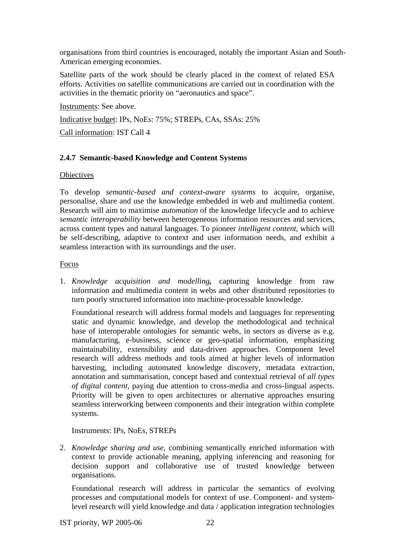organisations from third countries is encouraged, notably the important Asian and South-American emerging economies.

Satellite parts of the work should be clearly placed in the context of related ESA efforts. Activities on satellite communications are carried out in coordination with the activities in the thematic priority on "aeronautics and space".

Instruments: See above.

Indicative budget: IPs, NoEs: 75%; STREPs, CAs, SSAs: 25%

Call information: IST Call 4

# **2.4.7 Semantic-based Knowledge and Content Systems**

#### **Objectives**

To develop *semantic-based and context-aware systems* to acquire, organise, personalise, share and use the knowledge embedded in web and multimedia content. Research will aim to maximise *automation* of the knowledge lifecycle and to achieve *semantic interoperability* between heterogeneous information resources and services, across content types and natural languages. To pioneer *intelligent content*, which will be self-describing, adaptive to context and user information needs, and exhibit a seamless interaction with its surroundings and the user.

#### Focus

1. *Knowledge acquisition and modelling,* capturing knowledge from raw information and multimedia content in webs and other distributed repositories to turn poorly structured information into machine-processable knowledge.

Foundational research will address formal models and languages for representing static and dynamic knowledge, and develop the methodological and technical base of interoperable ontologies for semantic webs, in sectors as diverse as e.g. manufacturing, e-business, science or geo-spatial information, emphasizing maintainability, extensibility and data-driven approaches. Component level research will address methods and tools aimed at higher levels of information harvesting, including automated knowledge discovery, metadata extraction, annotation and summarisation, concept based and contextual retrieval of *all types of digital content,* paying due attention to cross-media and cross-lingual aspects. Priority will be given to open architectures or alternative approaches ensuring seamless interworking between components and their integration within complete systems.

Instruments: IPs, NoEs, STREPs

2. *Knowledge sharing and use*, combining semantically enriched information with context to provide actionable meaning, applying inferencing and reasoning for decision support and collaborative use of trusted knowledge between organisations.

Foundational research will address in particular the semantics of evolving processes and computational models for context of use. Component- and systemlevel research will yield knowledge and data / application integration technologies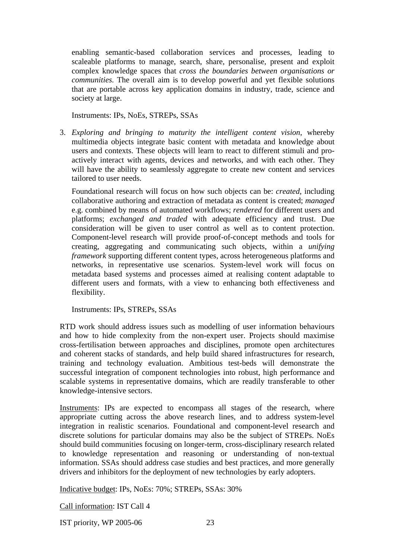enabling semantic-based collaboration services and processes, leading to scaleable platforms to manage, search, share, personalise, present and exploit complex knowledge spaces that *cross the boundaries between organisations or communities*. The overall aim is to develop powerful and yet flexible solutions that are portable across key application domains in industry, trade, science and society at large.

Instruments: IPs, NoEs, STREPs, SSAs

3. *Exploring and bringing to maturity the intelligent content vision*, whereby multimedia objects integrate basic content with metadata and knowledge about users and contexts. These objects will learn to react to different stimuli and proactively interact with agents, devices and networks, and with each other. They will have the ability to seamlessly aggregate to create new content and services tailored to user needs.

Foundational research will focus on how such objects can be: *created*, including collaborative authoring and extraction of metadata as content is created; *managed* e.g. combined by means of automated workflows; *rendered* for different users and platforms; *exchanged and traded* with adequate efficiency and trust. Due consideration will be given to user control as well as to content protection. Component-level research will provide proof-of-concept methods and tools for creating, aggregating and communicating such objects, within a *unifying framework* supporting different content types, across heterogeneous platforms and networks, in representative use scenarios. System-level work will focus on metadata based systems and processes aimed at realising content adaptable to different users and formats, with a view to enhancing both effectiveness and flexibility.

Instruments: IPs, STREPs, SSAs

RTD work should address issues such as modelling of user information behaviours and how to hide complexity from the non-expert user. Projects should maximise cross-fertilisation between approaches and disciplines, promote open architectures and coherent stacks of standards, and help build shared infrastructures for research, training and technology evaluation. Ambitious test-beds will demonstrate the successful integration of component technologies into robust, high performance and scalable systems in representative domains, which are readily transferable to other knowledge-intensive sectors.

Instruments: IPs are expected to encompass all stages of the research, where appropriate cutting across the above research lines, and to address system-level integration in realistic scenarios. Foundational and component-level research and discrete solutions for particular domains may also be the subject of STREPs. NoEs should build communities focusing on longer-term, cross-disciplinary research related to knowledge representation and reasoning or understanding of non-textual information. SSAs should address case studies and best practices, and more generally drivers and inhibitors for the deployment of new technologies by early adopters.

Indicative budget: IPs, NoEs: 70%; STREPs, SSAs: 30%

Call information: IST Call 4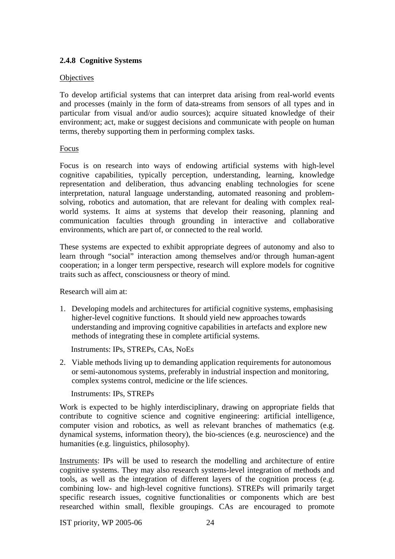# **2.4.8 Cognitive Systems**

#### **Objectives**

To develop artificial systems that can interpret data arising from real-world events and processes (mainly in the form of data-streams from sensors of all types and in particular from visual and/or audio sources); acquire situated knowledge of their environment; act, make or suggest decisions and communicate with people on human terms, thereby supporting them in performing complex tasks.

#### Focus

Focus is on research into ways of endowing artificial systems with high-level cognitive capabilities, typically perception, understanding, learning, knowledge representation and deliberation, thus advancing enabling technologies for scene interpretation, natural language understanding, automated reasoning and problemsolving, robotics and automation, that are relevant for dealing with complex realworld systems. It aims at systems that develop their reasoning, planning and communication faculties through grounding in interactive and collaborative environments, which are part of, or connected to the real world.

These systems are expected to exhibit appropriate degrees of autonomy and also to learn through "social" interaction among themselves and/or through human-agent cooperation; in a longer term perspective, research will explore models for cognitive traits such as affect, consciousness or theory of mind.

Research will aim at:

1. Developing models and architectures for artificial cognitive systems, emphasising higher-level cognitive functions. It should yield new approaches towards understanding and improving cognitive capabilities in artefacts and explore new methods of integrating these in complete artificial systems.

Instruments: IPs, STREPs, CAs, NoEs

2. Viable methods living up to demanding application requirements for autonomous or semi-autonomous systems, preferably in industrial inspection and monitoring, complex systems control, medicine or the life sciences.

#### Instruments: IPs, STREPs

Work is expected to be highly interdisciplinary, drawing on appropriate fields that contribute to cognitive science and cognitive engineering: artificial intelligence, computer vision and robotics, as well as relevant branches of mathematics (e.g. dynamical systems, information theory), the bio-sciences (e.g. neuroscience) and the humanities (e.g. linguistics, philosophy).

Instruments: IPs will be used to research the modelling and architecture of entire cognitive systems. They may also research systems-level integration of methods and tools, as well as the integration of different layers of the cognition process (e.g. combining low- and high-level cognitive functions). STREPs will primarily target specific research issues, cognitive functionalities or components which are best researched within small, flexible groupings. CAs are encouraged to promote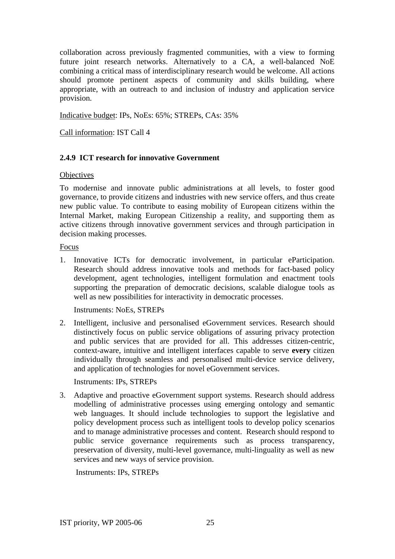collaboration across previously fragmented communities, with a view to forming future joint research networks. Alternatively to a CA, a well-balanced NoE combining a critical mass of interdisciplinary research would be welcome. All actions should promote pertinent aspects of community and skills building, where appropriate, with an outreach to and inclusion of industry and application service provision.

Indicative budget: IPs, NoEs: 65%; STREPs, CAs: 35%

Call information: IST Call 4

# **2.4.9 ICT research for innovative Government**

#### **Objectives**

To modernise and innovate public administrations at all levels, to foster good governance, to provide citizens and industries with new service offers, and thus create new public value. To contribute to easing mobility of European citizens within the Internal Market, making European Citizenship a reality, and supporting them as active citizens through innovative government services and through participation in decision making processes.

Focus

1. Innovative ICTs for democratic involvement, in particular eParticipation. Research should address innovative tools and methods for fact-based policy development, agent technologies, intelligent formulation and enactment tools supporting the preparation of democratic decisions, scalable dialogue tools as well as new possibilities for interactivity in democratic processes.

Instruments: NoEs, STREPs

2. Intelligent, inclusive and personalised eGovernment services. Research should distinctively focus on public service obligations of assuring privacy protection and public services that are provided for all. This addresses citizen-centric, context-aware, intuitive and intelligent interfaces capable to serve **every** citizen individually through seamless and personalised multi-device service delivery, and application of technologies for novel eGovernment services.

Instruments: IPs, STREPs

3. Adaptive and proactive eGovernment support systems. Research should address modelling of administrative processes using emerging ontology and semantic web languages. It should include technologies to support the legislative and policy development process such as intelligent tools to develop policy scenarios and to manage administrative processes and content. Research should respond to public service governance requirements such as process transparency, preservation of diversity, multi-level governance, multi-linguality as well as new services and new ways of service provision.

Instruments: IPs, STREPs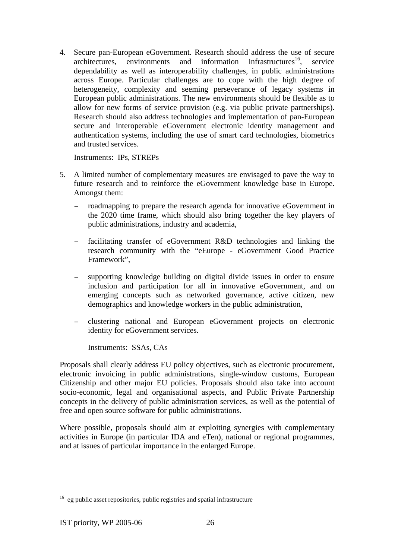4. Secure pan-European eGovernment. Research should address the use of secure  $architectures$ , environments and information infrastructures<sup>16</sup>, service dependability as well as interoperability challenges, in public administrations across Europe. Particular challenges are to cope with the high degree of heterogeneity, complexity and seeming perseverance of legacy systems in European public administrations. The new environments should be flexible as to allow for new forms of service provision (e.g. via public private partnerships). Research should also address technologies and implementation of pan-European secure and interoperable eGovernment electronic identity management and authentication systems, including the use of smart card technologies, biometrics and trusted services.

Instruments: IPs, STREPs

- 5. A limited number of complementary measures are envisaged to pave the way to future research and to reinforce the eGovernment knowledge base in Europe. Amongst them:
	- − roadmapping to prepare the research agenda for innovative eGovernment in the 2020 time frame, which should also bring together the key players of public administrations, industry and academia,
	- − facilitating transfer of eGovernment R&D technologies and linking the research community with the "eEurope - eGovernment Good Practice Framework",
	- − supporting knowledge building on digital divide issues in order to ensure inclusion and participation for all in innovative eGovernment, and on emerging concepts such as networked governance, active citizen, new demographics and knowledge workers in the public administration,
	- − clustering national and European eGovernment projects on electronic identity for eGovernment services.

Instruments: SSAs, CAs

Proposals shall clearly address EU policy objectives, such as electronic procurement, electronic invoicing in public administrations, single-window customs, European Citizenship and other major EU policies. Proposals should also take into account socio-economic, legal and organisational aspects, and Public Private Partnership concepts in the delivery of public administration services, as well as the potential of free and open source software for public administrations.

Where possible, proposals should aim at exploiting synergies with complementary activities in Europe (in particular IDA and eTen), national or regional programmes, and at issues of particular importance in the enlarged Europe.

<sup>&</sup>lt;sup>16</sup> eg public asset repositories, public registries and spatial infrastructure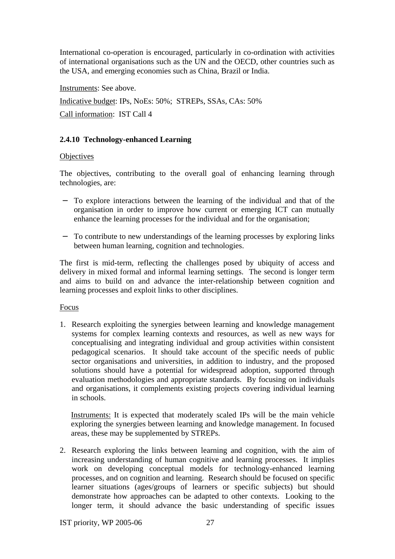International co-operation is encouraged, particularly in co-ordination with activities of international organisations such as the UN and the OECD, other countries such as the USA, and emerging economies such as China, Brazil or India.

Instruments: See above.

Indicative budget: IPs, NoEs: 50%; STREPs, SSAs, CAs: 50%

Call information: IST Call 4

# **2.4.10 Technology-enhanced Learning**

#### **Objectives**

The objectives, contributing to the overall goal of enhancing learning through technologies, are:

- − To explore interactions between the learning of the individual and that of the organisation in order to improve how current or emerging ICT can mutually enhance the learning processes for the individual and for the organisation;
- − To contribute to new understandings of the learning processes by exploring links between human learning, cognition and technologies.

The first is mid-term, reflecting the challenges posed by ubiquity of access and delivery in mixed formal and informal learning settings. The second is longer term and aims to build on and advance the inter-relationship between cognition and learning processes and exploit links to other disciplines.

Focus

1. Research exploiting the synergies between learning and knowledge management systems for complex learning contexts and resources, as well as new ways for conceptualising and integrating individual and group activities within consistent pedagogical scenarios. It should take account of the specific needs of public sector organisations and universities, in addition to industry, and the proposed solutions should have a potential for widespread adoption, supported through evaluation methodologies and appropriate standards. By focusing on individuals and organisations, it complements existing projects covering individual learning in schools.

Instruments: It is expected that moderately scaled IPs will be the main vehicle exploring the synergies between learning and knowledge management. In focused areas, these may be supplemented by STREPs.

2. Research exploring the links between learning and cognition, with the aim of increasing understanding of human cognitive and learning processes. It implies work on developing conceptual models for technology-enhanced learning processes, and on cognition and learning. Research should be focused on specific learner situations (ages/groups of learners or specific subjects) but should demonstrate how approaches can be adapted to other contexts. Looking to the longer term, it should advance the basic understanding of specific issues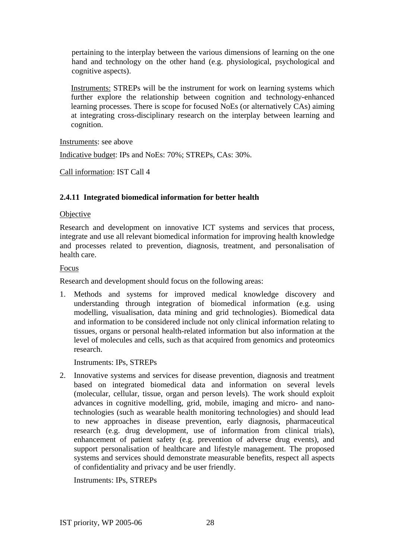pertaining to the interplay between the various dimensions of learning on the one hand and technology on the other hand (e.g. physiological, psychological and cognitive aspects).

Instruments: STREPs will be the instrument for work on learning systems which further explore the relationship between cognition and technology-enhanced learning processes. There is scope for focused NoEs (or alternatively CAs) aiming at integrating cross-disciplinary research on the interplay between learning and cognition.

Instruments: see above

Indicative budget: IPs and NoEs: 70%; STREPs, CAs: 30%.

Call information: IST Call 4

#### **2.4.11 Integrated biomedical information for better health**

#### **Objective**

Research and development on innovative ICT systems and services that process, integrate and use all relevant biomedical information for improving health knowledge and processes related to prevention, diagnosis, treatment, and personalisation of health care.

#### Focus

Research and development should focus on the following areas:

1. Methods and systems for improved medical knowledge discovery and understanding through integration of biomedical information (e.g. using modelling, visualisation, data mining and grid technologies). Biomedical data and information to be considered include not only clinical information relating to tissues, organs or personal health-related information but also information at the level of molecules and cells, such as that acquired from genomics and proteomics research.

Instruments: IPs, STREPs

2. Innovative systems and services for disease prevention, diagnosis and treatment based on integrated biomedical data and information on several levels (molecular, cellular, tissue, organ and person levels). The work should exploit advances in cognitive modelling, grid, mobile, imaging and micro- and nanotechnologies (such as wearable health monitoring technologies) and should lead to new approaches in disease prevention, early diagnosis, pharmaceutical research (e.g. drug development, use of information from clinical trials), enhancement of patient safety (e.g. prevention of adverse drug events), and support personalisation of healthcare and lifestyle management. The proposed systems and services should demonstrate measurable benefits, respect all aspects of confidentiality and privacy and be user friendly.

Instruments: IPs, STREPs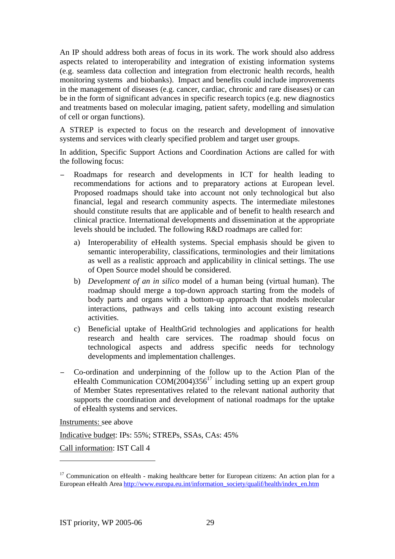An IP should address both areas of focus in its work. The work should also address aspects related to interoperability and integration of existing information systems (e.g. seamless data collection and integration from electronic health records, health monitoring systems and biobanks). Impact and benefits could include improvements in the management of diseases (e.g. cancer, cardiac, chronic and rare diseases) or can be in the form of significant advances in specific research topics (e.g. new diagnostics and treatments based on molecular imaging, patient safety, modelling and simulation of cell or organ functions).

A STREP is expected to focus on the research and development of innovative systems and services with clearly specified problem and target user groups.

In addition, Specific Support Actions and Coordination Actions are called for with the following focus:

- Roadmaps for research and developments in ICT for health leading to recommendations for actions and to preparatory actions at European level. Proposed roadmaps should take into account not only technological but also financial, legal and research community aspects. The intermediate milestones should constitute results that are applicable and of benefit to health research and clinical practice. International developments and dissemination at the appropriate levels should be included. The following R&D roadmaps are called for:
	- a) Interoperability of eHealth systems. Special emphasis should be given to semantic interoperability, classifications, terminologies and their limitations as well as a realistic approach and applicability in clinical settings. The use of Open Source model should be considered.
	- b) *Development of an in silico* model of a human being (virtual human). The roadmap should merge a top-down approach starting from the models of body parts and organs with a bottom-up approach that models molecular interactions, pathways and cells taking into account existing research activities.
	- c) Beneficial uptake of HealthGrid technologies and applications for health research and health care services. The roadmap should focus on technological aspects and address specific needs for technology developments and implementation challenges.
- − Co-ordination and underpinning of the follow up to the Action Plan of the eHealth Communication  $COM(2004)356^{17}$  including setting up an expert group of Member States representatives related to the relevant national authority that supports the coordination and development of national roadmaps for the uptake of eHealth systems and services.

Instruments: see above

 $\overline{a}$ 

Indicative budget: IPs: 55%; STREPs, SSAs, CAs: 45%

Call information: IST Call 4

<sup>&</sup>lt;sup>17</sup> Communication on eHealth - making healthcare better for European citizens: An action plan for a European eHealth Area http://www.europa.eu.int/information\_society/qualif/health/index\_en.htm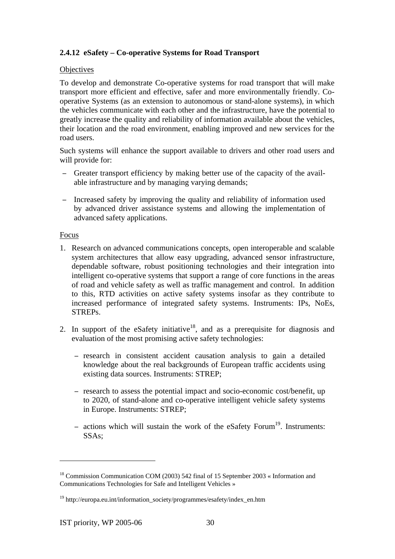# **2.4.12 eSafety – Co-operative Systems for Road Transport**

#### **Objectives**

To develop and demonstrate Co-operative systems for road transport that will make transport more efficient and effective, safer and more environmentally friendly. Cooperative Systems (as an extension to autonomous or stand-alone systems), in which the vehicles communicate with each other and the infrastructure, have the potential to greatly increase the quality and reliability of information available about the vehicles, their location and the road environment, enabling improved and new services for the road users.

Such systems will enhance the support available to drivers and other road users and will provide for:

- − Greater transport efficiency by making better use of the capacity of the available infrastructure and by managing varying demands;
- − Increased safety by improving the quality and reliability of information used by advanced driver assistance systems and allowing the implementation of advanced safety applications.

#### Focus

- 1. Research on advanced communications concepts, open interoperable and scalable system architectures that allow easy upgrading, advanced sensor infrastructure, dependable software, robust positioning technologies and their integration into intelligent co-operative systems that support a range of core functions in the areas of road and vehicle safety as well as traffic management and control. In addition to this, RTD activities on active safety systems insofar as they contribute to increased performance of integrated safety systems. Instruments: IPs, NoEs, STREPs.
- 2. In support of the eSafety initiative<sup>18</sup>, and as a prerequisite for diagnosis and evaluation of the most promising active safety technologies:
	- − research in consistent accident causation analysis to gain a detailed knowledge about the real backgrounds of European traffic accidents using existing data sources. Instruments: STREP;
	- − research to assess the potential impact and socio-economic cost/benefit, up to 2020, of stand-alone and co-operative intelligent vehicle safety systems in Europe. Instruments: STREP;
	- − actions which will sustain the work of the eSafety Forum<sup>19</sup>. Instruments: SSAs;

<sup>&</sup>lt;sup>18</sup> Commission Communication COM (2003) 542 final of 15 September 2003 « Information and Communications Technologies for Safe and Intelligent Vehicles »

<sup>&</sup>lt;sup>19</sup> http://europa.eu.int/information\_society/programmes/esafety/index\_en.htm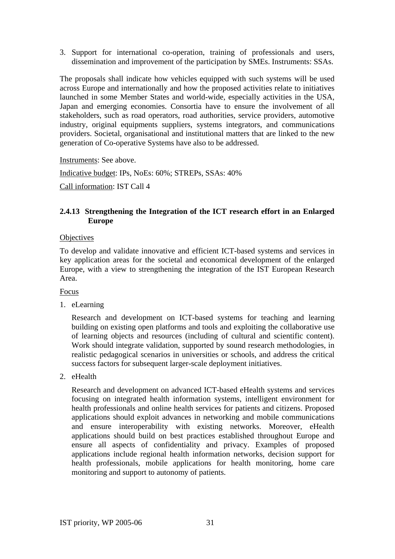3. Support for international co-operation, training of professionals and users, dissemination and improvement of the participation by SMEs. Instruments: SSAs.

The proposals shall indicate how vehicles equipped with such systems will be used across Europe and internationally and how the proposed activities relate to initiatives launched in some Member States and world-wide, especially activities in the USA, Japan and emerging economies. Consortia have to ensure the involvement of all stakeholders, such as road operators, road authorities, service providers, automotive industry, original equipments suppliers, systems integrators, and communications providers. Societal, organisational and institutional matters that are linked to the new generation of Co-operative Systems have also to be addressed.

Instruments: See above.

Indicative budget: IPs, NoEs: 60%; STREPs, SSAs: 40%

Call information: IST Call 4

# **2.4.13 Strengthening the Integration of the ICT research effort in an Enlarged Europe**

#### **Objectives**

To develop and validate innovative and efficient ICT-based systems and services in key application areas for the societal and economical development of the enlarged Europe, with a view to strengthening the integration of the IST European Research Area.

#### Focus

1. eLearning

Research and development on ICT-based systems for teaching and learning building on existing open platforms and tools and exploiting the collaborative use of learning objects and resources (including of cultural and scientific content). Work should integrate validation, supported by sound research methodologies, in realistic pedagogical scenarios in universities or schools, and address the critical success factors for subsequent larger-scale deployment initiatives.

2. eHealth

Research and development on advanced ICT-based eHealth systems and services focusing on integrated health information systems, intelligent environment for health professionals and online health services for patients and citizens. Proposed applications should exploit advances in networking and mobile communications and ensure interoperability with existing networks. Moreover, eHealth applications should build on best practices established throughout Europe and ensure all aspects of confidentiality and privacy. Examples of proposed applications include regional health information networks, decision support for health professionals, mobile applications for health monitoring, home care monitoring and support to autonomy of patients.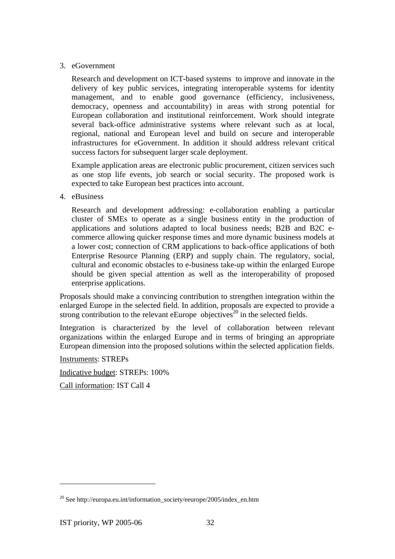#### 3. eGovernment

Research and development on ICT-based systems to improve and innovate in the delivery of key public services, integrating interoperable systems for identity management, and to enable good governance (efficiency, inclusiveness, democracy, openness and accountability) in areas with strong potential for European collaboration and institutional reinforcement. Work should integrate several back-office administrative systems where relevant such as at local, regional, national and European level and build on secure and interoperable infrastructures for eGovernment. In addition it should address relevant critical success factors for subsequent larger scale deployment.

Example application areas are electronic public procurement, citizen services such as one stop life events, job search or social security. The proposed work is expected to take European best practices into account.

4. eBusiness

Research and development addressing: e-collaboration enabling a particular cluster of SMEs to operate as a single business entity in the production of applications and solutions adapted to local business needs; B2B and B2C ecommerce allowing quicker response times and more dynamic business models at a lower cost; connection of CRM applications to back-office applications of both Enterprise Resource Planning (ERP) and supply chain. The regulatory, social, cultural and economic obstacles to e-business take-up within the enlarged Europe should be given special attention as well as the interoperability of proposed enterprise applications.

Proposals should make a convincing contribution to strengthen integration within the enlarged Europe in the selected field. In addition, proposals are expected to provide a strong contribution to the relevant eEurope objectives<sup>20</sup> in the selected fields.

Integration is characterized by the level of collaboration between relevant organizations within the enlarged Europe and in terms of bringing an appropriate European dimension into the proposed solutions within the selected application fields.

Instruments: STREPs

Indicative budget: STREPs: 100%

Call information: IST Call 4

<sup>&</sup>lt;sup>20</sup> See http://europa.eu.int/information\_society/eeurope/2005/index\_en.htm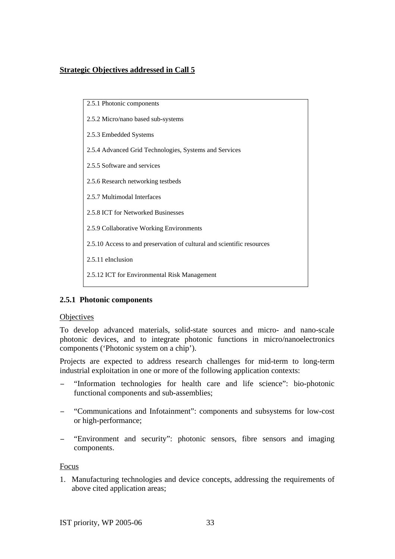# **Strategic Objectives addressed in Call 5**



# **2.5.1 Photonic components**

#### **Objectives**

To develop advanced materials, solid-state sources and micro- and nano-scale photonic devices, and to integrate photonic functions in micro/nanoelectronics components ('Photonic system on a chip').

Projects are expected to address research challenges for mid-term to long-term industrial exploitation in one or more of the following application contexts:

- "Information technologies for health care and life science": bio-photonic functional components and sub-assemblies;
- − "Communications and Infotainment": components and subsystems for low-cost or high-performance;
- − "Environment and security": photonic sensors, fibre sensors and imaging components.

Focus

1. Manufacturing technologies and device concepts, addressing the requirements of above cited application areas;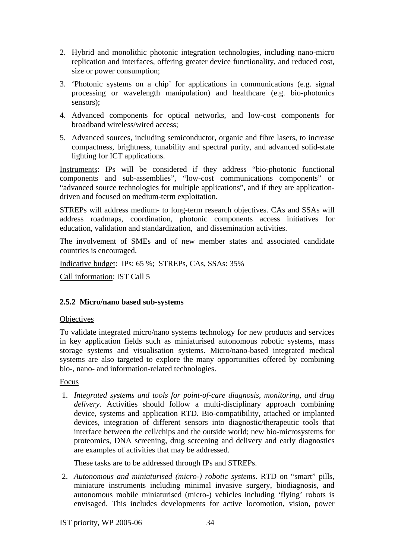- 2. Hybrid and monolithic photonic integration technologies, including nano-micro replication and interfaces, offering greater device functionality, and reduced cost, size or power consumption;
- 3. 'Photonic systems on a chip' for applications in communications (e.g. signal processing or wavelength manipulation) and healthcare (e.g. bio-photonics sensors);
- 4. Advanced components for optical networks, and low-cost components for broadband wireless/wired access;
- 5. Advanced sources, including semiconductor, organic and fibre lasers, to increase compactness, brightness, tunability and spectral purity, and advanced solid-state lighting for ICT applications.

Instruments: IPs will be considered if they address "bio-photonic functional components and sub-assemblies", "low-cost communications components" or "advanced source technologies for multiple applications", and if they are applicationdriven and focused on medium-term exploitation.

STREPs will address medium- to long-term research objectives. CAs and SSAs will address roadmaps, coordination, photonic components access initiatives for education, validation and standardization, and dissemination activities.

The involvement of SMEs and of new member states and associated candidate countries is encouraged.

Indicative budget: IPs: 65 %; STREPs, CAs, SSAs: 35%

Call information: IST Call 5

# **2.5.2 Micro/nano based sub-systems**

#### **Objectives**

To validate integrated micro/nano systems technology for new products and services in key application fields such as miniaturised autonomous robotic systems, mass storage systems and visualisation systems. Micro/nano-based integrated medical systems are also targeted to explore the many opportunities offered by combining bio-, nano- and information-related technologies.

# Focus

1. *Integrated systems and tools for point-of-care diagnosis, monitoring, and drug delivery.* Activities should follow a multi-disciplinary approach combining device, systems and application RTD. Bio-compatibility, attached or implanted devices, integration of different sensors into diagnostic/therapeutic tools that interface between the cell/chips and the outside world; new bio-microsystems for proteomics, DNA screening, drug screening and delivery and early diagnostics are examples of activities that may be addressed.

These tasks are to be addressed through IPs and STREPs.

2. *Autonomous and miniaturised (micro-) robotic systems.* RTD on "smart" pills, miniature instruments including minimal invasive surgery, biodiagnosis, and autonomous mobile miniaturised (micro-) vehicles including 'flying' robots is envisaged. This includes developments for active locomotion, vision, power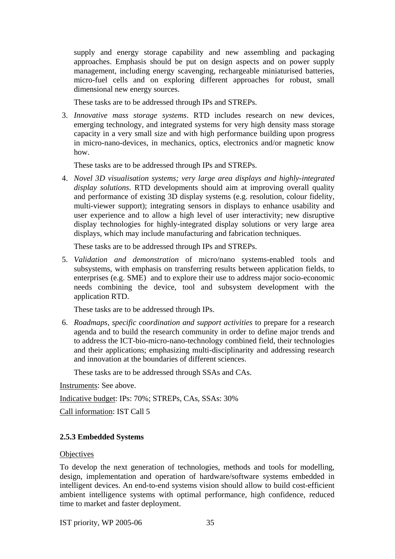supply and energy storage capability and new assembling and packaging approaches. Emphasis should be put on design aspects and on power supply management, including energy scavenging, rechargeable miniaturised batteries, micro-fuel cells and on exploring different approaches for robust, small dimensional new energy sources.

These tasks are to be addressed through IPs and STREPs.

3. *Innovative mass storage systems*. RTD includes research on new devices, emerging technology, and integrated systems for very high density mass storage capacity in a very small size and with high performance building upon progress in micro-nano-devices, in mechanics, optics, electronics and/or magnetic know how.

These tasks are to be addressed through IPs and STREPs.

4. *Novel 3D visualisation systems; very large area displays and highly-integrated display solutions*. RTD developments should aim at improving overall quality and performance of existing 3D display systems (e.g. resolution, colour fidelity, multi-viewer support); integrating sensors in displays to enhance usability and user experience and to allow a high level of user interactivity; new disruptive display technologies for highly-integrated display solutions or very large area displays, which may include manufacturing and fabrication techniques.

These tasks are to be addressed through IPs and STREPs.

5. *Validation and demonstration* of micro/nano systems-enabled tools and subsystems, with emphasis on transferring results between application fields, to enterprises (e.g. SME) and to explore their use to address major socio-economic needs combining the device, tool and subsystem development with the application RTD.

These tasks are to be addressed through IPs.

6. *Roadmaps, specific coordination and support activities* to prepare for a research agenda and to build the research community in order to define major trends and to address the ICT-bio-micro-nano-technology combined field, their technologies and their applications; emphasizing multi-disciplinarity and addressing research and innovation at the boundaries of different sciences.

These tasks are to be addressed through SSAs and CAs.

Instruments: See above.

Indicative budget: IPs: 70%; STREPs, CAs, SSAs: 30%

Call information: IST Call 5

#### **2.5.3 Embedded Systems**

#### **Objectives**

To develop the next generation of technologies, methods and tools for modelling, design, implementation and operation of hardware/software systems embedded in intelligent devices. An end-to-end systems vision should allow to build cost-efficient ambient intelligence systems with optimal performance, high confidence, reduced time to market and faster deployment.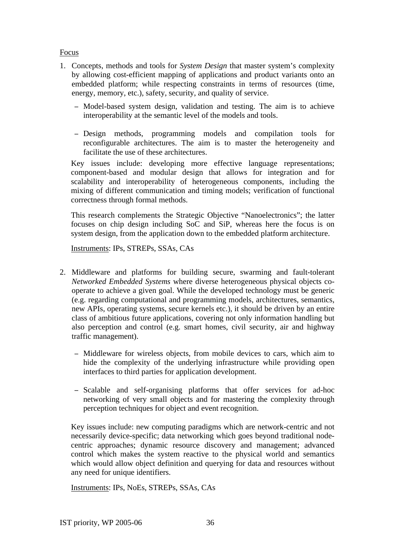#### Focus

- 1. Concepts, methods and tools for *System Design* that master system's complexity by allowing cost-efficient mapping of applications and product variants onto an embedded platform; while respecting constraints in terms of resources (time, energy, memory, etc.), safety, security, and quality of service.
	- − Model-based system design, validation and testing. The aim is to achieve interoperability at the semantic level of the models and tools.
	- − Design methods, programming models and compilation tools for reconfigurable architectures. The aim is to master the heterogeneity and facilitate the use of these architectures.

Key issues include: developing more effective language representations; component-based and modular design that allows for integration and for scalability and interoperability of heterogeneous components, including the mixing of different communication and timing models; verification of functional correctness through formal methods.

This research complements the Strategic Objective "Nanoelectronics"; the latter focuses on chip design including SoC and SiP, whereas here the focus is on system design, from the application down to the embedded platform architecture.

Instruments: IPs, STREPs, SSAs, CAs

- 2. Middleware and platforms for building secure, swarming and fault-tolerant *Networked Embedded Systems* where diverse heterogeneous physical objects cooperate to achieve a given goal. While the developed technology must be generic (e.g. regarding computational and programming models, architectures, semantics, new APIs, operating systems, secure kernels etc.), it should be driven by an entire class of ambitious future applications, covering not only information handling but also perception and control (e.g. smart homes, civil security, air and highway traffic management).
	- − Middleware for wireless objects, from mobile devices to cars, which aim to hide the complexity of the underlying infrastructure while providing open interfaces to third parties for application development.
	- − Scalable and self-organising platforms that offer services for ad-hoc networking of very small objects and for mastering the complexity through perception techniques for object and event recognition.

Key issues include: new computing paradigms which are network-centric and not necessarily device-specific; data networking which goes beyond traditional nodecentric approaches; dynamic resource discovery and management; advanced control which makes the system reactive to the physical world and semantics which would allow object definition and querying for data and resources without any need for unique identifiers.

Instruments: IPs, NoEs, STREPs, SSAs, CAs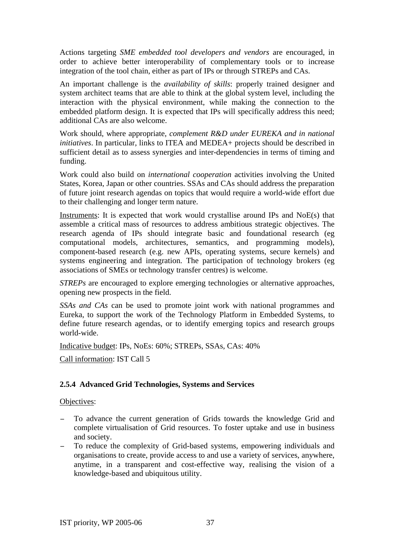Actions targeting *SME embedded tool developers and vendors* are encouraged, in order to achieve better interoperability of complementary tools or to increase integration of the tool chain, either as part of IPs or through STREPs and CAs.

An important challenge is the *availability of skills*: properly trained designer and system architect teams that are able to think at the global system level, including the interaction with the physical environment, while making the connection to the embedded platform design. It is expected that IPs will specifically address this need; additional CAs are also welcome.

Work should, where appropriate, *complement R&D under EUREKA and in national initiatives*. In particular, links to ITEA and MEDEA+ projects should be described in sufficient detail as to assess synergies and inter-dependencies in terms of timing and funding.

Work could also build on *international cooperation* activities involving the United States, Korea, Japan or other countries. SSAs and CAs should address the preparation of future joint research agendas on topics that would require a world-wide effort due to their challenging and longer term nature.

Instruments: It is expected that work would crystallise around IPs and NoE(s) that assemble a critical mass of resources to address ambitious strategic objectives. The research agenda of IPs should integrate basic and foundational research (eg computational models, architectures, semantics, and programming models), component-based research (e.g. new APIs, operating systems, secure kernels) and systems engineering and integration. The participation of technology brokers (eg associations of SMEs or technology transfer centres) is welcome.

*STREPs* are encouraged to explore emerging technologies or alternative approaches, opening new prospects in the field.

*SSAs and CAs* can be used to promote joint work with national programmes and Eureka, to support the work of the Technology Platform in Embedded Systems, to define future research agendas, or to identify emerging topics and research groups world-wide.

Indicative budget: IPs, NoEs: 60%; STREPs, SSAs, CAs: 40%

Call information: IST Call 5

## **2.5.4 Advanced Grid Technologies, Systems and Services**

### Objectives:

- − To advance the current generation of Grids towards the knowledge Grid and complete virtualisation of Grid resources. To foster uptake and use in business and society.
- To reduce the complexity of Grid-based systems, empowering individuals and organisations to create, provide access to and use a variety of services, anywhere, anytime, in a transparent and cost-effective way, realising the vision of a knowledge-based and ubiquitous utility.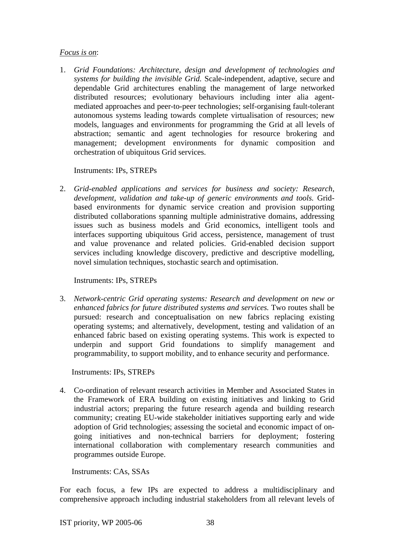### *Focus is on*:

1. *Grid Foundations: Architecture, design and development of technologies and systems for building the invisible Grid.* Scale-independent, adaptive, secure and dependable Grid architectures enabling the management of large networked distributed resources; evolutionary behaviours including inter alia agentmediated approaches and peer-to-peer technologies; self-organising fault-tolerant autonomous systems leading towards complete virtualisation of resources; new models, languages and environments for programming the Grid at all levels of abstraction; semantic and agent technologies for resource brokering and management; development environments for dynamic composition and orchestration of ubiquitous Grid services.

## Instruments: IPs, STREPs

2. *Grid-enabled applications and services for business and society: Research, development, validation and take-up of generic environments and tools.* Gridbased environments for dynamic service creation and provision supporting distributed collaborations spanning multiple administrative domains, addressing issues such as business models and Grid economics, intelligent tools and interfaces supporting ubiquitous Grid access, persistence, management of trust and value provenance and related policies. Grid-enabled decision support services including knowledge discovery, predictive and descriptive modelling, novel simulation techniques, stochastic search and optimisation.

Instruments: IPs, STREPs

3. *Network-centric Grid operating systems: Research and development on new or enhanced fabrics for future distributed systems and services.* Two routes shall be pursued: research and conceptualisation on new fabrics replacing existing operating systems; and alternatively, development, testing and validation of an enhanced fabric based on existing operating systems. This work is expected to underpin and support Grid foundations to simplify management and programmability, to support mobility, and to enhance security and performance.

Instruments: IPs, STREPs

4. Co-ordination of relevant research activities in Member and Associated States in the Framework of ERA building on existing initiatives and linking to Grid industrial actors; preparing the future research agenda and building research community; creating EU-wide stakeholder initiatives supporting early and wide adoption of Grid technologies; assessing the societal and economic impact of ongoing initiatives and non-technical barriers for deployment; fostering international collaboration with complementary research communities and programmes outside Europe.

Instruments: CAs, SSAs

For each focus, a few IPs are expected to address a multidisciplinary and comprehensive approach including industrial stakeholders from all relevant levels of

IST priority, WP 2005-06 38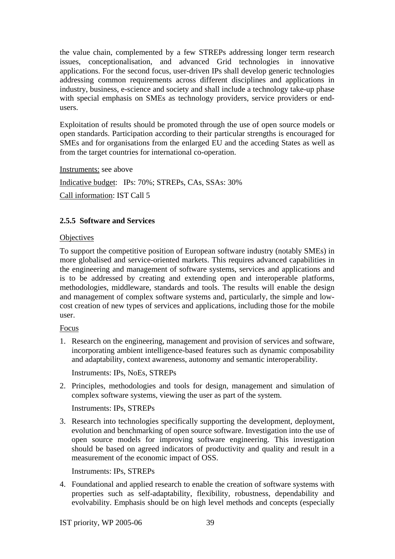the value chain, complemented by a few STREPs addressing longer term research issues, conceptionalisation, and advanced Grid technologies in innovative applications. For the second focus, user-driven IPs shall develop generic technologies addressing common requirements across different disciplines and applications in industry, business, e-science and society and shall include a technology take-up phase with special emphasis on SMEs as technology providers, service providers or endusers.

Exploitation of results should be promoted through the use of open source models or open standards. Participation according to their particular strengths is encouraged for SMEs and for organisations from the enlarged EU and the acceding States as well as from the target countries for international co-operation.

Instruments: see above

Indicative budget: IPs: 70%; STREPs, CAs, SSAs: 30% Call information: IST Call 5

## **2.5.5 Software and Services**

## **Objectives**

To support the competitive position of European software industry (notably SMEs) in more globalised and service-oriented markets. This requires advanced capabilities in the engineering and management of software systems, services and applications and is to be addressed by creating and extending open and interoperable platforms, methodologies, middleware, standards and tools. The results will enable the design and management of complex software systems and, particularly, the simple and lowcost creation of new types of services and applications, including those for the mobile user.

## Focus

1. Research on the engineering, management and provision of services and software, incorporating ambient intelligence-based features such as dynamic composability and adaptability, context awareness, autonomy and semantic interoperability.

Instruments: IPs, NoEs, STREPs

2. Principles, methodologies and tools for design, management and simulation of complex software systems, viewing the user as part of the system.

Instruments: IPs, STREPs

3. Research into technologies specifically supporting the development, deployment, evolution and benchmarking of open source software. Investigation into the use of open source models for improving software engineering. This investigation should be based on agreed indicators of productivity and quality and result in a measurement of the economic impact of OSS.

Instruments: IPs, STREPs

4. Foundational and applied research to enable the creation of software systems with properties such as self-adaptability, flexibility, robustness, dependability and evolvability. Emphasis should be on high level methods and concepts (especially

IST priority, WP 2005-06 39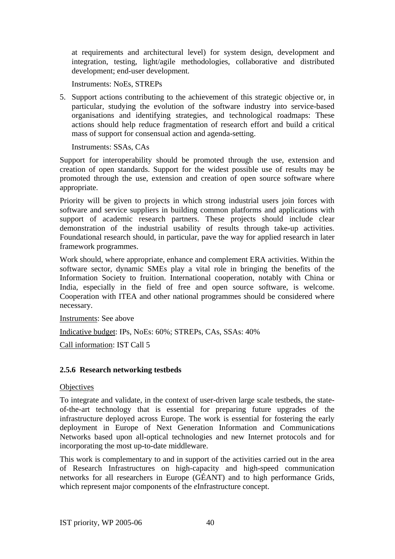at requirements and architectural level) for system design, development and integration, testing, light/agile methodologies, collaborative and distributed development; end-user development.

Instruments: NoEs, STREPs

5. Support actions contributing to the achievement of this strategic objective or, in particular, studying the evolution of the software industry into service-based organisations and identifying strategies, and technological roadmaps: These actions should help reduce fragmentation of research effort and build a critical mass of support for consensual action and agenda-setting.

Instruments: SSAs, CAs

Support for interoperability should be promoted through the use, extension and creation of open standards. Support for the widest possible use of results may be promoted through the use, extension and creation of open source software where appropriate.

Priority will be given to projects in which strong industrial users join forces with software and service suppliers in building common platforms and applications with support of academic research partners. These projects should include clear demonstration of the industrial usability of results through take-up activities. Foundational research should, in particular, pave the way for applied research in later framework programmes.

Work should, where appropriate, enhance and complement ERA activities. Within the software sector, dynamic SMEs play a vital role in bringing the benefits of the Information Society to fruition. International cooperation, notably with China or India, especially in the field of free and open source software, is welcome. Cooperation with ITEA and other national programmes should be considered where necessary.

Instruments: See above

Indicative budget: IPs, NoEs: 60%; STREPs, CAs, SSAs: 40%

Call information: IST Call 5

### **2.5.6 Research networking testbeds**

#### **Objectives**

To integrate and validate, in the context of user-driven large scale testbeds, the stateof-the-art technology that is essential for preparing future upgrades of the infrastructure deployed across Europe. The work is essential for fostering the early deployment in Europe of Next Generation Information and Communications Networks based upon all-optical technologies and new Internet protocols and for incorporating the most up-to-date middleware.

This work is complementary to and in support of the activities carried out in the area of Research Infrastructures on high-capacity and high-speed communication networks for all researchers in Europe (GÉANT) and to high performance Grids, which represent major components of the *e*Infrastructure concept.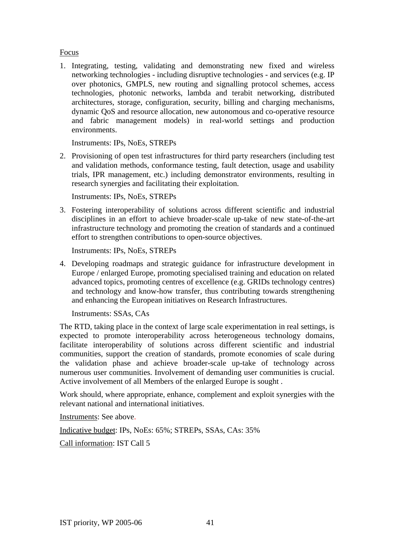## Focus

1. Integrating, testing, validating and demonstrating new fixed and wireless networking technologies - including disruptive technologies - and services (e.g. IP over photonics, GMPLS, new routing and signalling protocol schemes, access technologies, photonic networks, lambda and terabit networking, distributed architectures, storage, configuration, security, billing and charging mechanisms, dynamic QoS and resource allocation, new autonomous and co-operative resource and fabric management models) in real-world settings and production environments.

Instruments: IPs, NoEs, STREPs

2. Provisioning of open test infrastructures for third party researchers (including test and validation methods, conformance testing, fault detection, usage and usability trials, IPR management, etc.) including demonstrator environments, resulting in research synergies and facilitating their exploitation.

Instruments: IPs, NoEs, STREPs

3. Fostering interoperability of solutions across different scientific and industrial disciplines in an effort to achieve broader-scale up-take of new state-of-the-art infrastructure technology and promoting the creation of standards and a continued effort to strengthen contributions to open-source objectives.

Instruments: IPs, NoEs, STREPs

4. Developing roadmaps and strategic guidance for infrastructure development in Europe / enlarged Europe, promoting specialised training and education on related advanced topics, promoting centres of excellence (e.g. GRIDs technology centres) and technology and know-how transfer, thus contributing towards strengthening and enhancing the European initiatives on Research Infrastructures.

Instruments: SSAs, CAs

The RTD, taking place in the context of large scale experimentation in real settings, is expected to promote interoperability across heterogeneous technology domains, facilitate interoperability of solutions across different scientific and industrial communities, support the creation of standards, promote economies of scale during the validation phase and achieve broader-scale up-take of technology across numerous user communities. Involvement of demanding user communities is crucial. Active involvement of all Members of the enlarged Europe is sought .

Work should, where appropriate, enhance, complement and exploit synergies with the relevant national and international initiatives.

Instruments: See above.

Indicative budget: IPs, NoEs: 65%; STREPs, SSAs, CAs: 35%

Call information: IST Call 5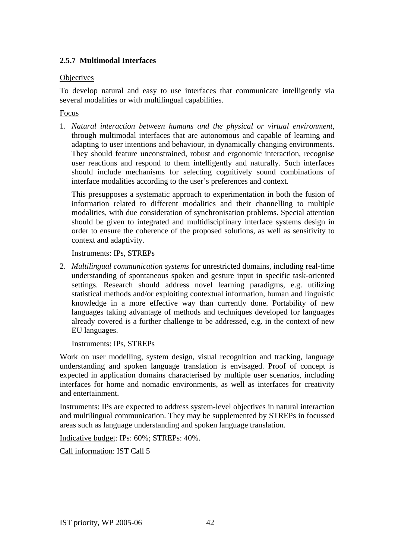## **2.5.7 Multimodal Interfaces**

## **Objectives**

To develop natural and easy to use interfaces that communicate intelligently via several modalities or with multilingual capabilities.

## Focus

1. *Natural interaction between humans and the physical or virtual environment*, through multimodal interfaces that are autonomous and capable of learning and adapting to user intentions and behaviour, in dynamically changing environments. They should feature unconstrained, robust and ergonomic interaction, recognise user reactions and respond to them intelligently and naturally. Such interfaces should include mechanisms for selecting cognitively sound combinations of interface modalities according to the user's preferences and context.

This presupposes a systematic approach to experimentation in both the fusion of information related to different modalities and their channelling to multiple modalities, with due consideration of synchronisation problems. Special attention should be given to integrated and multidisciplinary interface systems design in order to ensure the coherence of the proposed solutions, as well as sensitivity to context and adaptivity.

Instruments: IPs, STREPs

2. *Multilingual communication systems* for unrestricted domains, including real-time understanding of spontaneous spoken and gesture input in specific task-oriented settings. Research should address novel learning paradigms, e.g. utilizing statistical methods and/or exploiting contextual information, human and linguistic knowledge in a more effective way than currently done. Portability of new languages taking advantage of methods and techniques developed for languages already covered is a further challenge to be addressed, e.g. in the context of new EU languages.

Instruments: IPs, STREPs

Work on user modelling, system design, visual recognition and tracking, language understanding and spoken language translation is envisaged. Proof of concept is expected in application domains characterised by multiple user scenarios, including interfaces for home and nomadic environments, as well as interfaces for creativity and entertainment.

Instruments: IPs are expected to address system-level objectives in natural interaction and multilingual communication. They may be supplemented by STREPs in focussed areas such as language understanding and spoken language translation.

Indicative budget: IPs: 60%; STREPs: 40%.

Call information: IST Call 5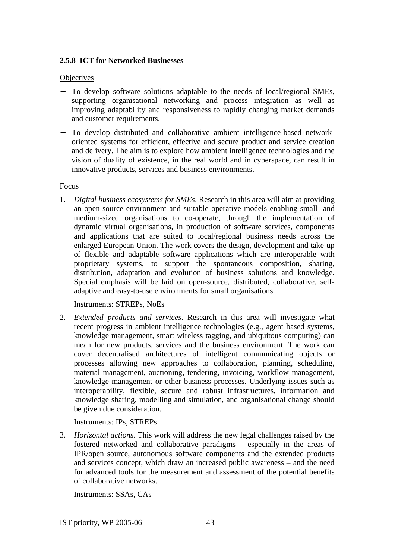## **2.5.8 ICT for Networked Businesses**

### **Objectives**

- − To develop software solutions adaptable to the needs of local/regional SMEs, supporting organisational networking and process integration as well as improving adaptability and responsiveness to rapidly changing market demands and customer requirements.
- − To develop distributed and collaborative ambient intelligence-based networkoriented systems for efficient, effective and secure product and service creation and delivery. The aim is to explore how ambient intelligence technologies and the vision of duality of existence, in the real world and in cyberspace, can result in innovative products, services and business environments.

### Focus

1. *Digital business ecosystems for SMEs*. Research in this area will aim at providing an open-source environment and suitable operative models enabling small- and medium-sized organisations to co-operate, through the implementation of dynamic virtual organisations, in production of software services, components and applications that are suited to local/regional business needs across the enlarged European Union. The work covers the design, development and take-up of flexible and adaptable software applications which are interoperable with proprietary systems, to support the spontaneous composition, sharing, distribution, adaptation and evolution of business solutions and knowledge. Special emphasis will be laid on open-source, distributed, collaborative, selfadaptive and easy-to-use environments for small organisations.

Instruments: STREPs, NoEs

2. *Extended products and services*. Research in this area will investigate what recent progress in ambient intelligence technologies (e.g., agent based systems, knowledge management, smart wireless tagging, and ubiquitous computing) can mean for new products, services and the business environment. The work can cover decentralised architectures of intelligent communicating objects or processes allowing new approaches to collaboration, planning, scheduling, material management, auctioning, tendering, invoicing, workflow management, knowledge management or other business processes. Underlying issues such as interoperability, flexible, secure and robust infrastructures, information and knowledge sharing, modelling and simulation, and organisational change should be given due consideration.

Instruments: IPs, STREPs

3. *Horizontal actions*. This work will address the new legal challenges raised by the fostered networked and collaborative paradigms – especially in the areas of IPR/open source, autonomous software components and the extended products and services concept, which draw an increased public awareness – and the need for advanced tools for the measurement and assessment of the potential benefits of collaborative networks.

Instruments: SSAs, CAs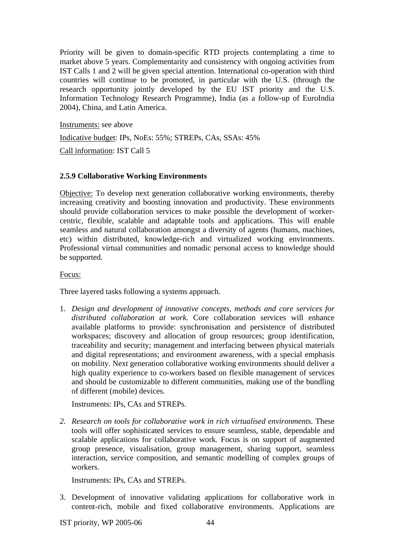Priority will be given to domain-specific RTD projects contemplating a time to market above 5 years. Complementarity and consistency with ongoing activities from IST Calls 1 and 2 will be given special attention. International co-operation with third countries will continue to be promoted, in particular with the U.S. (through the research opportunity jointly developed by the EU IST priority and the U.S. Information Technology Research Programme), India (as a follow-up of EuroIndia 2004), China, and Latin America.

Instruments: see above

Indicative budget: IPs, NoEs: 55%; STREPs, CAs, SSAs: 45%

Call information: IST Call 5

## **2.5.9 Collaborative Working Environments**

Objective: To develop next generation collaborative working environments, thereby increasing creativity and boosting innovation and productivity. These environments should provide collaboration services to make possible the development of workercentric, flexible, scalable and adaptable tools and applications. This will enable seamless and natural collaboration amongst a diversity of agents (humans, machines, etc) within distributed, knowledge-rich and virtualized working environments. Professional virtual communities and nomadic personal access to knowledge should be supported.

## Focus:

Three layered tasks following a systems approach.

1. *Design and development of innovative concepts, methods and core services for distributed collaboration at work.* Core collaboration services will enhance available platforms to provide: synchronisation and persistence of distributed workspaces; discovery and allocation of group resources; group identification, traceability and security; management and interfacing between physical materials and digital representations; and environment awareness, with a special emphasis on mobility. Next generation collaborative working environments should deliver a high quality experience to co-workers based on flexible management of services and should be customizable to different communities, making use of the bundling of different (mobile) devices.

Instruments: IPs, CAs and STREPs.

*2. Research on tools for collaborative work in rich virtualised environments.* These tools will offer sophisticated services to ensure seamless, stable, dependable and scalable applications for collaborative work*.* Focus is on support of augmented group presence, visualisation, group management, sharing support, seamless interaction, service composition, and semantic modelling of complex groups of workers.

Instruments: IPs, CAs and STREPs.

3. Development of innovative validating applications for collaborative work in content-rich, mobile and fixed collaborative environments. Applications are

IST priority, WP 2005-06 44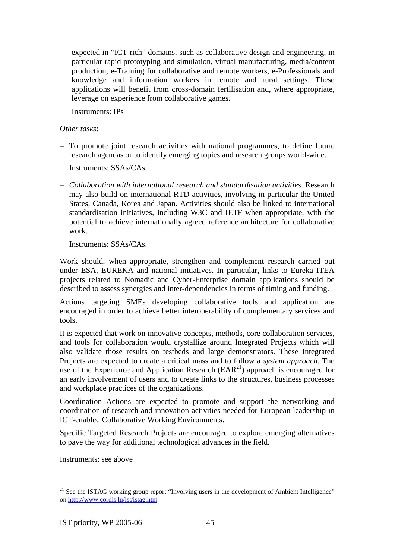expected in "ICT rich" domains, such as collaborative design and engineering, in particular rapid prototyping and simulation, virtual manufacturing, media/content production, e-Training for collaborative and remote workers, e-Professionals and knowledge and information workers in remote and rural settings. These applications will benefit from cross-domain fertilisation and, where appropriate, leverage on experience from collaborative games.

Instruments: IPs

*Other tasks*:

– To promote joint research activities with national programmes, to define future research agendas or to identify emerging topics and research groups world-wide.

Instruments: SSAs/CAs

– *Collaboration with international research and standardisation activities*. Research may also build on international RTD activities, involving in particular the United States, Canada, Korea and Japan. Activities should also be linked to international standardisation initiatives, including W3C and IETF when appropriate, with the potential to achieve internationally agreed reference architecture for collaborative work.

Instruments: SSAs/CAs.

Work should, when appropriate, strengthen and complement research carried out under ESA, EUREKA and national initiatives. In particular, links to Eureka ITEA projects related to Nomadic and Cyber-Enterprise domain applications should be described to assess synergies and inter-dependencies in terms of timing and funding.

Actions targeting SMEs developing collaborative tools and application are encouraged in order to achieve better interoperability of complementary services and tools.

It is expected that work on innovative concepts, methods, core collaboration services, and tools for collaboration would crystallize around Integrated Projects which will also validate those results on testbeds and large demonstrators. These Integrated Projects are expected to create a critical mass and to follow a *system approach*. The use of the Experience and Application Research  $(EAR<sup>21</sup>)$  approach is encouraged for an early involvement of users and to create links to the structures, business processes and workplace practices of the organizations.

Coordination Actions are expected to promote and support the networking and coordination of research and innovation activities needed for European leadership in ICT-enabled Collaborative Working Environments.

Specific Targeted Research Projects are encouraged to explore emerging alternatives to pave the way for additional technological advances in the field.

Instruments: see above

 $21$  See the ISTAG working group report "Involving users in the development of Ambient Intelligence" on http://www.cordis.lu/ist/istag.htm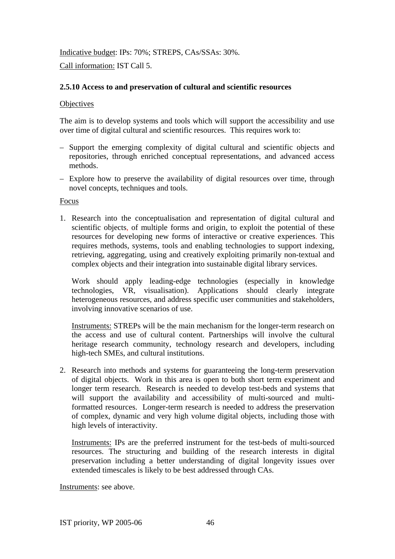Indicative budget: IPs: 70%; STREPS, CAs/SSAs: 30%.

Call information: IST Call 5.

## **2.5.10 Access to and preservation of cultural and scientific resources**

## **Objectives**

The aim is to develop systems and tools which will support the accessibility and use over time of digital cultural and scientific resources. This requires work to:

- Support the emerging complexity of digital cultural and scientific objects and repositories, through enriched conceptual representations, and advanced access methods.
- Explore how to preserve the availability of digital resources over time, through novel concepts, techniques and tools.

Focus

1. Research into the conceptualisation and representation of digital cultural and scientific objects, of multiple forms and origin, to exploit the potential of these resources for developing new forms of interactive or creative experiences. This requires methods, systems, tools and enabling technologies to support indexing, retrieving, aggregating, using and creatively exploiting primarily non-textual and complex objects and their integration into sustainable digital library services.

Work should apply leading-edge technologies (especially in knowledge technologies, VR, visualisation). Applications should clearly integrate heterogeneous resources, and address specific user communities and stakeholders, involving innovative scenarios of use.

Instruments: STREPs will be the main mechanism for the longer-term research on the access and use of cultural content. Partnerships will involve the cultural heritage research community, technology research and developers, including high-tech SMEs, and cultural institutions.

2. Research into methods and systems for guaranteeing the long-term preservation of digital objects. Work in this area is open to both short term experiment and longer term research. Research is needed to develop test-beds and systems that will support the availability and accessibility of multi-sourced and multiformatted resources. Longer-term research is needed to address the preservation of complex, dynamic and very high volume digital objects, including those with high levels of interactivity.

Instruments: IPs are the preferred instrument for the test-beds of multi-sourced resources. The structuring and building of the research interests in digital preservation including a better understanding of digital longevity issues over extended timescales is likely to be best addressed through CAs.

Instruments: see above.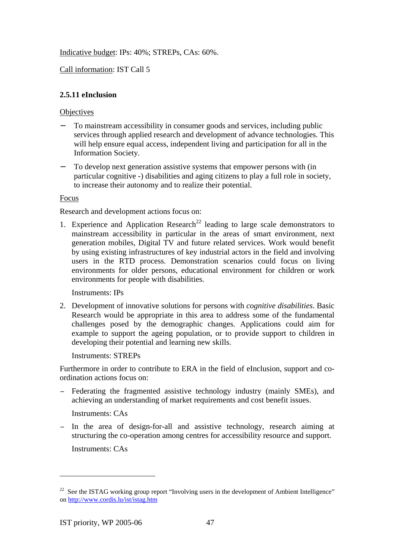Indicative budget: IPs: 40%; STREPs, CAs: 60%.

Call information: IST Call 5

## **2.5.11 eInclusion**

## **Objectives**

- To mainstream accessibility in consumer goods and services, including public services through applied research and development of advance technologies. This will help ensure equal access, independent living and participation for all in the Information Society.
- To develop next generation assistive systems that empower persons with (in particular cognitive -) disabilities and aging citizens to play a full role in society, to increase their autonomy and to realize their potential.

## Focus

Research and development actions focus on:

1. Experience and Application Research<sup>22</sup> leading to large scale demonstrators to mainstream accessibility in particular in the areas of smart environment, next generation mobiles, Digital TV and future related services. Work would benefit by using existing infrastructures of key industrial actors in the field and involving users in the RTD process. Demonstration scenarios could focus on living environments for older persons, educational environment for children or work environments for people with disabilities.

Instruments: IPs

2. Development of innovative solutions for persons with *cognitive disabilities*. Basic Research would be appropriate in this area to address some of the fundamental challenges posed by the demographic changes. Applications could aim for example to support the ageing population, or to provide support to children in developing their potential and learning new skills.

Instruments: STREPs

Furthermore in order to contribute to ERA in the field of eInclusion, support and coordination actions focus on:

− Federating the fragmented assistive technology industry (mainly SMEs), and achieving an understanding of market requirements and cost benefit issues.

Instruments: CAs

− In the area of design-for-all and assistive technology, research aiming at structuring the co-operation among centres for accessibility resource and support.

Instruments: CAs

<sup>&</sup>lt;sup>22</sup> See the ISTAG working group report "Involving users in the development of Ambient Intelligence" on http://www.cordis.lu/ist/istag.htm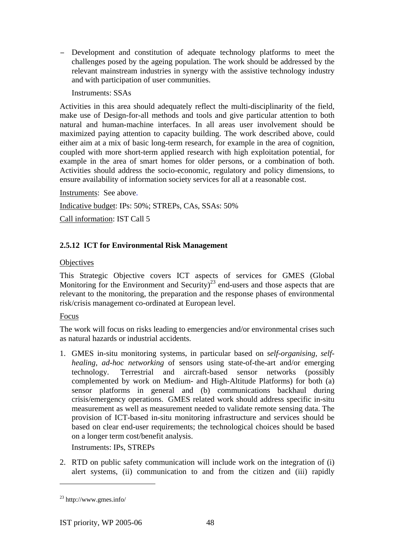− Development and constitution of adequate technology platforms to meet the challenges posed by the ageing population. The work should be addressed by the relevant mainstream industries in synergy with the assistive technology industry and with participation of user communities.

Instruments: SSAs

Activities in this area should adequately reflect the multi-disciplinarity of the field, make use of Design-for-all methods and tools and give particular attention to both natural and human-machine interfaces. In all areas user involvement should be maximized paying attention to capacity building. The work described above, could either aim at a mix of basic long-term research, for example in the area of cognition, coupled with more short-term applied research with high exploitation potential, for example in the area of smart homes for older persons, or a combination of both. Activities should address the socio-economic, regulatory and policy dimensions, to ensure availability of information society services for all at a reasonable cost.

Instruments: See above.

Indicative budget: IPs: 50%; STREPs, CAs, SSAs: 50%

Call information: IST Call 5

# **2.5.12 ICT for Environmental Risk Management**

## **Objectives**

This Strategic Objective covers ICT aspects of services for GMES (Global Monitoring for the Environment and Security)<sup>23</sup> end-users and those aspects that are relevant to the monitoring, the preparation and the response phases of environmental risk/crisis management co-ordinated at European level.

Focus

The work will focus on risks leading to emergencies and/or environmental crises such as natural hazards or industrial accidents.

1. GMES in-situ monitoring systems, in particular based on *self-organising, selfhealing, ad-hoc networking* of sensors using state-of-the-art and/or emerging technology. Terrestrial and aircraft-based sensor networks (possibly complemented by work on Medium- and High-Altitude Platforms) for both (a) sensor platforms in general and (b) communications backhaul during crisis/emergency operations. GMES related work should address specific in-situ measurement as well as measurement needed to validate remote sensing data. The provision of ICT-based in-situ monitoring infrastructure and services should be based on clear end-user requirements; the technological choices should be based on a longer term cost/benefit analysis.

Instruments: IPs, STREPs

2. RTD on public safety communication will include work on the integration of (i) alert systems, (ii) communication to and from the citizen and (iii) rapidly

<sup>23</sup> http://www.gmes.info/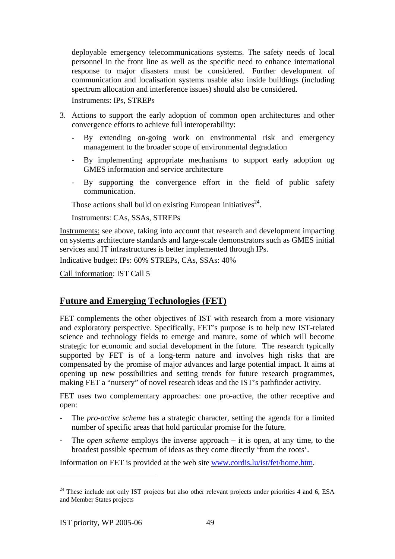deployable emergency telecommunications systems. The safety needs of local personnel in the front line as well as the specific need to enhance international response to major disasters must be considered. Further development of communication and localisation systems usable also inside buildings (including spectrum allocation and interference issues) should also be considered.

Instruments: IPs, STREPs

- 3. Actions to support the early adoption of common open architectures and other convergence efforts to achieve full interoperability:
	- By extending on-going work on environmental risk and emergency management to the broader scope of environmental degradation
	- By implementing appropriate mechanisms to support early adoption og GMES information and service architecture
	- By supporting the convergence effort in the field of public safety communication.

Those actions shall build on existing European initiatives<sup>24</sup>.

Instruments: CAs, SSAs, STREPs

Instruments: see above, taking into account that research and development impacting on systems architecture standards and large-scale demonstrators such as GMES initial services and IT infrastructures is better implemented through IPs.

Indicative budget: IPs: 60% STREPs, CAs, SSAs: 40%

Call information: IST Call 5

# **Future and Emerging Technologies (FET)**

FET complements the other objectives of IST with research from a more visionary and exploratory perspective. Specifically, FET's purpose is to help new IST-related science and technology fields to emerge and mature, some of which will become strategic for economic and social development in the future. The research typically supported by FET is of a long-term nature and involves high risks that are compensated by the promise of major advances and large potential impact. It aims at opening up new possibilities and setting trends for future research programmes, making FET a "nursery" of novel research ideas and the IST's pathfinder activity.

FET uses two complementary approaches: one pro-active, the other receptive and open:

- The *pro-active scheme* has a strategic character, setting the agenda for a limited number of specific areas that hold particular promise for the future.
- The *open scheme* employs the inverse approach it is open, at any time, to the broadest possible spectrum of ideas as they come directly 'from the roots'.

Information on FET is provided at the web site www.cordis.lu/ist/fet/home.htm.

 $24$  These include not only IST projects but also other relevant projects under priorities 4 and 6, ESA and Member States projects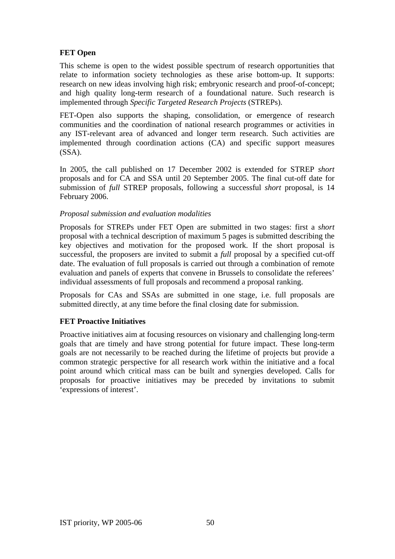## **FET Open**

This scheme is open to the widest possible spectrum of research opportunities that relate to information society technologies as these arise bottom-up. It supports: research on new ideas involving high risk; embryonic research and proof-of-concept; and high quality long-term research of a foundational nature. Such research is implemented through *Specific Targeted Research Projects* (STREPs).

FET-Open also supports the shaping, consolidation, or emergence of research communities and the coordination of national research programmes or activities in any IST-relevant area of advanced and longer term research. Such activities are implemented through coordination actions (CA) and specific support measures (SSA).

In 2005, the call published on 17 December 2002 is extended for STREP *short* proposals and for CA and SSA until 20 September 2005. The final cut-off date for submission of *full* STREP proposals, following a successful *short* proposal, is 14 February 2006.

## *Proposal submission and evaluation modalities*

Proposals for STREPs under FET Open are submitted in two stages: first a *short* proposal with a technical description of maximum 5 pages is submitted describing the key objectives and motivation for the proposed work. If the short proposal is successful, the proposers are invited to submit a *full* proposal by a specified cut-off date. The evaluation of full proposals is carried out through a combination of remote evaluation and panels of experts that convene in Brussels to consolidate the referees' individual assessments of full proposals and recommend a proposal ranking.

Proposals for CAs and SSAs are submitted in one stage, i.e. full proposals are submitted directly, at any time before the final closing date for submission.

## **FET Proactive Initiatives**

Proactive initiatives aim at focusing resources on visionary and challenging long-term goals that are timely and have strong potential for future impact. These long-term goals are not necessarily to be reached during the lifetime of projects but provide a common strategic perspective for all research work within the initiative and a focal point around which critical mass can be built and synergies developed. Calls for proposals for proactive initiatives may be preceded by invitations to submit 'expressions of interest'.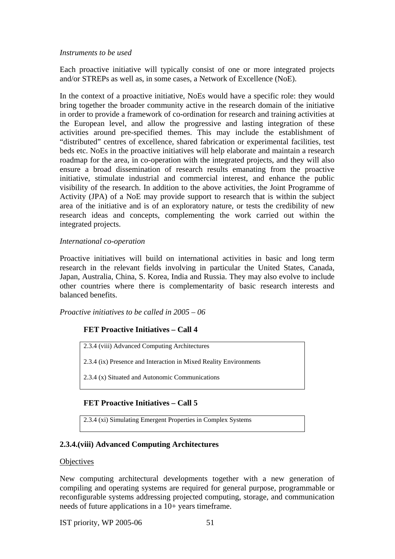### *Instruments to be used*

Each proactive initiative will typically consist of one or more integrated projects and/or STREPs as well as, in some cases, a Network of Excellence (NoE).

In the context of a proactive initiative, NoEs would have a specific role: they would bring together the broader community active in the research domain of the initiative in order to provide a framework of co-ordination for research and training activities at the European level, and allow the progressive and lasting integration of these activities around pre-specified themes. This may include the establishment of "distributed" centres of excellence, shared fabrication or experimental facilities, test beds etc. NoEs in the proactive initiatives will help elaborate and maintain a research roadmap for the area, in co-operation with the integrated projects, and they will also ensure a broad dissemination of research results emanating from the proactive initiative, stimulate industrial and commercial interest, and enhance the public visibility of the research. In addition to the above activities, the Joint Programme of Activity (JPA) of a NoE may provide support to research that is within the subject area of the initiative and is of an exploratory nature, or tests the credibility of new research ideas and concepts, complementing the work carried out within the integrated projects.

#### *International co-operation*

Proactive initiatives will build on international activities in basic and long term research in the relevant fields involving in particular the United States, Canada, Japan, Australia, China, S. Korea, India and Russia. They may also evolve to include other countries where there is complementarity of basic research interests and balanced benefits.

*Proactive initiatives to be called in 2005 – 06* 

### **FET Proactive Initiatives – Call 4**

2.3.4 (viii) Advanced Computing Architectures

2.3.4 (ix) Presence and Interaction in Mixed Reality Environments

2.3.4 (x) Situated and Autonomic Communications

### **FET Proactive Initiatives – Call 5**

2.3.4 (xi) Simulating Emergent Properties in Complex Systems

### **2.3.4.(viii) Advanced Computing Architectures**

#### **Objectives**

New computing architectural developments together with a new generation of compiling and operating systems are required for general purpose, programmable or reconfigurable systems addressing projected computing, storage, and communication needs of future applications in a 10+ years timeframe.

IST priority, WP 2005-06 51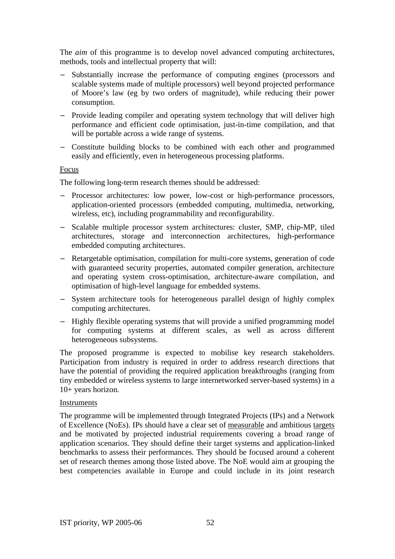The *aim* of this programme is to develop novel advanced computing architectures, methods, tools and intellectual property that will:

- − Substantially increase the performance of computing engines (processors and scalable systems made of multiple processors) well beyond projected performance of Moore's law (eg by two orders of magnitude), while reducing their power consumption.
- − Provide leading compiler and operating system technology that will deliver high performance and efficient code optimisation, just-in-time compilation, and that will be portable across a wide range of systems.
- − Constitute building blocks to be combined with each other and programmed easily and efficiently, even in heterogeneous processing platforms.

### Focus

The following long-term research themes should be addressed:

- Processor architectures: low power, low-cost or high-performance processors, application-oriented processors (embedded computing, multimedia, networking, wireless, etc), including programmability and reconfigurability.
- − Scalable multiple processor system architectures: cluster, SMP, chip-MP, tiled architectures, storage and interconnection architectures, high-performance embedded computing architectures.
- − Retargetable optimisation, compilation for multi-core systems, generation of code with guaranteed security properties, automated compiler generation, architecture and operating system cross-optimisation, architecture-aware compilation, and optimisation of high-level language for embedded systems.
- − System architecture tools for heterogeneous parallel design of highly complex computing architectures.
- − Highly flexible operating systems that will provide a unified programming model for computing systems at different scales, as well as across different heterogeneous subsystems.

The proposed programme is expected to mobilise key research stakeholders. Participation from industry is required in order to address research directions that have the potential of providing the required application breakthroughs (ranging from tiny embedded or wireless systems to large internetworked server-based systems) in a 10+ years horizon.

### Instruments

The programme will be implemented through Integrated Projects (IPs) and a Network of Excellence (NoEs). IPs should have a clear set of measurable and ambitious targets and be motivated by projected industrial requirements covering a broad range of application scenarios. They should define their target systems and application-linked benchmarks to assess their performances. They should be focused around a coherent set of research themes among those listed above. The NoE would aim at grouping the best competencies available in Europe and could include in its joint research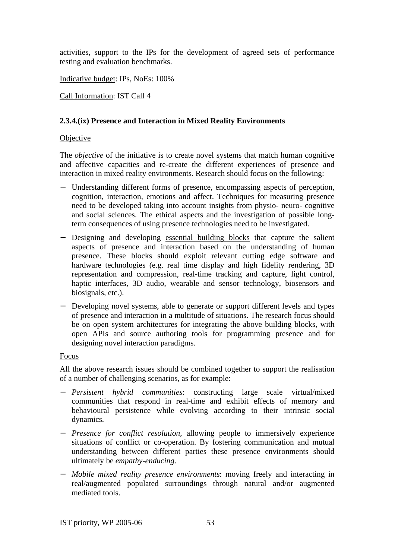activities, support to the IPs for the development of agreed sets of performance testing and evaluation benchmarks.

Indicative budget: IPs, NoEs: 100%

Call Information: IST Call 4

## **2.3.4.(ix) Presence and Interaction in Mixed Reality Environments**

### **Objective**

The *objective* of the initiative is to create novel systems that match human cognitive and affective capacities and re-create the different experiences of presence and interaction in mixed reality environments. Research should focus on the following:

- − Understanding different forms of presence, encompassing aspects of perception, cognition, interaction, emotions and affect. Techniques for measuring presence need to be developed taking into account insights from physio- neuro- cognitive and social sciences. The ethical aspects and the investigation of possible longterm consequences of using presence technologies need to be investigated.
- − Designing and developing essential building blocks that capture the salient aspects of presence and interaction based on the understanding of human presence. These blocks should exploit relevant cutting edge software and hardware technologies (e.g. real time display and high fidelity rendering, 3D representation and compression, real-time tracking and capture, light control, haptic interfaces, 3D audio, wearable and sensor technology, biosensors and biosignals, etc.).
- − Developing novel systems, able to generate or support different levels and types of presence and interaction in a multitude of situations. The research focus should be on open system architectures for integrating the above building blocks, with open APIs and source authoring tools for programming presence and for designing novel interaction paradigms.

### Focus

All the above research issues should be combined together to support the realisation of a number of challenging scenarios, as for example:

- − *Persistent hybrid communities*: constructing large scale virtual/mixed communities that respond in real-time and exhibit effects of memory and behavioural persistence while evolving according to their intrinsic social dynamics*.*
- − *Presence for conflict resolution,* allowing people to immersively experience situations of conflict or co-operation. By fostering communication and mutual understanding between different parties these presence environments should ultimately be *empathy-enducing*.
- − *Mobile mixed reality presence environments*: moving freely and interacting in real/augmented populated surroundings through natural and/or augmented mediated tools.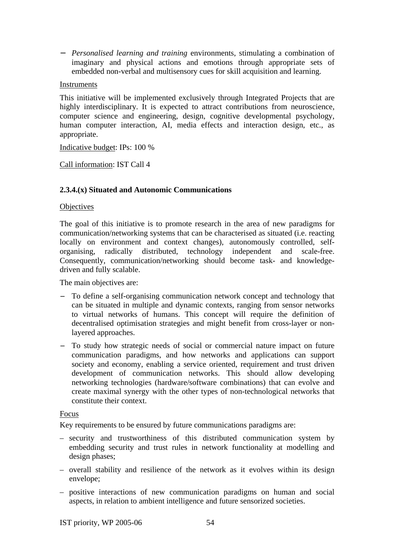− *Personalised learning and training* environments, stimulating a combination of imaginary and physical actions and emotions through appropriate sets of embedded non-verbal and multisensory cues for skill acquisition and learning.

### Instruments

This initiative will be implemented exclusively through Integrated Projects that are highly interdisciplinary. It is expected to attract contributions from neuroscience, computer science and engineering, design, cognitive developmental psychology, human computer interaction, AI, media effects and interaction design, etc., as appropriate.

Indicative budget: IPs: 100 %

Call information: IST Call 4

## **2.3.4.(x) Situated and Autonomic Communications**

### **Objectives**

The goal of this initiative is to promote research in the area of new paradigms for communication/networking systems that can be characterised as situated (i.e. reacting locally on environment and context changes), autonomously controlled, selforganising, radically distributed, technology independent and scale-free. Consequently, communication/networking should become task- and knowledgedriven and fully scalable.

The main objectives are:

- To define a self-organising communication network concept and technology that can be situated in multiple and dynamic contexts, ranging from sensor networks to virtual networks of humans. This concept will require the definition of decentralised optimisation strategies and might benefit from cross-layer or nonlayered approaches.
- − To study how strategic needs of social or commercial nature impact on future communication paradigms, and how networks and applications can support society and economy, enabling a service oriented, requirement and trust driven development of communication networks. This should allow developing networking technologies (hardware/software combinations) that can evolve and create maximal synergy with the other types of non-technological networks that constitute their context.

### Focus

Key requirements to be ensured by future communications paradigms are:

- security and trustworthiness of this distributed communication system by embedding security and trust rules in network functionality at modelling and design phases;
- overall stability and resilience of the network as it evolves within its design envelope;
- positive interactions of new communication paradigms on human and social aspects, in relation to ambient intelligence and future sensorized societies.

IST priority, WP 2005-06 54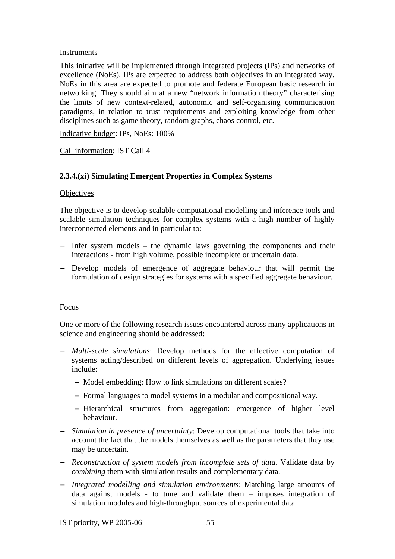### Instruments

This initiative will be implemented through integrated projects (IPs) and networks of excellence (NoEs). IPs are expected to address both objectives in an integrated way. NoEs in this area are expected to promote and federate European basic research in networking. They should aim at a new "network information theory" characterising the limits of new context-related, autonomic and self-organising communication paradigms, in relation to trust requirements and exploiting knowledge from other disciplines such as game theory, random graphs, chaos control, etc.

Indicative budget: IPs, NoEs: 100%

### Call information: IST Call 4

## **2.3.4.(xi) Simulating Emergent Properties in Complex Systems**

### **Objectives**

The objective is to develop scalable computational modelling and inference tools and scalable simulation techniques for complex systems with a high number of highly interconnected elements and in particular to:

- − Infer system models the dynamic laws governing the components and their interactions - from high volume, possible incomplete or uncertain data.
- − Develop models of emergence of aggregate behaviour that will permit the formulation of design strategies for systems with a specified aggregate behaviour.

### Focus

One or more of the following research issues encountered across many applications in science and engineering should be addressed:

- − *Multi-scale simulations*: Develop methods for the effective computation of systems acting/described on different levels of aggregation. Underlying issues include:
	- − Model embedding: How to link simulations on different scales?
	- − Formal languages to model systems in a modular and compositional way.
	- − Hierarchical structures from aggregation: emergence of higher level behaviour.
- − *Simulation in presence of uncertainty*: Develop computational tools that take into account the fact that the models themselves as well as the parameters that they use may be uncertain.
- − *Reconstruction of system models from incomplete sets of data.* Validate data by *combining* them with simulation results and complementary data.
- − *Integrated modelling and simulation environments*: Matching large amounts of data against models - to tune and validate them – imposes integration of simulation modules and high-throughput sources of experimental data.

IST priority, WP 2005-06 55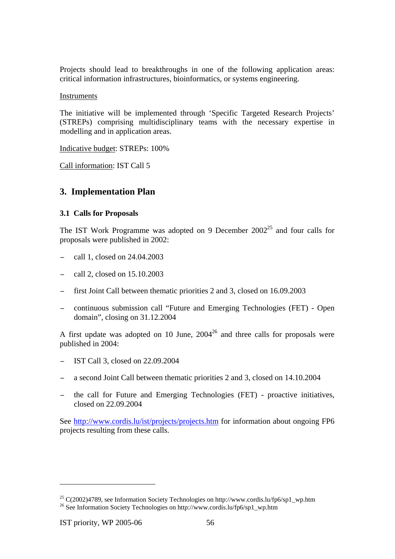Projects should lead to breakthroughs in one of the following application areas: critical information infrastructures, bioinformatics, or systems engineering.

Instruments

The initiative will be implemented through 'Specific Targeted Research Projects' (STREPs) comprising multidisciplinary teams with the necessary expertise in modelling and in application areas.

Indicative budget: STREPs: 100%

Call information: IST Call 5

## **3. Implementation Plan**

### **3.1 Calls for Proposals**

The IST Work Programme was adopted on 9 December  $2002^{25}$  and four calls for proposals were published in 2002:

- − call 1, closed on 24.04.2003
- − call 2, closed on 15.10.2003
- − first Joint Call between thematic priorities 2 and 3, closed on 16.09.2003
- − continuous submission call "Future and Emerging Technologies (FET) Open domain", closing on 31.12.2004

A first update was adopted on 10 June,  $2004^{26}$  and three calls for proposals were published in 2004:

- − IST Call 3, closed on 22.09.2004
- − a second Joint Call between thematic priorities 2 and 3, closed on 14.10.2004
- the call for Future and Emerging Technologies (FET) proactive initiatives, closed on 22.09.2004

See http://www.cordis.lu/ist/projects/projects.htm for information about ongoing FP6 projects resulting from these calls.

<sup>&</sup>lt;sup>25</sup> C(2002)4789, see Information Society Technologies on http://www.cordis.lu/fp6/sp1\_wp.htm <sup>26</sup> See Information Society Technologies on http://www.cordis.lu/fp6/sp1\_wp.htm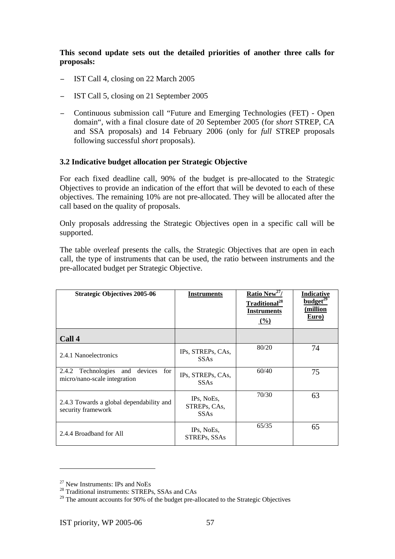**This second update sets out the detailed priorities of another three calls for proposals:** 

- − IST Call 4, closing on 22 March 2005
- − IST Call 5, closing on 21 September 2005
- − Continuous submission call "Future and Emerging Technologies (FET) Open domain", with a final closure date of 20 September 2005 (for *short* STREP, CA and SSA proposals) and 14 February 2006 (only for *full* STREP proposals following successful *short* proposals).

## **3.2 Indicative budget allocation per Strategic Objective**

For each fixed deadline call, 90% of the budget is pre-allocated to the Strategic Objectives to provide an indication of the effort that will be devoted to each of these objectives. The remaining 10% are not pre-allocated. They will be allocated after the call based on the quality of proposals.

Only proposals addressing the Strategic Objectives open in a specific call will be supported.

The table overleaf presents the calls, the Strategic Objectives that are open in each call, the type of instruments that can be used, the ratio between instruments and the pre-allocated budget per Strategic Objective.

| <b>Strategic Objectives 2005-06</b>                                            | <b>Instruments</b>                        | <u>Ratio New<sup>27</sup>/</u><br>Traditional <sup>28</sup><br><b>Instruments</b><br>$($ %) | <u>Indicative</u><br>budget <sup>29</sup><br>(million<br>Euro) |
|--------------------------------------------------------------------------------|-------------------------------------------|---------------------------------------------------------------------------------------------|----------------------------------------------------------------|
| Call 4                                                                         |                                           |                                                                                             |                                                                |
| 2.4.1 Nanoelectronics                                                          | IPs, STREPs, CAs,<br><b>SSAs</b>          | 80/20                                                                                       | 74                                                             |
| Technologies<br>devices<br>2.4.2<br>and<br>for<br>micro/nano-scale integration | IPs, STREPs, CAs,<br><b>SSAs</b>          | 60/40                                                                                       | 75                                                             |
| 2.4.3 Towards a global dependability and<br>security framework                 | IPs, NoEs,<br>STREPs, CAs,<br><b>SSAs</b> | 70/30                                                                                       | 63                                                             |
| 2.4.4 Broadband for All                                                        | IPs, NoEs,<br>STREPs, SSAs                | 65/35                                                                                       | 65                                                             |

<sup>27</sup> New Instruments: IPs and NoEs

<sup>&</sup>lt;sup>28</sup> Traditional instruments: STREPs, SSAs and CAs

<sup>&</sup>lt;sup>29</sup> The amount accounts for 90% of the budget pre-allocated to the Strategic Objectives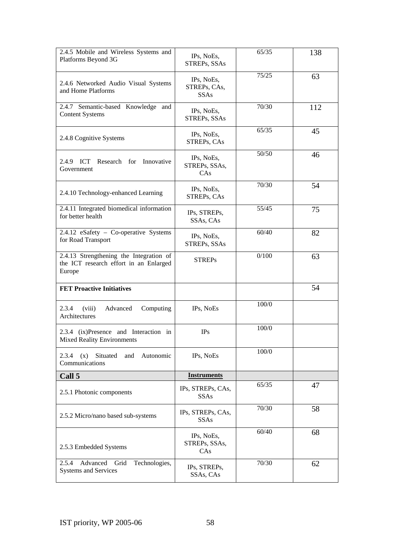| 2.4.5 Mobile and Wireless Systems and<br>Platforms Beyond 3G                                | IPs, NoEs,<br>STREPs, SSAs                | 65/35 | 138 |
|---------------------------------------------------------------------------------------------|-------------------------------------------|-------|-----|
| 2.4.6 Networked Audio Visual Systems<br>and Home Platforms                                  | IPs, NoEs,<br>STREPs, CAs,<br><b>SSAs</b> | 75/25 | 63  |
| 2.4.7 Semantic-based Knowledge and<br><b>Content Systems</b>                                | IPs, NoEs,<br>STREPs, SSAs                | 70/30 | 112 |
| 2.4.8 Cognitive Systems                                                                     | IPs, NoEs,<br>STREPs, CAs                 | 65/35 | 45  |
| 2.4.9 ICT<br>Research for Innovative<br>Government                                          | IPs, NoEs,<br>STREPs, SSAs,<br>CAs        | 50/50 | 46  |
| 2.4.10 Technology-enhanced Learning                                                         | IPs, NoEs,<br>STREPs, CAs                 | 70/30 | 54  |
| 2.4.11 Integrated biomedical information<br>for better health                               | IPs, STREPs,<br>SSAs, CAs                 | 55/45 | 75  |
| 2.4.12 eSafety - Co-operative Systems<br>for Road Transport                                 | IPs, NoEs,<br>STREPs, SSAs                | 60/40 | 82  |
| 2.4.13 Strengthening the Integration of<br>the ICT research effort in an Enlarged<br>Europe | <b>STREPs</b>                             | 0/100 | 63  |
| <b>FET Proactive Initiatives</b>                                                            |                                           |       | 54  |
| 2.3.4<br>(viii)<br>Computing<br>Advanced<br>Architectures                                   | IPs, NoEs                                 | 100/0 |     |
| 2.3.4 (ix)Presence and Interaction in<br><b>Mixed Reality Environments</b>                  | <b>IPs</b>                                | 100/0 |     |
| Autonomic<br>2.3.4<br>(x)<br>Situated<br>and<br>Communications                              | IPs, NoEs                                 | 100/0 |     |
| Call 5                                                                                      | <b>Instruments</b>                        |       |     |
| 2.5.1 Photonic components                                                                   | IPs, STREPs, CAs,<br><b>SSAs</b>          | 65/35 | 47  |
| 2.5.2 Micro/nano based sub-systems                                                          | IPs, STREPs, CAs,<br><b>SSAs</b>          | 70/30 | 58  |
| 2.5.3 Embedded Systems                                                                      | IPs, NoEs,<br>STREPs, SSAs,<br>CAs        | 60/40 | 68  |
| Advanced Grid<br>2.5.4<br>Technologies,<br><b>Systems and Services</b>                      | IPs, STREPs,<br>SSAs, CAs                 | 70/30 | 62  |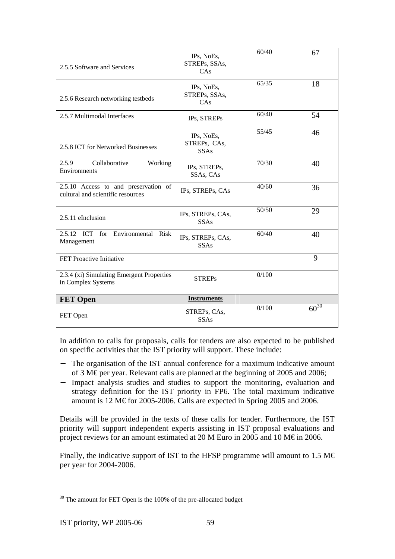| 2.5.5 Software and Services                                               | IPs, NoEs,<br>STREPs, SSAs,<br>CAs        | 60/40 | 67        |
|---------------------------------------------------------------------------|-------------------------------------------|-------|-----------|
| 2.5.6 Research networking testbeds                                        | IPs, NoEs,<br>STREPs, SSAs,<br>CAs        | 65/35 | 18        |
| 2.5.7 Multimodal Interfaces                                               | IPs, STREPs                               | 60/40 | 54        |
| 2.5.8 ICT for Networked Businesses                                        | IPs, NoEs,<br>STREPs, CAs,<br><b>SSAs</b> | 55/45 | 46        |
| Collaborative<br>2.5.9<br>Working<br>Environments                         | IPs, STREPs,<br>SSAs, CAs                 | 70/30 | 40        |
| 2.5.10 Access to and preservation of<br>cultural and scientific resources | IPs, STREPs, CAs                          | 40/60 | 36        |
| 2.5.11 eInclusion                                                         | IPs, STREPs, CAs,<br><b>SSAs</b>          | 50/50 | 29        |
| 2.5.12 ICT for Environmental Risk<br>Management                           | IPs, STREPs, CAs,<br><b>SSAs</b>          | 60/40 | 40        |
| FET Proactive Initiative                                                  |                                           |       | 9         |
| 2.3.4 (xi) Simulating Emergent Properties<br>in Complex Systems           | <b>STREPs</b>                             | 0/100 |           |
| <b>FET Open</b>                                                           | <b>Instruments</b>                        |       |           |
| FET Open                                                                  | STREPs, CAs,<br><b>SSAs</b>               | 0/100 | $60^{30}$ |

In addition to calls for proposals, calls for tenders are also expected to be published on specific activities that the IST priority will support. These include:

- − The organisation of the IST annual conference for a maximum indicative amount of 3 M€ per year. Relevant calls are planned at the beginning of 2005 and 2006;
- − Impact analysis studies and studies to support the monitoring, evaluation and strategy definition for the IST priority in FP6. The total maximum indicative amount is 12 M€ for 2005-2006. Calls are expected in Spring 2005 and 2006.

Details will be provided in the texts of these calls for tender. Furthermore, the IST priority will support independent experts assisting in IST proposal evaluations and project reviews for an amount estimated at 20 M Euro in 2005 and 10 M  $\epsilon$  in 2006.

Finally, the indicative support of IST to the HFSP programme will amount to 1.5 M $\epsilon$ per year for 2004-2006.

<sup>&</sup>lt;sup>30</sup> The amount for FET Open is the 100% of the pre-allocated budget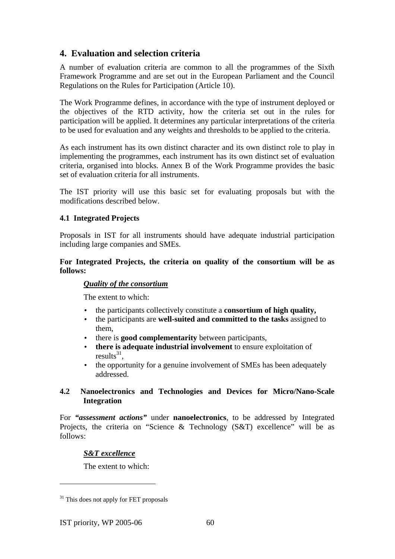# **4. Evaluation and selection criteria**

A number of evaluation criteria are common to all the programmes of the Sixth Framework Programme and are set out in the European Parliament and the Council Regulations on the Rules for Participation (Article 10).

The Work Programme defines, in accordance with the type of instrument deployed or the objectives of the RTD activity, how the criteria set out in the rules for participation will be applied. It determines any particular interpretations of the criteria to be used for evaluation and any weights and thresholds to be applied to the criteria.

As each instrument has its own distinct character and its own distinct role to play in implementing the programmes, each instrument has its own distinct set of evaluation criteria, organised into blocks. Annex B of the Work Programme provides the basic set of evaluation criteria for all instruments.

The IST priority will use this basic set for evaluating proposals but with the modifications described below.

## **4.1 Integrated Projects**

Proposals in IST for all instruments should have adequate industrial participation including large companies and SMEs.

**For Integrated Projects, the criteria on quality of the consortium will be as follows:** 

### *Quality of the consortium*

The extent to which:

- the participants collectively constitute a **consortium of high quality,**
- the participants are **well-suited and committed to the tasks** assigned to them,
- there is **good complementarity** between participants,
- **there is adequate industrial involvement** to ensure exploitation of results $31$ .
- the opportunity for a genuine involvement of SMEs has been adequately addressed.

## **4.2 Nanoelectronics and Technologies and Devices for Micro/Nano-Scale Integration**

For *"assessment actions"* under **nanoelectronics**, to be addressed by Integrated Projects, the criteria on "Science & Technology (S&T) excellence" will be as follows:

## *S&T excellence*

The extent to which:

<sup>&</sup>lt;sup>31</sup> This does not apply for FET proposals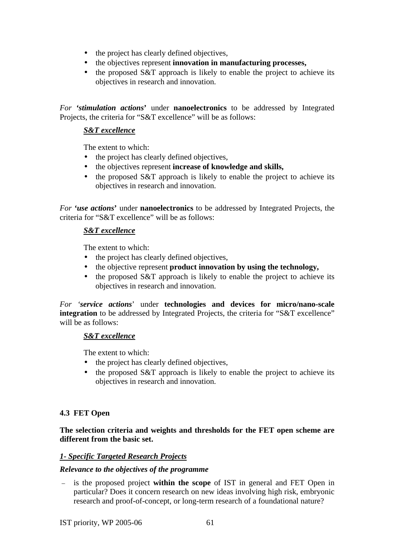- the project has clearly defined objectives,
- the objectives represent **innovation in manufacturing processes,**
- the proposed S&T approach is likely to enable the project to achieve its objectives in research and innovation.

*For 'stimulation actions***'** under **nanoelectronics** to be addressed by Integrated Projects, the criteria for "S&T excellence" will be as follows:

# *S&T excellence*

The extent to which:

- the project has clearly defined objectives,
- the objectives represent **increase of knowledge and skills,**
- the proposed S&T approach is likely to enable the project to achieve its objectives in research and innovation.

*For 'use actions***'** under **nanoelectronics** to be addressed by Integrated Projects, the criteria for "S&T excellence" will be as follows:

## *S&T excellence*

The extent to which:

- the project has clearly defined objectives,
- the objective represent **product innovation by using the technology,**
- the proposed S&T approach is likely to enable the project to achieve its objectives in research and innovation.

*For 'service actions*' under **technologies and devices for micro/nano-scale integration** to be addressed by Integrated Projects, the criteria for "S&T excellence" will be as follows:

## *S&T excellence*

The extent to which:

- the project has clearly defined objectives,
- the proposed S&T approach is likely to enable the project to achieve its objectives in research and innovation.

# **4.3 FET Open**

**The selection criteria and weights and thresholds for the FET open scheme are different from the basic set.** 

## *1- Specific Targeted Research Projects*

## *Relevance to the objectives of the programme*

– is the proposed project **within the scope** of IST in general and FET Open in particular? Does it concern research on new ideas involving high risk, embryonic research and proof-of-concept, or long-term research of a foundational nature?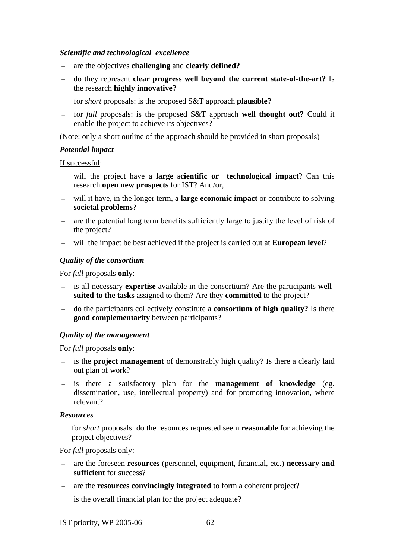### *Scientific and technological excellence*

- are the objectives **challenging** and **clearly defined?**
- do they represent **clear progress well beyond the current state-of-the-art?** Is the research **highly innovative?**
- for *short* proposals: is the proposed S&T approach **plausible?**
- for *full* proposals: is the proposed S&T approach **well thought out?** Could it enable the project to achieve its objectives?

(Note: only a short outline of the approach should be provided in short proposals)

## *Potential impact*

If successful:

- will the project have a **large scientific or technological impact**? Can this research **open new prospects** for IST? And/or,
- will it have, in the longer term, a **large economic impact** or contribute to solving **societal problems**?
- are the potential long term benefits sufficiently large to justify the level of risk of the project?
- will the impact be best achieved if the project is carried out at **European level**?

## *Quality of the consortium*

For *full* proposals **only**:

- is all necessary **expertise** available in the consortium? Are the participants **wellsuited to the tasks** assigned to them? Are they **committed** to the project?
- do the participants collectively constitute a **consortium of high quality?** Is there **good complementarity** between participants?

## *Quality of the management*

For *full* proposals **only**:

- is the **project management** of demonstrably high quality? Is there a clearly laid out plan of work?
- is there a satisfactory plan for the **management of knowledge** (eg. dissemination, use, intellectual property) and for promoting innovation, where relevant?

### *Resources*

– for *short* proposals: do the resources requested seem **reasonable** for achieving the project objectives?

For *full* proposals only:

- are the foreseen **resources** (personnel, equipment, financial, etc.) **necessary and sufficient** for success?
- are the **resources convincingly integrated** to form a coherent project?
- is the overall financial plan for the project adequate?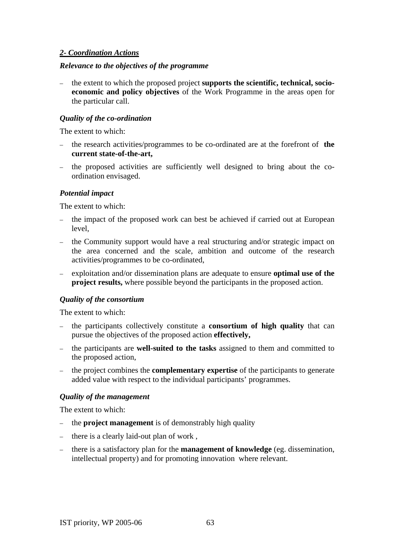## *2- Coordination Actions*

### *Relevance to the objectives of the programme*

– the extent to which the proposed project **supports the scientific, technical, socioeconomic and policy objectives** of the Work Programme in the areas open for the particular call.

### *Quality of the co-ordination*

The extent to which:

- the research activities/programmes to be co-ordinated are at the forefront of **the current state-of-the-art,**
- the proposed activities are sufficiently well designed to bring about the coordination envisaged.

## *Potential impact*

The extent to which:

- the impact of the proposed work can best be achieved if carried out at European level,
- the Community support would have a real structuring and/or strategic impact on the area concerned and the scale, ambition and outcome of the research activities/programmes to be co-ordinated,
- exploitation and/or dissemination plans are adequate to ensure **optimal use of the project results,** where possible beyond the participants in the proposed action.

## *Quality of the consortium*

The extent to which:

- the participants collectively constitute a **consortium of high quality** that can pursue the objectives of the proposed action **effectively,**
- the participants are **well-suited to the tasks** assigned to them and committed to the proposed action,
- the project combines the **complementary expertise** of the participants to generate added value with respect to the individual participants' programmes.

## *Quality of the management*

The extent to which:

- the **project management** is of demonstrably high quality
- there is a clearly laid-out plan of work ,
- there is a satisfactory plan for the **management of knowledge** (eg. dissemination, intellectual property) and for promoting innovation where relevant.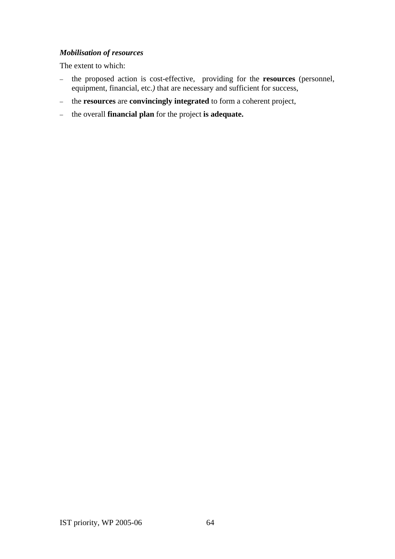## *Mobilisation of resources*

The extent to which:

- the proposed action is cost-effective, providing for the **resources** (personnel, equipment, financial, etc.) that are necessary and sufficient for success,
- the **resources** are **convincingly integrated** to form a coherent project,
- the overall **financial plan** for the project **is adequate.**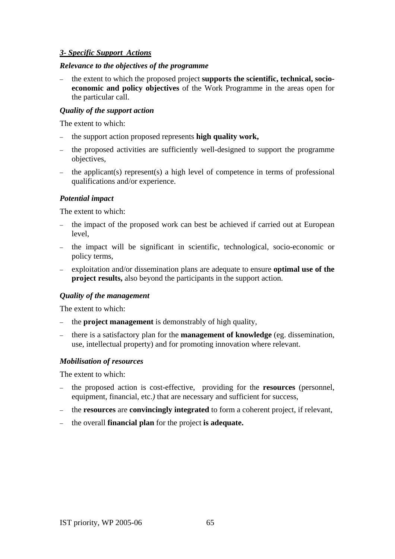## *3- Specific Support Actions*

### *Relevance to the objectives of the programme*

– the extent to which the proposed project **supports the scientific, technical, socioeconomic and policy objectives** of the Work Programme in the areas open for the particular call.

### *Quality of the support action*

The extent to which:

- the support action proposed represents **high quality work,**
- the proposed activities are sufficiently well-designed to support the programme objectives,
- the applicant(s) represent(s) a high level of competence in terms of professional qualifications and/or experience.

## *Potential impact*

The extent to which:

- the impact of the proposed work can best be achieved if carried out at European level,
- the impact will be significant in scientific, technological, socio-economic or policy terms,
- exploitation and/or dissemination plans are adequate to ensure **optimal use of the project results,** also beyond the participants in the support action.

### *Quality of the management*

The extent to which:

- the **project management** is demonstrably of high quality,
- there is a satisfactory plan for the **management of knowledge** (eg. dissemination, use, intellectual property) and for promoting innovation where relevant.

### *Mobilisation of resources*

The extent to which:

- the proposed action is cost-effective, providing for the **resources** (personnel, equipment, financial, etc.*)* that are necessary and sufficient for success,
- the **resources** are **convincingly integrated** to form a coherent project, if relevant,
- the overall **financial plan** for the project **is adequate.**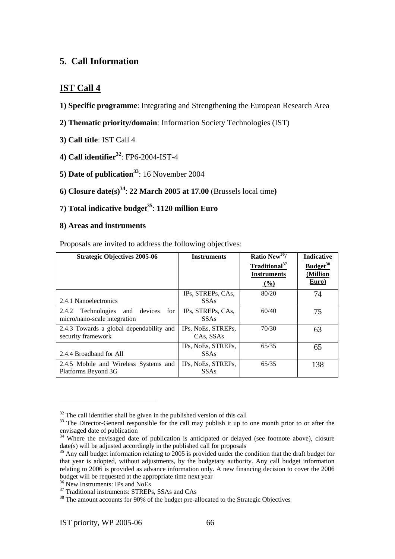# **5. Call Information**

# **IST Call 4**

- **1) Specific programme**: Integrating and Strengthening the European Research Area
- **2) Thematic priority/domain**: Information Society Technologies (IST)
- **3) Call title**: IST Call 4
- **4) Call identifier32**: FP6-2004-IST-4
- **5) Date of publication**<sup>33</sup>: 16 November 2004
- **6) Closure date(s)**<sup>34</sup>: **22 March 2005 at 17.00** (Brussels local time)

# **7) Total indicative budget35**: **1120 million Euro**

## **8) Areas and instruments**

Proposals are invited to address the following objectives:

| <b>Strategic Objectives 2005-06</b>                                            | <b>Instruments</b>                | Ratio New <sup>36</sup> /<br>Traditional <sup>37</sup><br><b>Instruments</b> | Indicative<br>Budget <sup>38</sup><br>(Million |
|--------------------------------------------------------------------------------|-----------------------------------|------------------------------------------------------------------------------|------------------------------------------------|
|                                                                                |                                   | $($ %)                                                                       | Euro)                                          |
| 2.4.1 Nanoelectronics                                                          | IPs, STREPs, CAs,<br><b>SSAs</b>  | 80/20                                                                        | 74                                             |
| for<br>devices<br>Technologies<br>and<br>2.4.2<br>micro/nano-scale integration | IPs, STREPs, CAs,<br><b>SSAs</b>  | 60/40                                                                        | 75                                             |
| 2.4.3 Towards a global dependability and<br>security framework                 | IPs, NoEs, STREPs,<br>CAs, SSAs   | 70/30                                                                        | 63                                             |
| 2.4.4 Broadband for All                                                        | IPs, NoEs, STREPs,<br><b>SSAs</b> | 65/35                                                                        | 65                                             |
| 2.4.5 Mobile and Wireless Systems and<br>Platforms Beyond 3G                   | IPs, NoEs, STREPs,<br><b>SSAs</b> | 65/35                                                                        | 138                                            |

 $32$  The call identifier shall be given in the published version of this call

 $33$  The Director-General responsible for the call may publish it up to one month prior to or after the envisaged date of publication

 $34$  Where the envisaged date of publication is anticipated or delayed (see footnote above), closure date(s) will be adjusted accordingly in the published call for proposals

 $35$  Any call budget information relating to 2005 is provided under the condition that the draft budget for that year is adopted, without adjustments, by the budgetary authority. Any call budget information relating to 2006 is provided as advance information only. A new financing decision to cover the 2006 budget will be requested at the appropriate time next year

<sup>&</sup>lt;sup>36</sup> New Instruments: IPs and NoEs

<sup>&</sup>lt;sup>37</sup> Traditional instruments: STREPs, SSAs and CAs

<sup>&</sup>lt;sup>38</sup> The amount accounts for 90% of the budget pre-allocated to the Strategic Objectives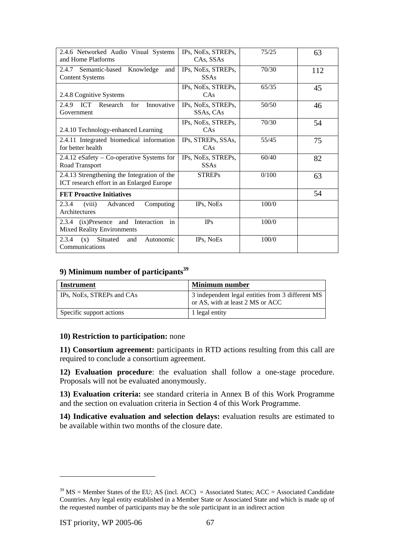| 2.4.6 Networked Audio Visual Systems<br>and Home Platforms                               | IPs, NoEs, STREPs,<br>CAs, SSAs   | 75/25 | 63  |
|------------------------------------------------------------------------------------------|-----------------------------------|-------|-----|
| 2.4.7<br>Semantic-based<br>Knowledge<br>and<br><b>Content Systems</b>                    | IPs, NoEs, STREPs,<br><b>SSAs</b> | 70/30 | 112 |
| 2.4.8 Cognitive Systems                                                                  | IPs, NoEs, STREPs,<br>CAs         | 65/35 | 45  |
| 2.4.9<br><b>ICT</b><br>Research<br>for<br>Innovative<br>Government                       | IPs, NoEs, STREPs,<br>SSAs, CAs   | 50/50 | 46  |
| 2.4.10 Technology-enhanced Learning                                                      | IPs, NoEs, STREPs,<br>CAs         | 70/30 | 54  |
| 2.4.11 Integrated biomedical information<br>for better health                            | IPs, STREPs, SSAs,<br>CAs         | 55/45 | 75  |
| $2.4.12$ eSafety – Co-operative Systems for<br>Road Transport                            | IPs, NoEs, STREPs,<br><b>SSAs</b> | 60/40 | 82  |
| 2.4.13 Strengthening the Integration of the<br>ICT research effort in an Enlarged Europe | <b>STREPs</b>                     | 0/100 | 63  |
| <b>FET Proactive Initiatives</b>                                                         |                                   |       | 54  |
| 2.3.4<br>Computing<br>Advanced<br>(viii)<br>Architectures                                | IPs, NoEs                         | 100/0 |     |
| in<br>2.3.4 (ix)Presence and<br>Interaction<br><b>Mixed Reality Environments</b>         | <b>IPs</b>                        | 100/0 |     |
| Situated<br>2.3.4<br>Autonomic<br>(x)<br>and<br>Communications                           | IPs, NoEs                         | 100/0 |     |

## **9) Minimum number of participants**<sup>39</sup>

| Instrument                | <b>Minimum number</b>                                                                |
|---------------------------|--------------------------------------------------------------------------------------|
| IPs, NoEs, STREPs and CAs | 3 independent legal entities from 3 different MS<br>or AS, with at least 2 MS or ACC |
| Specific support actions  | 1 legal entity                                                                       |

### **10) Restriction to participation:** none

**11) Consortium agreement:** participants in RTD actions resulting from this call are required to conclude a consortium agreement.

**12) Evaluation procedure**: the evaluation shall follow a one-stage procedure. Proposals will not be evaluated anonymously.

**13) Evaluation criteria:** see standard criteria in Annex B of this Work Programme and the section on evaluation criteria in Section 4 of this Work Programme.

**14) Indicative evaluation and selection delays:** evaluation results are estimated to be available within two months of the closure date.

 $39$  MS = Member States of the EU; AS (incl. ACC) = Associated States; ACC = Associated Candidate Countries. Any legal entity established in a Member State or Associated State and which is made up of the requested number of participants may be the sole participant in an indirect action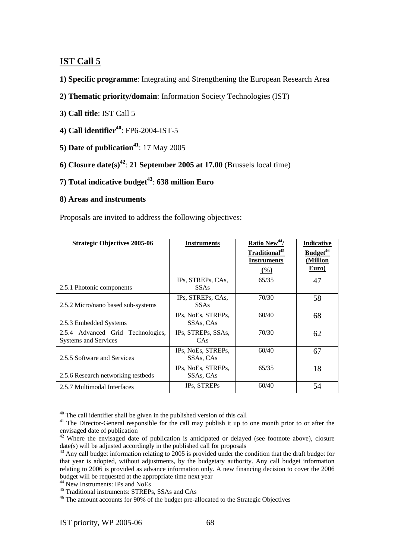## **IST Call 5**

- **1) Specific programme**: Integrating and Strengthening the European Research Area
- **2) Thematic priority/domain**: Information Society Technologies (IST)
- **3) Call title**: IST Call 5
- **4) Call identifier<sup>40</sup>: FP6-2004-IST-5**
- **5) Date of publication**<sup>41</sup>: 17 May 2005
- **6) Closure date(s)<sup>42</sup>: 21 September 2005 at 17.00 (Brussels local time)**
- **7**) **Total indicative budget<sup>43</sup>: 638 million Euro**

### **8) Areas and instruments**

Proposals are invited to address the following objectives:

| <b>Strategic Objectives 2005-06</b>                       | <b>Instruments</b>               | Ratio New <sup>44</sup> /<br>Traditional <sup>45</sup><br><b>Instruments</b> | Indicative<br>Budget <sup>46</sup><br>(Million |
|-----------------------------------------------------------|----------------------------------|------------------------------------------------------------------------------|------------------------------------------------|
|                                                           |                                  | $($ %)                                                                       | Euro)                                          |
| 2.5.1 Photonic components                                 | IPs, STREPs, CAs,<br><b>SSAs</b> | 65/35                                                                        | 47                                             |
| 2.5.2 Micro/nano based sub-systems                        | IPs, STREPs, CAs,<br><b>SSAs</b> | 70/30                                                                        | 58                                             |
| 2.5.3 Embedded Systems                                    | IPs, NoEs, STREPs,<br>SSAs, CAs  | 60/40                                                                        | 68                                             |
| 2.5.4 Advanced Grid Technologies,<br>Systems and Services | IPs, STREPs, SSAs,<br>CAs        | 70/30                                                                        | 62                                             |
| 2.5.5 Software and Services                               | IPs, NoEs, STREPs,<br>SSAs, CAs  | 60/40                                                                        | 67                                             |
| 2.5.6 Research networking testbeds                        | IPs, NoEs, STREPs,<br>SSAs, CAs  | 65/35                                                                        | 18                                             |
| 2.5.7 Multimodal Interfaces                               | IPs, STREPs                      | 60/40                                                                        | 54                                             |

<sup>40</sup> The call identifier shall be given in the published version of this call

<sup>44</sup> New Instruments: IPs and NoEs

 $41$  The Director-General responsible for the call may publish it up to one month prior to or after the envisaged date of publication

 $42$  Where the envisaged date of publication is anticipated or delayed (see footnote above), closure date(s) will be adjusted accordingly in the published call for proposals

 $43$  Any call budget information relating to 2005 is provided under the condition that the draft budget for that year is adopted, without adjustments, by the budgetary authority. Any call budget information relating to 2006 is provided as advance information only. A new financing decision to cover the 2006 budget will be requested at the appropriate time next year

<sup>45</sup> Traditional instruments: STREPs, SSAs and CAs

<sup>&</sup>lt;sup>46</sup> The amount accounts for 90% of the budget pre-allocated to the Strategic Objectives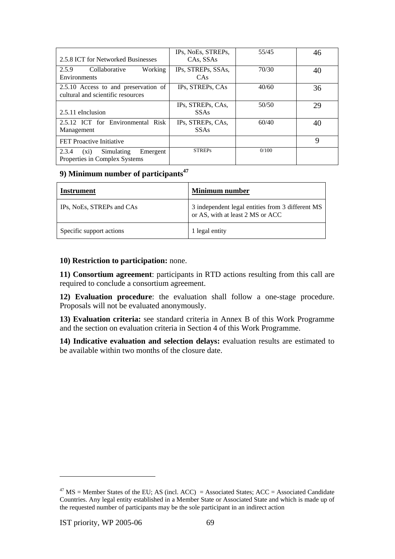| 2.5.8 ICT for Networked Businesses                                          | IPs, NoEs, STREPs,<br>CAs, SSAs  | 55/45 | 46 |
|-----------------------------------------------------------------------------|----------------------------------|-------|----|
| 2.5.9<br>Collaborative<br>Working<br>Environments                           | IPs, STREPs, SSAs,<br>CAs        | 70/30 | 40 |
| 2.5.10 Access to and preservation of<br>cultural and scientific resources   | IPs, STREPs, CAs                 | 40/60 | 36 |
| 2.5.11 eInclusion                                                           | IPs, STREPs, CAs,<br><b>SSAs</b> | 50/50 | 29 |
| 2.5.12 ICT for Environmental Risk<br>Management                             | IPs, STREPs, CAs,<br><b>SSAs</b> | 60/40 | 40 |
| FET Proactive Initiative                                                    |                                  |       | 9  |
| 2.3.4<br>Simulating<br>Emergent<br>$(x_i)$<br>Properties in Complex Systems | <b>STREPs</b>                    | 0/100 |    |

# **9) Minimum number of participants<sup>47</sup>**

| Instrument                | <b>Minimum</b> number                                                                |
|---------------------------|--------------------------------------------------------------------------------------|
| IPs, NoEs, STREPs and CAs | 3 independent legal entities from 3 different MS<br>or AS, with at least 2 MS or ACC |
| Specific support actions  | 1 legal entity                                                                       |

## **10) Restriction to participation:** none.

**11) Consortium agreement**: participants in RTD actions resulting from this call are required to conclude a consortium agreement.

**12) Evaluation procedure**: the evaluation shall follow a one-stage procedure. Proposals will not be evaluated anonymously.

**13) Evaluation criteria:** see standard criteria in Annex B of this Work Programme and the section on evaluation criteria in Section 4 of this Work Programme.

**14) Indicative evaluation and selection delays:** evaluation results are estimated to be available within two months of the closure date.

<sup>&</sup>lt;sup>47</sup> MS = Member States of the EU; AS (incl. ACC) = Associated States; ACC = Associated Candidate Countries. Any legal entity established in a Member State or Associated State and which is made up of the requested number of participants may be the sole participant in an indirect action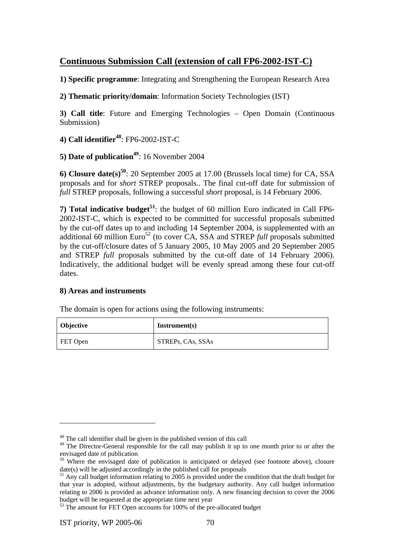# **Continuous Submission Call (extension of call FP6-2002-IST-C)**

**1) Specific programme**: Integrating and Strengthening the European Research Area

**2) Thematic priority/domain**: Information Society Technologies (IST)

**3) Call title**: Future and Emerging Technologies – Open Domain (Continuous Submission)

**4) Call identifier48**: FP6-2002-IST-C

**5) Date of publication<sup>49</sup>: 16 November 2004** 

**6) Closure date(s)50**: 20 September 2005 at 17.00 (Brussels local time) for CA, SSA proposals and for *short* STREP proposals.. The final cut-off date for submission of *full* STREP proposals, following a successful *short* proposal, is 14 February 2006.

**7) Total indicative budget<sup>51</sup>**: the budget of 60 million Euro indicated in Call FP6- 2002-IST-C, which is expected to be committed for successful proposals submitted by the cut-off dates up to and including 14 September 2004, is supplemented with an additional 60 million Euro<sup>52</sup> (to cover CA, SSA and STREP *full* proposals submitted by the cut-off/closure dates of 5 January 2005, 10 May 2005 and 20 September 2005 and STREP *full* proposals submitted by the cut-off date of 14 February 2006). Indicatively, the additional budget will be evenly spread among these four cut-off dates.

### **8) Areas and instruments**

The domain is open for actions using the following instruments:

| <b>Objective</b> | Instrument(s)     |
|------------------|-------------------|
| FET Open         | STREPs, CAs, SSAs |

<sup>&</sup>lt;sup>48</sup> The call identifier shall be given in the published version of this call

<sup>&</sup>lt;sup>49</sup> The Director-General responsible for the call may publish it up to one month prior to or after the envisaged date of publication

<sup>&</sup>lt;sup>50</sup> Where the envisaged date of publication is anticipated or delayed (see footnote above), closure date(s) will be adjusted accordingly in the published call for proposals

 $^{51}$  Any call budget information relating to 2005 is provided under the condition that the draft budget for that year is adopted, without adjustments, by the budgetary authority. Any call budget information relating to 2006 is provided as advance information only. A new financing decision to cover the 2006 budget will be requested at the appropriate time next year

 $52$  The amount for FET Open accounts for 100% of the pre-allocated budget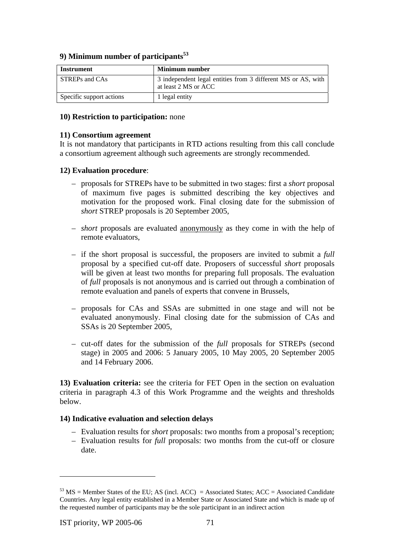### **9) Minimum number of participants**<sup>53</sup>

| Instrument               | <b>Minimum number</b>                                                                |
|--------------------------|--------------------------------------------------------------------------------------|
| STREPs and CAs           | 3 independent legal entities from 3 different MS or AS, with<br>at least 2 MS or ACC |
| Specific support actions | 1 legal entity                                                                       |

#### **10) Restriction to participation:** none

#### **11) Consortium agreement**

It is not mandatory that participants in RTD actions resulting from this call conclude a consortium agreement although such agreements are strongly recommended.

### **12) Evaluation procedure**:

- proposals for STREPs have to be submitted in two stages: first a *short* proposal of maximum five pages is submitted describing the key objectives and motivation for the proposed work. Final closing date for the submission of *short* STREP proposals is 20 September 2005,
- *short* proposals are evaluated anonymously as they come in with the help of remote evaluators,
- if the short proposal is successful, the proposers are invited to submit a *full* proposal by a specified cut-off date. Proposers of successful *short* proposals will be given at least two months for preparing full proposals. The evaluation of *full* proposals is not anonymous and is carried out through a combination of remote evaluation and panels of experts that convene in Brussels,
- proposals for CAs and SSAs are submitted in one stage and will not be evaluated anonymously. Final closing date for the submission of CAs and SSAs is 20 September 2005,
- cut-off dates for the submission of the *full* proposals for STREPs (second stage) in 2005 and 2006: 5 January 2005, 10 May 2005, 20 September 2005 and 14 February 2006.

**13) Evaluation criteria:** see the criteria for FET Open in the section on evaluation criteria in paragraph 4.3 of this Work Programme and the weights and thresholds below.

### **14) Indicative evaluation and selection delays**

- Evaluation results for *short* proposals: two months from a proposal's reception;
- Evaluation results for *full* proposals: two months from the cut-off or closure date.

 $53$  MS = Member States of the EU; AS (incl. ACC) = Associated States; ACC = Associated Candidate Countries. Any legal entity established in a Member State or Associated State and which is made up of the requested number of participants may be the sole participant in an indirect action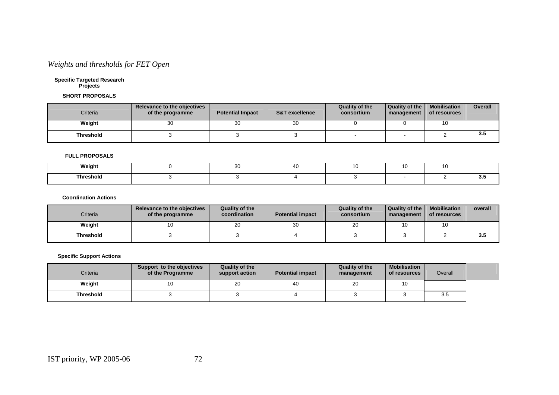## *Weights and thresholds for FET Open*

#### **Specific Targeted Research Projects**

#### **SHORT PROPOSALS**

| Criteria         | Relevance to the objectives<br>of the programme | <b>Potential Impact</b> | <b>S&amp;T excellence</b> | Quality of the<br>consortium | Quality of the<br>management | <b>Mobilisation</b><br>of resources | <b>Overall</b> |
|------------------|-------------------------------------------------|-------------------------|---------------------------|------------------------------|------------------------------|-------------------------------------|----------------|
| Weight           | 30                                              | 30                      | 30                        |                              |                              | 10                                  |                |
| <b>Threshold</b> |                                                 |                         |                           |                              |                              |                                     | 3.5            |

#### **FULL PROPOSALS**

| Weight         | $\sim$<br>◡ |  |  |  |
|----------------|-------------|--|--|--|
| Threshold<br>. |             |  |  |  |

#### **Coordination Actions**

| Criteria         | Relevance to the objectives<br>of the programme | Quality of the<br>coordination | <b>Potential impact</b> | <b>Quality of the</b><br>consortium | Quality of the I<br>management | <b>Mobilisation</b><br>of resources | overall |
|------------------|-------------------------------------------------|--------------------------------|-------------------------|-------------------------------------|--------------------------------|-------------------------------------|---------|
| Weight           | 10                                              | 20                             | ບບ                      | 20                                  |                                | 10                                  |         |
| <b>Threshold</b> |                                                 |                                |                         |                                     |                                |                                     | 3.5     |

#### **Specific Support Actions**

| Criteria         | Support to the objectives<br>of the Programme | Quality of the<br>support action | <b>Potential impact</b> | Quality of the<br>management | Mobilisation<br>of resources | Overall |  |
|------------------|-----------------------------------------------|----------------------------------|-------------------------|------------------------------|------------------------------|---------|--|
| Weight           | ١U                                            | 20                               | 40                      | 20                           | 10                           |         |  |
| <b>Threshold</b> |                                               |                                  |                         |                              |                              | 3.5     |  |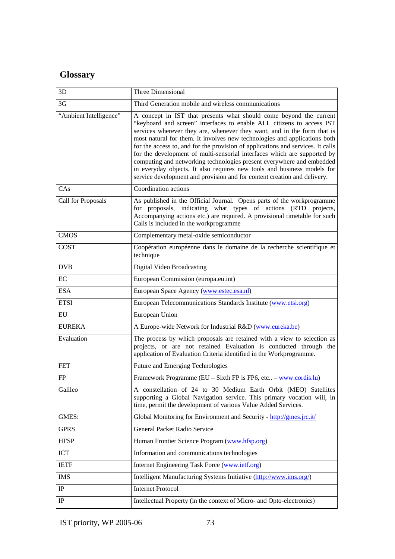# **Glossary**

| 3D                     | Three Dimensional                                                                                                                                                                                                                                                                                                                                                                                                                                                                                                                                                                                                                                                                                  |
|------------------------|----------------------------------------------------------------------------------------------------------------------------------------------------------------------------------------------------------------------------------------------------------------------------------------------------------------------------------------------------------------------------------------------------------------------------------------------------------------------------------------------------------------------------------------------------------------------------------------------------------------------------------------------------------------------------------------------------|
| 3 <sub>G</sub>         | Third Generation mobile and wireless communications                                                                                                                                                                                                                                                                                                                                                                                                                                                                                                                                                                                                                                                |
| "Ambient Intelligence" | A concept in IST that presents what should come beyond the current<br>"keyboard and screen" interfaces to enable ALL citizens to access IST<br>services wherever they are, whenever they want, and in the form that is<br>most natural for them. It involves new technologies and applications both<br>for the access to, and for the provision of applications and services. It calls<br>for the development of multi-sensorial interfaces which are supported by<br>computing and networking technologies present everywhere and embedded<br>in everyday objects. It also requires new tools and business models for<br>service development and provision and for content creation and delivery. |
| CAs                    | Coordination actions                                                                                                                                                                                                                                                                                                                                                                                                                                                                                                                                                                                                                                                                               |
| Call for Proposals     | As published in the Official Journal. Opens parts of the workprogramme<br>for proposals, indicating what types of actions (RTD projects,<br>Accompanying actions etc.) are required. A provisional timetable for such<br>Calls is included in the workprogramme                                                                                                                                                                                                                                                                                                                                                                                                                                    |
| <b>CMOS</b>            | Complementary metal-oxide semiconductor                                                                                                                                                                                                                                                                                                                                                                                                                                                                                                                                                                                                                                                            |
| <b>COST</b>            | Coopération européenne dans le domaine de la recherche scientifique et<br>technique                                                                                                                                                                                                                                                                                                                                                                                                                                                                                                                                                                                                                |
| <b>DVB</b>             | <b>Digital Video Broadcasting</b>                                                                                                                                                                                                                                                                                                                                                                                                                                                                                                                                                                                                                                                                  |
| EC                     | European Commission (europa.eu.int)                                                                                                                                                                                                                                                                                                                                                                                                                                                                                                                                                                                                                                                                |
| <b>ESA</b>             | European Space Agency (www.estec.esa.nl)                                                                                                                                                                                                                                                                                                                                                                                                                                                                                                                                                                                                                                                           |
| <b>ETSI</b>            | European Telecommunications Standards Institute (www.etsi.org)                                                                                                                                                                                                                                                                                                                                                                                                                                                                                                                                                                                                                                     |
| EU                     | European Union                                                                                                                                                                                                                                                                                                                                                                                                                                                                                                                                                                                                                                                                                     |
| <b>EUREKA</b>          | A Europe-wide Network for Industrial R&D (www.eureka.be)                                                                                                                                                                                                                                                                                                                                                                                                                                                                                                                                                                                                                                           |
| Evaluation             | The process by which proposals are retained with a view to selection as<br>projects, or are not retained Evaluation is conducted through the<br>application of Evaluation Criteria identified in the Workprogramme.                                                                                                                                                                                                                                                                                                                                                                                                                                                                                |
| <b>FET</b>             | Future and Emerging Technologies                                                                                                                                                                                                                                                                                                                                                                                                                                                                                                                                                                                                                                                                   |
| <b>FP</b>              | Framework Programme (EU – Sixth FP is FP6, etc – www.cordis.lu)                                                                                                                                                                                                                                                                                                                                                                                                                                                                                                                                                                                                                                    |
| Galileo                | A constellation of 24 to 30 Medium Earth Orbit (MEO) Satellites<br>supporting a Global Navigation service. This primary vocation will, in<br>time, permit the development of various Value Added Services.                                                                                                                                                                                                                                                                                                                                                                                                                                                                                         |
| GMES:                  | Global Monitoring for Environment and Security - http://gmes.jrc.it/                                                                                                                                                                                                                                                                                                                                                                                                                                                                                                                                                                                                                               |
| GPRS                   | General Packet Radio Service                                                                                                                                                                                                                                                                                                                                                                                                                                                                                                                                                                                                                                                                       |
| <b>HFSP</b>            | Human Frontier Science Program (www.hfsp.org)                                                                                                                                                                                                                                                                                                                                                                                                                                                                                                                                                                                                                                                      |
| <b>ICT</b>             | Information and communications technologies                                                                                                                                                                                                                                                                                                                                                                                                                                                                                                                                                                                                                                                        |
| <b>IETF</b>            | Internet Engineering Task Force (www.ietf.org)                                                                                                                                                                                                                                                                                                                                                                                                                                                                                                                                                                                                                                                     |
| <b>IMS</b>             | Intelligent Manufacturing Systems Initiative (http://www.ims.org/)                                                                                                                                                                                                                                                                                                                                                                                                                                                                                                                                                                                                                                 |
| IP                     | <b>Internet Protocol</b>                                                                                                                                                                                                                                                                                                                                                                                                                                                                                                                                                                                                                                                                           |
| IP                     | Intellectual Property (in the context of Micro- and Opto-electronics)                                                                                                                                                                                                                                                                                                                                                                                                                                                                                                                                                                                                                              |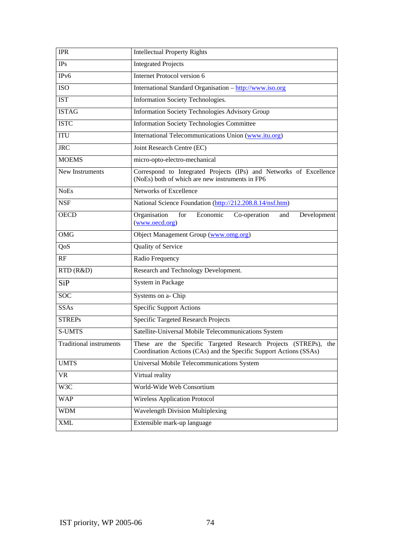| <b>IPR</b>              | <b>Intellectual Property Rights</b>                                                                                                   |
|-------------------------|---------------------------------------------------------------------------------------------------------------------------------------|
| IPs                     | <b>Integrated Projects</b>                                                                                                            |
| IP <sub>v</sub> 6       | Internet Protocol version 6                                                                                                           |
| <b>ISO</b>              | International Standard Organisation - http://www.iso.org                                                                              |
| <b>IST</b>              | Information Society Technologies.                                                                                                     |
| <b>ISTAG</b>            | <b>Information Society Technologies Advisory Group</b>                                                                                |
| <b>ISTC</b>             | <b>Information Society Technologies Committee</b>                                                                                     |
| <b>ITU</b>              | International Telecommunications Union (www.itu.org)                                                                                  |
| <b>JRC</b>              | Joint Research Centre (EC)                                                                                                            |
| <b>MOEMS</b>            | micro-opto-electro-mechanical                                                                                                         |
| New Instruments         | Correspond to Integrated Projects (IPs) and Networks of Excellence<br>(NoEs) both of which are new instruments in FP6                 |
| <b>NoEs</b>             | Networks of Excellence                                                                                                                |
| <b>NSF</b>              | National Science Foundation (http://212.208.8.14/nsf.htm)                                                                             |
| <b>OECD</b>             | Organisation<br>for<br>Economic<br>Co-operation<br>Development<br>and<br>(www.oecd.org)                                               |
| OMG                     | Object Management Group (www.omg.org)                                                                                                 |
| QoS                     | Quality of Service                                                                                                                    |
| RF                      | Radio Frequency                                                                                                                       |
| RTD (R&D)               | Research and Technology Development.                                                                                                  |
| <b>SiP</b>              | System in Package                                                                                                                     |
| <b>SOC</b>              | Systems on a- Chip                                                                                                                    |
| <b>SSAs</b>             | <b>Specific Support Actions</b>                                                                                                       |
| <b>STREPs</b>           | Specific Targeted Research Projects                                                                                                   |
| <b>S-UMTS</b>           | Satellite-Universal Mobile Telecommunications System                                                                                  |
| Traditional instruments | These are the Specific Targeted Research Projects (STREPs), the<br>Coordination Actions (CAs) and the Specific Support Actions (SSAs) |
| <b>UMTS</b>             | Universal Mobile Telecommunications System                                                                                            |
| <b>VR</b>               | Virtual reality                                                                                                                       |
| W3C                     | World-Wide Web Consortium                                                                                                             |
| <b>WAP</b>              | <b>Wireless Application Protocol</b>                                                                                                  |
| <b>WDM</b>              | <b>Wavelength Division Multiplexing</b>                                                                                               |
| <b>XML</b>              | Extensible mark-up language                                                                                                           |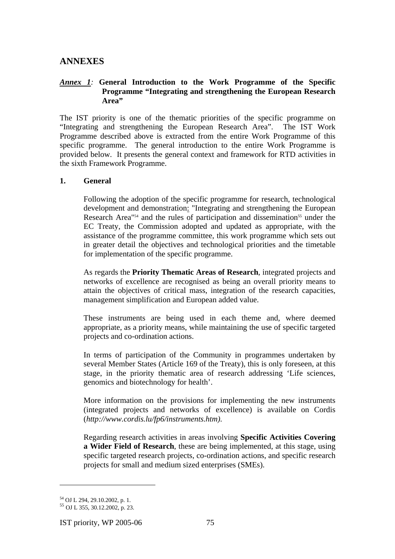## **ANNEXES**

#### *Annex 1:* **General Introduction to the Work Programme of the Specific Programme "Integrating and strengthening the European Research Area"**

The IST priority is one of the thematic priorities of the specific programme on "Integrating and strengthening the European Research Area". The IST Work Programme described above is extracted from the entire Work Programme of this specific programme. The general introduction to the entire Work Programme is provided below. It presents the general context and framework for RTD activities in the sixth Framework Programme.

#### **1. General**

Following the adoption of the specific programme for research, technological development and demonstration: "Integrating and strengthening the European Research Area<sup> $154$ </sup> and the rules of participation and dissemination<sup>55</sup> under the EC Treaty, the Commission adopted and updated as appropriate, with the assistance of the programme committee, this work programme which sets out in greater detail the objectives and technological priorities and the timetable for implementation of the specific programme.

As regards the **Priority Thematic Areas of Research**, integrated projects and networks of excellence are recognised as being an overall priority means to attain the objectives of critical mass, integration of the research capacities, management simplification and European added value.

These instruments are being used in each theme and, where deemed appropriate, as a priority means, while maintaining the use of specific targeted projects and co-ordination actions.

In terms of participation of the Community in programmes undertaken by several Member States (Article 169 of the Treaty), this is only foreseen, at this stage, in the priority thematic area of research addressing 'Life sciences, genomics and biotechnology for health'.

More information on the provisions for implementing the new instruments (integrated projects and networks of excellence) is available on Cordis (*http://www.cordis.lu/fp6/instruments.htm)*.

Regarding research activities in areas involving **Specific Activities Covering a Wider Field of Research**, these are being implemented, at this stage, using specific targeted research projects, co-ordination actions, and specific research projects for small and medium sized enterprises (SMEs).

 $\overline{a}$ 

IST priority, WP 2005-06 75

<sup>54</sup> OJ L 294, 29.10.2002, p. 1.

<sup>55</sup> OJ L 355, 30.12.2002, p. 23.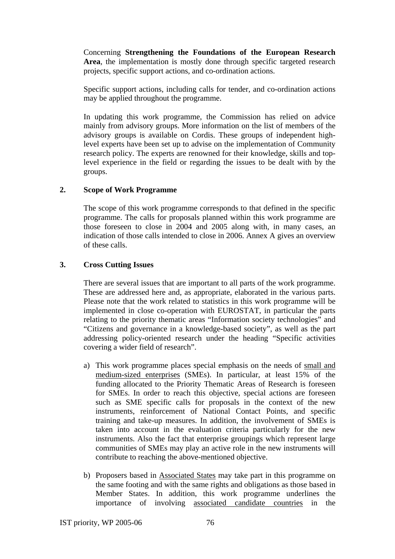Concerning **Strengthening the Foundations of the European Research Area**, the implementation is mostly done through specific targeted research projects, specific support actions, and co-ordination actions.

Specific support actions, including calls for tender, and co-ordination actions may be applied throughout the programme.

In updating this work programme, the Commission has relied on advice mainly from advisory groups. More information on the list of members of the advisory groups is available on Cordis. These groups of independent highlevel experts have been set up to advise on the implementation of Community research policy. The experts are renowned for their knowledge, skills and toplevel experience in the field or regarding the issues to be dealt with by the groups.

#### **2. Scope of Work Programme**

The scope of this work programme corresponds to that defined in the specific programme. The calls for proposals planned within this work programme are those foreseen to close in 2004 and 2005 along with, in many cases, an indication of those calls intended to close in 2006. Annex A gives an overview of these calls.

#### **3. Cross Cutting Issues**

There are several issues that are important to all parts of the work programme. These are addressed here and, as appropriate, elaborated in the various parts. Please note that the work related to statistics in this work programme will be implemented in close co-operation with EUROSTAT, in particular the parts relating to the priority thematic areas "Information society technologies" and "Citizens and governance in a knowledge-based society", as well as the part addressing policy-oriented research under the heading "Specific activities covering a wider field of research".

- a) This work programme places special emphasis on the needs of small and medium-sized enterprises (SMEs). In particular, at least 15% of the funding allocated to the Priority Thematic Areas of Research is foreseen for SMEs. In order to reach this objective, special actions are foreseen such as SME specific calls for proposals in the context of the new instruments, reinforcement of National Contact Points, and specific training and take-up measures. In addition, the involvement of SMEs is taken into account in the evaluation criteria particularly for the new instruments. Also the fact that enterprise groupings which represent large communities of SMEs may play an active role in the new instruments will contribute to reaching the above-mentioned objective.
- b) Proposers based in Associated States may take part in this programme on the same footing and with the same rights and obligations as those based in Member States. In addition, this work programme underlines the importance of involving associated candidate countries in the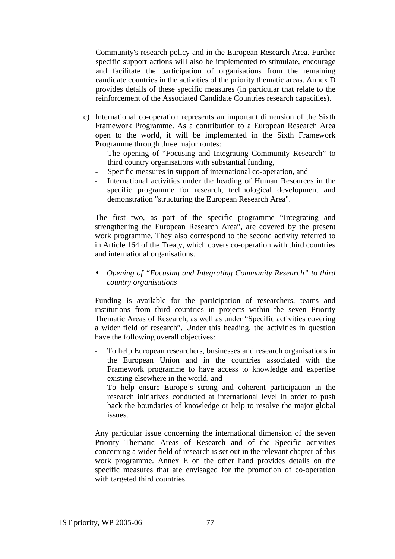Community's research policy and in the European Research Area. Further specific support actions will also be implemented to stimulate, encourage and facilitate the participation of organisations from the remaining candidate countries in the activities of the priority thematic areas. Annex D provides details of these specific measures (in particular that relate to the reinforcement of the Associated Candidate Countries research capacities).

- c) International co-operation represents an important dimension of the Sixth Framework Programme. As a contribution to a European Research Area open to the world, it will be implemented in the Sixth Framework Programme through three major routes:
	- The opening of "Focusing and Integrating Community Research" to third country organisations with substantial funding,
	- Specific measures in support of international co-operation, and
	- International activities under the heading of Human Resources in the specific programme for research, technological development and demonstration "structuring the European Research Area".

The first two, as part of the specific programme "Integrating and strengthening the European Research Area", are covered by the present work programme. They also correspond to the second activity referred to in Article 164 of the Treaty, which covers co-operation with third countries and international organisations.

• *Opening of "Focusing and Integrating Community Research" to third country organisations* 

Funding is available for the participation of researchers, teams and institutions from third countries in projects within the seven Priority Thematic Areas of Research, as well as under "Specific activities covering a wider field of research". Under this heading, the activities in question have the following overall objectives:

- To help European researchers, businesses and research organisations in the European Union and in the countries associated with the Framework programme to have access to knowledge and expertise existing elsewhere in the world, and
- To help ensure Europe's strong and coherent participation in the research initiatives conducted at international level in order to push back the boundaries of knowledge or help to resolve the major global issues.

Any particular issue concerning the international dimension of the seven Priority Thematic Areas of Research and of the Specific activities concerning a wider field of research is set out in the relevant chapter of this work programme. Annex E on the other hand provides details on the specific measures that are envisaged for the promotion of co-operation with targeted third countries.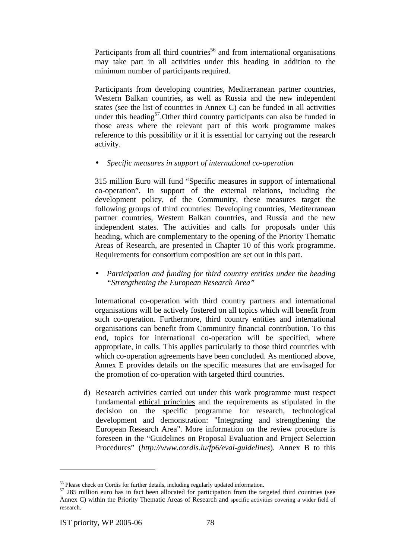Participants from all third countries<sup>56</sup> and from international organisations may take part in all activities under this heading in addition to the minimum number of participants required.

Participants from developing countries, Mediterranean partner countries, Western Balkan countries, as well as Russia and the new independent states (see the list of countries in Annex C) can be funded in all activities under this heading<sup>57</sup>. Other third country participants can also be funded in those areas where the relevant part of this work programme makes reference to this possibility or if it is essential for carrying out the research activity.

#### • *Specific measures in support of international co-operation*

315 million Euro will fund "Specific measures in support of international co-operation". In support of the external relations, including the development policy, of the Community, these measures target the following groups of third countries: Developing countries, Mediterranean partner countries, Western Balkan countries, and Russia and the new independent states. The activities and calls for proposals under this heading, which are complementary to the opening of the Priority Thematic Areas of Research, are presented in Chapter 10 of this work programme. Requirements for consortium composition are set out in this part.

• *Participation and funding for third country entities under the heading "Strengthening the European Research Area"* 

International co-operation with third country partners and international organisations will be actively fostered on all topics which will benefit from such co-operation. Furthermore, third country entities and international organisations can benefit from Community financial contribution. To this end, topics for international co-operation will be specified, where appropriate, in calls. This applies particularly to those third countries with which co-operation agreements have been concluded. As mentioned above, Annex E provides details on the specific measures that are envisaged for the promotion of co-operation with targeted third countries.

d) Research activities carried out under this work programme must respect fundamental ethical principles and the requirements as stipulated in the decision on the specific programme for research, technological development and demonstration: "Integrating and strengthening the European Research Area". More information on the review procedure is foreseen in the "Guidelines on Proposal Evaluation and Project Selection Procedures" (*http://www.cordis.lu/fp6/eval-guidelines*). Annex B to this

<sup>&</sup>lt;sup>56</sup> Please check on Cordis for further details, including regularly updated information.<br><sup>57</sup> 285 million euro has in fact been allocated for participation from the targeted third countries (see Annex C) within the Priority Thematic Areas of Research and specific activities covering a wider field of research.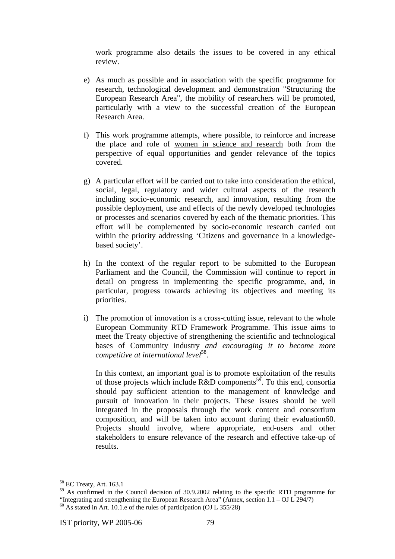work programme also details the issues to be covered in any ethical review.

- e) As much as possible and in association with the specific programme for research, technological development and demonstration "Structuring the European Research Area", the mobility of researchers will be promoted, particularly with a view to the successful creation of the European Research Area.
- f) This work programme attempts, where possible, to reinforce and increase the place and role of women in science and research both from the perspective of equal opportunities and gender relevance of the topics covered.
- g) A particular effort will be carried out to take into consideration the ethical, social, legal, regulatory and wider cultural aspects of the research including socio-economic research, and innovation, resulting from the possible deployment, use and effects of the newly developed technologies or processes and scenarios covered by each of the thematic priorities. This effort will be complemented by socio-economic research carried out within the priority addressing 'Citizens and governance in a knowledgebased society'.
- h) In the context of the regular report to be submitted to the European Parliament and the Council, the Commission will continue to report in detail on progress in implementing the specific programme, and, in particular, progress towards achieving its objectives and meeting its priorities.
- i) The promotion of innovation is a cross-cutting issue, relevant to the whole European Community RTD Framework Programme. This issue aims to meet the Treaty objective of strengthening the scientific and technological bases of Community industry *and encouraging it to become more competitive at international level*58.

In this context, an important goal is to promote exploitation of the results of those projects which include  $R&D$  components<sup>59</sup>. To this end, consortia should pay sufficient attention to the management of knowledge and pursuit of innovation in their projects. These issues should be well integrated in the proposals through the work content and consortium composition, and will be taken into account during their evaluation60. Projects should involve, where appropriate, end-users and other stakeholders to ensure relevance of the research and effective take-up of results.

<sup>58</sup> EC Treaty, Art. 163.1

<sup>&</sup>lt;sup>59</sup> As confirmed in the Council decision of 30.9.2002 relating to the specific RTD programme for "Integrating and strengthening the European Research Area" (Annex, section 1.1 – OJ L 294/7) 60 As stated in Art. 10.1.e of the rules of participation (OJ L 355/28)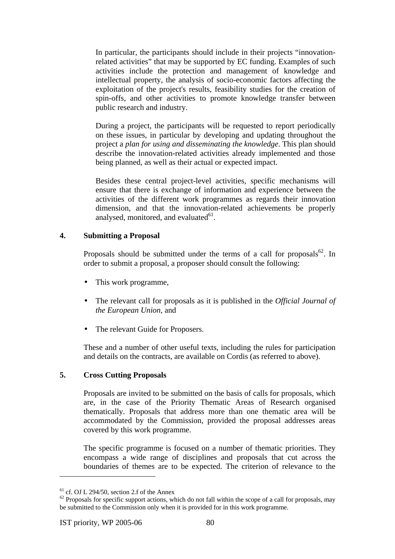In particular, the participants should include in their projects "innovationrelated activities" that may be supported by EC funding. Examples of such activities include the protection and management of knowledge and intellectual property, the analysis of socio-economic factors affecting the exploitation of the project's results, feasibility studies for the creation of spin-offs, and other activities to promote knowledge transfer between public research and industry.

During a project, the participants will be requested to report periodically on these issues, in particular by developing and updating throughout the project a *plan for using and disseminating the knowledge*. This plan should describe the innovation-related activities already implemented and those being planned, as well as their actual or expected impact.

Besides these central project-level activities, specific mechanisms will ensure that there is exchange of information and experience between the activities of the different work programmes as regards their innovation dimension, and that the innovation-related achievements be properly analysed, monitored, and evaluated $^{61}$ .

#### **4. Submitting a Proposal**

Proposals should be submitted under the terms of a call for proposals<sup>62</sup>. In order to submit a proposal, a proposer should consult the following:

- This work programme,
- The relevant call for proposals as it is published in the *Official Journal of the European Union*, and
- The relevant Guide for Proposers.

These and a number of other useful texts, including the rules for participation and details on the contracts, are available on Cordis (as referred to above).

#### **5. Cross Cutting Proposals**

Proposals are invited to be submitted on the basis of calls for proposals, which are, in the case of the Priority Thematic Areas of Research organised thematically. Proposals that address more than one thematic area will be accommodated by the Commission, provided the proposal addresses areas covered by this work programme.

The specific programme is focused on a number of thematic priorities. They encompass a wide range of disciplines and proposals that cut across the boundaries of themes are to be expected. The criterion of relevance to the

 $61$  cf. OJ L 294/50, section 2.f of the Annex

 $62$  Proposals for specific support actions, which do not fall within the scope of a call for proposals, may be submitted to the Commission only when it is provided for in this work programme.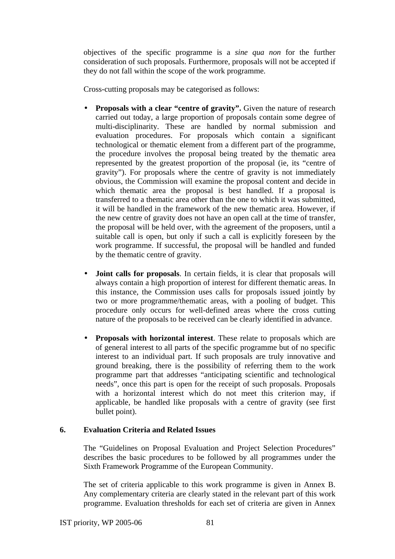objectives of the specific programme is a *sine qua non* for the further consideration of such proposals. Furthermore, proposals will not be accepted if they do not fall within the scope of the work programme.

Cross-cutting proposals may be categorised as follows:

- **Proposals with a clear "centre of gravity".** Given the nature of research carried out today, a large proportion of proposals contain some degree of multi-disciplinarity. These are handled by normal submission and evaluation procedures. For proposals which contain a significant technological or thematic element from a different part of the programme, the procedure involves the proposal being treated by the thematic area represented by the greatest proportion of the proposal (ie, its "centre of gravity"). For proposals where the centre of gravity is not immediately obvious, the Commission will examine the proposal content and decide in which thematic area the proposal is best handled. If a proposal is transferred to a thematic area other than the one to which it was submitted, it will be handled in the framework of the new thematic area. However, if the new centre of gravity does not have an open call at the time of transfer, the proposal will be held over, with the agreement of the proposers, until a suitable call is open, but only if such a call is explicitly foreseen by the work programme. If successful, the proposal will be handled and funded by the thematic centre of gravity.
- **Joint calls for proposals**. In certain fields, it is clear that proposals will always contain a high proportion of interest for different thematic areas. In this instance, the Commission uses calls for proposals issued jointly by two or more programme/thematic areas, with a pooling of budget. This procedure only occurs for well-defined areas where the cross cutting nature of the proposals to be received can be clearly identified in advance.
- **Proposals with horizontal interest**. These relate to proposals which are of general interest to all parts of the specific programme but of no specific interest to an individual part. If such proposals are truly innovative and ground breaking, there is the possibility of referring them to the work programme part that addresses "anticipating scientific and technological needs", once this part is open for the receipt of such proposals. Proposals with a horizontal interest which do not meet this criterion may, if applicable, be handled like proposals with a centre of gravity (see first bullet point).

#### **6. Evaluation Criteria and Related Issues**

The "Guidelines on Proposal Evaluation and Project Selection Procedures" describes the basic procedures to be followed by all programmes under the Sixth Framework Programme of the European Community.

The set of criteria applicable to this work programme is given in Annex B. Any complementary criteria are clearly stated in the relevant part of this work programme. Evaluation thresholds for each set of criteria are given in Annex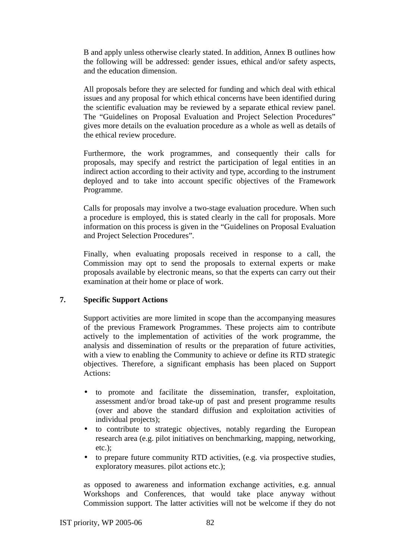B and apply unless otherwise clearly stated. In addition, Annex B outlines how the following will be addressed: gender issues, ethical and/or safety aspects, and the education dimension.

All proposals before they are selected for funding and which deal with ethical issues and any proposal for which ethical concerns have been identified during the scientific evaluation may be reviewed by a separate ethical review panel. The "Guidelines on Proposal Evaluation and Project Selection Procedures" gives more details on the evaluation procedure as a whole as well as details of the ethical review procedure.

Furthermore, the work programmes, and consequently their calls for proposals, may specify and restrict the participation of legal entities in an indirect action according to their activity and type, according to the instrument deployed and to take into account specific objectives of the Framework Programme.

Calls for proposals may involve a two-stage evaluation procedure. When such a procedure is employed, this is stated clearly in the call for proposals. More information on this process is given in the "Guidelines on Proposal Evaluation and Project Selection Procedures".

Finally, when evaluating proposals received in response to a call, the Commission may opt to send the proposals to external experts or make proposals available by electronic means, so that the experts can carry out their examination at their home or place of work.

#### **7. Specific Support Actions**

Support activities are more limited in scope than the accompanying measures of the previous Framework Programmes. These projects aim to contribute actively to the implementation of activities of the work programme, the analysis and dissemination of results or the preparation of future activities, with a view to enabling the Community to achieve or define its RTD strategic objectives. Therefore, a significant emphasis has been placed on Support Actions:

- to promote and facilitate the dissemination, transfer, exploitation, assessment and/or broad take-up of past and present programme results (over and above the standard diffusion and exploitation activities of individual projects);
- to contribute to strategic objectives, notably regarding the European research area (e.g. pilot initiatives on benchmarking, mapping, networking, etc.);
- to prepare future community RTD activities, (e.g. via prospective studies, exploratory measures. pilot actions etc.);

as opposed to awareness and information exchange activities, e.g. annual Workshops and Conferences, that would take place anyway without Commission support. The latter activities will not be welcome if they do not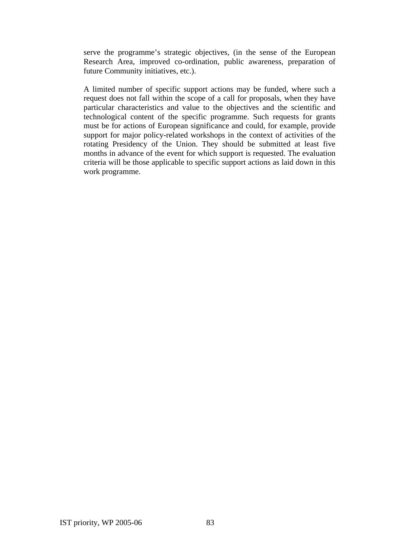serve the programme's strategic objectives, (in the sense of the European Research Area, improved co-ordination, public awareness, preparation of future Community initiatives, etc.).

A limited number of specific support actions may be funded, where such a request does not fall within the scope of a call for proposals, when they have particular characteristics and value to the objectives and the scientific and technological content of the specific programme. Such requests for grants must be for actions of European significance and could, for example, provide support for major policy-related workshops in the context of activities of the rotating Presidency of the Union. They should be submitted at least five months in advance of the event for which support is requested. The evaluation criteria will be those applicable to specific support actions as laid down in this work programme.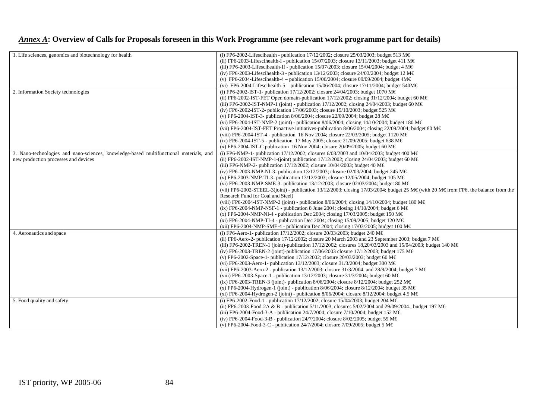## *Annex A***: Overview of Calls for Proposals foreseen in this Work Programme (see relevant work programme part for details)**

| 1. Life sciences, genomics and biotechnology for health                                | (i) FP6-2002-Lifescihealth - publication 17/12/2002; closure 25/03/2003; budget 513 M $\in$                                       |
|----------------------------------------------------------------------------------------|-----------------------------------------------------------------------------------------------------------------------------------|
|                                                                                        | (ii) FP6-2003-Lifescihealth-I - publication 15/07/2003; closure 13/11/2003; budget 411 M $\in$                                    |
|                                                                                        | (iii) FP6-2003-Lifescihealth-II - publication 15/07/2003; closure 15/04/2004; budget 4 M $\in$                                    |
|                                                                                        | (iv) FP6-2003-Lifescihealth-3 - publication 13/12/2003; closure 24/03/2004; budget 12 M $\in$                                     |
|                                                                                        | (v) FP6-2004-Lifescihealth-4 – publication 15/06/2004; closure 09/09/2004; budget $4M\epsilon$                                    |
|                                                                                        | (vi) FP6-2004-Lifescihealth-5 - publication 15/06/2004; closure 17/11/2004; budget 540M $\in$                                     |
| 2. Information Society technologies                                                    | (i) FP6-2002-IST-1- publication 17/12/2002; closure 24/04/2003; budget 1070 M€                                                    |
|                                                                                        | (ii) FP6-2002-IST-FET Open domain-publication 17/12/2002; closing 31/12/2004; budget 60 M $\in$                                   |
|                                                                                        | (iii) FP6-2002-IST-NMP-1 (joint) - publication 17/12/2002; closing 24/04/2003; budget 60 M€                                       |
|                                                                                        | (iv) FP6-2002-IST-2- publication 17/06/2003; closure 15/10/2003; budget 525 M $\in$                                               |
|                                                                                        | (v) FP6-2004-IST-3- publication 8/06/2004; closure 22/09/2004; budget 28 M€                                                       |
|                                                                                        | (vi) FP6-2004-IST-NMP-2 (joint) - publication 8/06/2004; closing 14/10/2004; budget 180 M€                                        |
|                                                                                        | (vii) FP6-2004-IST-FET Proactive initiatives-publication 8/06/2004; closing 22/09/2004; budget 80 M $\in$                         |
|                                                                                        | (viii) FP6-2004-IST-4 - publication 16 Nov 2004; closure 22/03/2005; budget 1120 M€                                               |
|                                                                                        | (ix) FP6-2004-IST-5 - publication 17 May 2005; closure 21/09/2005; budget 638 M€                                                  |
|                                                                                        | (x) FP6-2004-IST-C publication 16 Nov 2004; closure 20/09/2005; budget 60 M $\in$                                                 |
| 3. Nano-technologies and nano-sciences, knowledge-based multifunctional materials, and | (i) FP6-NMP-1- publication 17/12/2002; closures 6/03/2003 and 10/04/2003; budget 400 M€                                           |
| new production processes and devices                                                   | (ii) FP6-2002-IST-NMP-1-(joint) publication 17/12/2002; closing 24/04/2003; budget 60 M€                                          |
|                                                                                        | (iii) FP6-NMP-2- publication 17/12/2002; closure 10/04/2003; budget 40 M $\in$                                                    |
|                                                                                        | (iv) FP6-2003-NMP-NI-3- publication 13/12/2003; closure 02/03/2004; budget 245 M€                                                 |
|                                                                                        | (v) FP6-2003-NMP-TI-3- publication 13/12/2003; closure 12/05/2004; budget 105 M€                                                  |
|                                                                                        | (vi) FP6-2003-NMP-SME-3- publication 13/12/2003; closure 02/03/2004; budget 80 M€                                                 |
|                                                                                        | (vii) FP6-2002-STEEL-3(joint) - publication 13/12/2003; closing 17/03/2004; budget 25 M€(with 20 M€from FP6, the balance from the |
|                                                                                        | Research Fund for Coal and Steel)                                                                                                 |
|                                                                                        | (viii) FP6-2004-IST-NMP-2 (joint) - publication 8/06/2004; closing 14/10/2004; budget 180 M€                                      |
|                                                                                        | (ix) FP6-2004-NMP-NSF-1 - publication 8 June 2004; closing 14/10/2004; budget 6 M $\in$                                           |
|                                                                                        | $(x)$ FP6-2004-NMP-NI-4 - publication Dec 2004; closing 17/03/2005; budget 150 M $\in$                                            |
|                                                                                        | (xi) FP6-2004-NMP-TI-4 - publication Dec 2004; closing 15/09/2005; budget 120 M $\in$                                             |
|                                                                                        | (xii) FP6-2004-NMP-SME-4 - publication Dec 2004; closing 17/03/2005; budget 100 M€                                                |
| 4. Aeronautics and space                                                               | (i) FP6-Aero-1- publication 17/12/2002; closure 20/03/2003; budget 240 M€                                                         |
|                                                                                        | (ii) FP6-Aero-2- publication 17/12/2002; closure 20 March 2003 and 23 September 2003; budget 7 M $\in$                            |
|                                                                                        | (iii) FP6-2002-TREN-1 (joint)-publication 17/12/2002; closures 18,20/03/2003 and 15/04/2003; budget 140 M€                        |
|                                                                                        | (iv) FP6-2003-TREN-2 (joint)-publication 17/06/2003 closure 17/12/2003; budget 175 M€                                             |
|                                                                                        | (v) FP6-2002-Space-1- publication 17/12/2002; closure 20/03/2003; budget 60 M€                                                    |
|                                                                                        | (vi) FP6-2003-Aero-1- publication 13/12/2003; closure 31/3/2004; budget 300 M€                                                    |
|                                                                                        | (vii) FP6-2003-Aero-2 - publication 13/12/2003; closure 31/3/2004, and 28/9/2004; budget 7 M€                                     |
|                                                                                        | (viii) FP6-2003-Space-1 - publication 13/12/2003; closure 31/3/2004; budget 60 M€                                                 |
|                                                                                        | (ix) FP6-2003-TREN-3 (joint)- publication 8/06/2004; closure 8/12/2004; budget 252 M€                                             |
|                                                                                        | (x) FP6-2004-Hydrogen-1 (joint) - publication 8/06/2004; closure 8/12/2004; budget 35 M€                                          |
|                                                                                        | (xi) FP6-2004-Hydrogen-2 (joint) - publication 8/06/2004; closure 8/12/2004; budget 4.5 M $\in$                                   |
| 5. Food quality and safety                                                             | (i) FP6-2002-Food-1 - publication 17/12/2002; closure 15/04/2003; budget 204 M€                                                   |
|                                                                                        |                                                                                                                                   |
|                                                                                        | (ii) FP6-2003-Food-2A & B - publication 5/11/2003; closures 5/02/2004 and 29/09/2004.; budget 197 M€                              |
|                                                                                        | (iii) FP6-2004-Food-3-A - publication 24/7/2004; closure 7/10/2004; budget 152 M€                                                 |
|                                                                                        | (iv) FP6-2004-Food-3-B - publication 24/7/2004; closure 8/02/2005; budget 59 M€                                                   |
|                                                                                        | (v) FP6-2004-Food-3-C - publication 24/7/2004; closure 7/09/2005; budget 5 M€                                                     |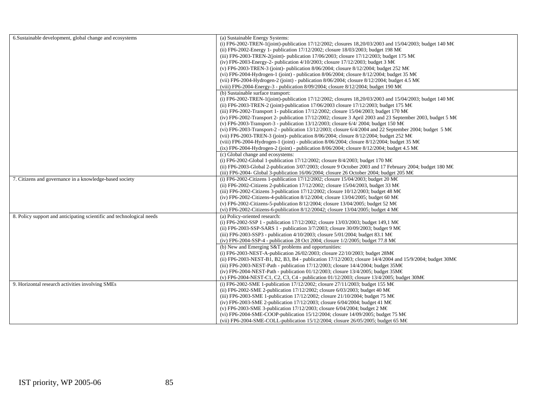| 6. Sustainable development, global change and ecosystems              | (a) Sustainable Energy Systems:                                                                                 |
|-----------------------------------------------------------------------|-----------------------------------------------------------------------------------------------------------------|
|                                                                       | (i) FP6-2002-TREN-1(joint)-publication 17/12/2002; closures 18,20/03/2003 and 15/04/2003; budget 140 M€         |
|                                                                       | (ii) FP6-2002-Energy 1- publication $17/12/2002$ ; closure 18/03/2003; budget 198 M€                            |
|                                                                       | (iii) FP6-2003-TREN-2(joint)- publication 17/06/2003; closure 17/12/2003; budget 175 M€                         |
|                                                                       | (iv) FP6-2003-Energy-2- publication 4/10/2003; closure 17/12/2003; budget 3 M $\in$                             |
|                                                                       | (v) FP6-2003-TREN-3 (joint)- publication 8/06/2004; closure 8/12/2004; budget 252 M $\in$                       |
|                                                                       | (vi) FP6-2004-Hydrogen-1 (joint) - publication 8/06/2004; closure 8/12/2004; budget 35 M $\in$                  |
|                                                                       |                                                                                                                 |
|                                                                       | (vii) FP6-2004-Hydrogen-2 (joint) - publication 8/06/2004; closure 8/12/2004; budget 4.5 M€                     |
|                                                                       | (viii) FP6-2004-Energy-3 - publication 8/09/2004; closure 8/12/2004; budget 190 M $\in$                         |
|                                                                       | (b) Sustainable surface transport:                                                                              |
|                                                                       | (i) FP6-2002-TREN-1(joint)-publication 17/12/2002; closures 18,20/03/2003 and 15/04/2003; budget 140 M€         |
|                                                                       | (ii) FP6-2003-TREN-2 (joint)-publication 17/06/2003 closure 17/12/2003; budget 175 M€                           |
|                                                                       | (iii) FP6-2002-Transport 1- publication 17/12/2002; closure 15/04/2003; budget 170 M€                           |
|                                                                       | (iv) FP6-2002-Transport 2- publication 17/12/2002; closure 3 April 2003 and 23 September 2003, budget 5 M $\in$ |
|                                                                       | (v) FP6-2003-Transport-3 - publication 13/12/2003; closure 6/4/2004; budget 150 M€                              |
|                                                                       | (vi) FP6-2003-Transport-2 - publication 13/12/2003; closure $6/4/2004$ and 22 September 2004; budget 5 M $\in$  |
|                                                                       | (vii) FP6-2003-TREN-3 (joint)- publication 8/06/2004; closure 8/12/2004; budget 252 M€                          |
|                                                                       | (viii) FP6-2004-Hydrogen-1 (joint) - publication 8/06/2004; closure 8/12/2004; budget 35 M $\in$                |
|                                                                       | (ix) FP6-2004-Hydrogen-2 (joint) - publication 8/06/2004; closure 8/12/2004; budget 4.5 M $\in$                 |
|                                                                       | (c) Global change and ecosystems:                                                                               |
|                                                                       | (i) FP6-2002-Global 1-publication 17/12/2002; closure 8/4/2003; budget 170 M€                                   |
|                                                                       | (ii) FP6-2003-Global 2-publication 3/07/2003; closure 9 October 2003 and 17 February 2004; budget 180 M $\in$   |
|                                                                       | (iii) FP6-2004- Global 3-publication 16/06/2004; closure 26 October 2004; budget 205 M $\in$                    |
| 7. Citizens and governance in a knowledge-based society               | (i) FP6-2002-Citizens 1-publication 17/12/2002; closure 15/04/2003; budget 20 M $\in$                           |
|                                                                       | (ii) FP6-2002-Citizens 2-publication 17/12/2002; closure 15/04/2003, budget 33 M $\in$                          |
|                                                                       | (iii) FP6-2002-Citizens 3-publication 17/12/2002; closure 10/12/2003; budget 48 M€                              |
|                                                                       | (iv) FP6-2002-Citizens-4-publication 8/12/2004; closure 13/04/2005; budget 60 M $\in$                           |
|                                                                       | (v) FP6-2002-Citizens-5-publication 8/12/2004; closure 13/04/2005; budget 52 M $\in$                            |
|                                                                       | (vi) FP6-2002-Citizens-6-publication 8/12/20042; closure 13/04/2005; budget 4 M $\in$                           |
| 8. Policy support and anticipating scientific and technological needs | (a) Policy-oriented research:                                                                                   |
|                                                                       | (i) FP6-2002-SSP 1 - publication 17/12/2002; closure 13/03/2003; budget 149,1 M€                                |
|                                                                       | (ii) FP6-2003-SSP-SARS 1 - publication $3/7/2003$ ; closure $30/09/2003$ ; budget 9 M $\in$                     |
|                                                                       |                                                                                                                 |
|                                                                       | (iii) FP6-2003-SSP3 - publication 4/10/2003; closure 5/01/2004; budget 83.1 M€                                  |
|                                                                       | (iv) FP6-2004-SSP-4 - publication 28 Oct 2004; closure 1/2/2005; budget 77.8 M€                                 |
|                                                                       | (b) New and Emerging S&T problems and opportunities:                                                            |
|                                                                       | (i) FP6-2003-NEST-A-publication 26/02/2003; closure 22/10/2003; budget 28M€                                     |
|                                                                       | (ii) FP6-2003-NEST-B1, B2, B3, B4 - publication 17/12/2003; closure 14/4/2004 and 15/9/2004; budget 30M€        |
|                                                                       | (iii) FP6-2003-NEST-Path - publication 17/12/2003; closure 14/4/2004; budget 35M€                               |
|                                                                       | (iv) FP6-2004-NEST-Path - publication 01/12/2003; closure 13/4/2005; budget 35M $\in$                           |
|                                                                       | (v) FP6-2004-NEST-C1, C2, C3, C4 - publication 01/12/2003; closure 13/4/2005; budget 30M€                       |
| 9. Horizontal research activities involving SMEs                      | (i) FP6-2002-SME 1-publication 17/12/2002; closure 27/11/2003; budget 155 M€                                    |
|                                                                       | (ii) FP6-2002-SME 2-publication 17/12/2002; closure 6/03/2003; budget 40 M€                                     |
|                                                                       | (iii) FP6-2003-SME 1-publication 17/12/2002; closure 21/10/2004; budget 75 M€                                   |
|                                                                       | (iv) FP6-2003-SME 2-publication 17/12/2003; closure 6/04/2004; budget 41 M€                                     |
|                                                                       | (v) FP6-2003-SME 3-publication 17/12/2003; closure 6/04/2004; budget 2 M€                                       |
|                                                                       | (vi) FP6-2004-SME-COOP-publication 15/12/2004; closure 14/09/2005; budget 75 M€                                 |
|                                                                       | (vii) FP6-2004-SME-COLL-publication 15/12/2004; closure 26/05/2005; budget 65 M€                                |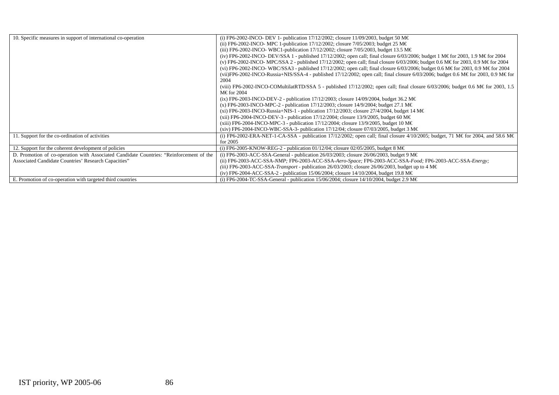| 10. Specific measures in support of international co-operation                          | (i) FP6-2002-INCO- DEV 1- publication 17/12/2002; closure 11/09/2003, budget 50 M€<br>(ii) FP6-2002-INCO- MPC 1-publication 17/12/2002; closure 7/05/2003; budget 25 M€<br>(iii) FP6-2002-INCO-WBC1-publication 17/12/2002; closure 7/05/2003, budget 13.5 M€<br>(iv) FP6-2002-INCO- DEV/SSA 1 - published 17/12/2002; open call; final closure 6/03/2006; budget 1 M€ for 2003, 1.9 M€ for 2004<br>(v) FP6-2002-INCO- MPC/SSA 2 - published 17/12/2002; open call; final closure 6/03/2006; budget 0.6 M€ for 2003, 0.9 M€ for 2004<br>(vi) FP6-2002-INCO-WBC/SSA3 - published 17/12/2002; open call; final closure 6/03/2006; budget 0.6 M€ for 2003, 0.9 M€ for 2004 |
|-----------------------------------------------------------------------------------------|-------------------------------------------------------------------------------------------------------------------------------------------------------------------------------------------------------------------------------------------------------------------------------------------------------------------------------------------------------------------------------------------------------------------------------------------------------------------------------------------------------------------------------------------------------------------------------------------------------------------------------------------------------------------------|
|                                                                                         | (vii)FP6-2002-INCO-Russia+NIS/SSA-4 - published 17/12/2002; open call; final closure 6/03/2006; budget 0.6 M€ for 2003, 0.9 M€ for<br>2004                                                                                                                                                                                                                                                                                                                                                                                                                                                                                                                              |
|                                                                                         | (viii) FP6-2002-INCO-COMultilatRTD/SSA 5 - published $17/12/2002$ ; open call; final closure 6/03/2006; budget 0.6 M€for 2003, 1.5<br>M€for 2004                                                                                                                                                                                                                                                                                                                                                                                                                                                                                                                        |
|                                                                                         | (ix) FP6-2003-INCO-DEV-2 - publication 17/12/2003; closure 14/09/2004, budget 36.2 M€                                                                                                                                                                                                                                                                                                                                                                                                                                                                                                                                                                                   |
|                                                                                         | (x) FP6-2003-INCO-MPC-2 - publication 17/12/2003; closure 14/9/2004; budget 27.1 M€                                                                                                                                                                                                                                                                                                                                                                                                                                                                                                                                                                                     |
|                                                                                         | (xi) FP6-2003-INCO-Russia+NIS-1 - publication 17/12/2003; closure 27/4/2004, budget 14 M€                                                                                                                                                                                                                                                                                                                                                                                                                                                                                                                                                                               |
|                                                                                         | (xii) FP6-2004-INCO-DEV-3 - publication 17/12/2004; closure 13/9/2005, budget 60 M€                                                                                                                                                                                                                                                                                                                                                                                                                                                                                                                                                                                     |
|                                                                                         | (xiii) FP6-2004-INCO-MPC-3 - publication $17/12/2004$ ; closure $13/9/2005$ , budget 10 M $\in$                                                                                                                                                                                                                                                                                                                                                                                                                                                                                                                                                                         |
|                                                                                         | (xiv) FP6-2004-INCO-WBC-SSA-3- publication 17/12/04; closure 07/03/2005, budget 3 M $\in$                                                                                                                                                                                                                                                                                                                                                                                                                                                                                                                                                                               |
| 11. Support for the co-ordination of activities                                         | (i) FP6-2002-ERA-NET-1-CA-SSA - publication 17/12/2002; open call; final closure 4/10/2005; budget, 71 M€ for 2004, and 58.6 M€<br>for $2005$                                                                                                                                                                                                                                                                                                                                                                                                                                                                                                                           |
| 12. Support for the coherent development of policies                                    | (i) FP6-2005-KNOW-REG-2 - publication 01/12/04; closure 02/05/2005, budget 8 M€                                                                                                                                                                                                                                                                                                                                                                                                                                                                                                                                                                                         |
| D. Promotion of co-operation with Associated Candidate Countries: "Reinforcement of the | (i) FP6-2003-ACC-SSA-General - publication 26/03/2003; closure 26/06/2003, budget 9 M $\in$                                                                                                                                                                                                                                                                                                                                                                                                                                                                                                                                                                             |
| Associated Candidate Countries' Research Capacities"                                    | (ii) FP6-2003-ACC-SSA-NMP; FP6-2003-ACC-SSA-Aero-Space; FP6-2003-ACC-SSA-Food; FP6-2003-ACC-SSA-Energy;                                                                                                                                                                                                                                                                                                                                                                                                                                                                                                                                                                 |
|                                                                                         | (iii) FP6-2003-ACC-SSA- <i>Transport</i> - publication 26/03/2003; closure 26/06/2003, budget up to 4 M $\in$                                                                                                                                                                                                                                                                                                                                                                                                                                                                                                                                                           |
|                                                                                         | (iv) FP6-2004-ACC-SSA-2 - publication 15/06/2004; closure 14/10/2004, budget 19.8 M€                                                                                                                                                                                                                                                                                                                                                                                                                                                                                                                                                                                    |
| E. Promotion of co-operation with targeted third countries                              | (i) FP6-2004-TC-SSA-General - publication 15/06/2004; closure 14/10/2004, budget 2.9 M $\in$                                                                                                                                                                                                                                                                                                                                                                                                                                                                                                                                                                            |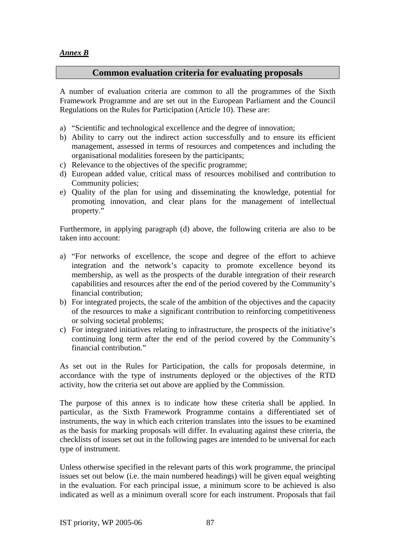#### *Annex B*

#### **Common evaluation criteria for evaluating proposals**

A number of evaluation criteria are common to all the programmes of the Sixth Framework Programme and are set out in the European Parliament and the Council Regulations on the Rules for Participation (Article 10). These are:

- a) "Scientific and technological excellence and the degree of innovation;
- b) Ability to carry out the indirect action successfully and to ensure its efficient management, assessed in terms of resources and competences and including the organisational modalities foreseen by the participants;
- c) Relevance to the objectives of the specific programme;
- d) European added value, critical mass of resources mobilised and contribution to Community policies;
- e) Quality of the plan for using and disseminating the knowledge, potential for promoting innovation, and clear plans for the management of intellectual property."

Furthermore, in applying paragraph (d) above, the following criteria are also to be taken into account:

- a) "For networks of excellence, the scope and degree of the effort to achieve integration and the network's capacity to promote excellence beyond its membership, as well as the prospects of the durable integration of their research capabilities and resources after the end of the period covered by the Community's financial contribution;
- b) For integrated projects, the scale of the ambition of the objectives and the capacity of the resources to make a significant contribution to reinforcing competitiveness or solving societal problems;
- c) For integrated initiatives relating to infrastructure, the prospects of the initiative's continuing long term after the end of the period covered by the Community's financial contribution."

As set out in the Rules for Participation, the calls for proposals determine, in accordance with the type of instruments deployed or the objectives of the RTD activity, how the criteria set out above are applied by the Commission.

The purpose of this annex is to indicate how these criteria shall be applied. In particular, as the Sixth Framework Programme contains a differentiated set of instruments, the way in which each criterion translates into the issues to be examined as the basis for marking proposals will differ. In evaluating against these criteria, the checklists of issues set out in the following pages are intended to be universal for each type of instrument.

Unless otherwise specified in the relevant parts of this work programme, the principal issues set out below (i.e. the main numbered headings) will be given equal weighting in the evaluation. For each principal issue, a minimum score to be achieved is also indicated as well as a minimum overall score for each instrument. Proposals that fail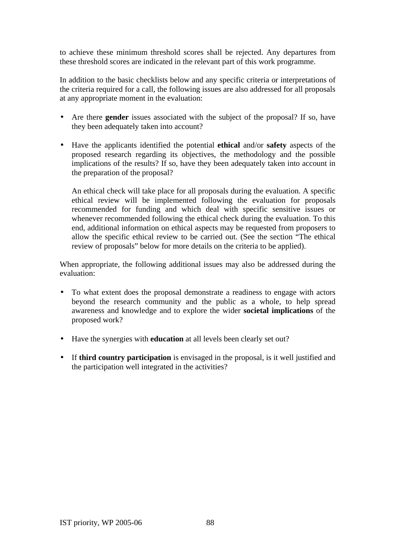to achieve these minimum threshold scores shall be rejected. Any departures from these threshold scores are indicated in the relevant part of this work programme.

In addition to the basic checklists below and any specific criteria or interpretations of the criteria required for a call, the following issues are also addressed for all proposals at any appropriate moment in the evaluation:

- Are there **gender** issues associated with the subject of the proposal? If so, have they been adequately taken into account?
- Have the applicants identified the potential **ethical** and/or **safety** aspects of the proposed research regarding its objectives, the methodology and the possible implications of the results? If so, have they been adequately taken into account in the preparation of the proposal?

An ethical check will take place for all proposals during the evaluation. A specific ethical review will be implemented following the evaluation for proposals recommended for funding and which deal with specific sensitive issues or whenever recommended following the ethical check during the evaluation. To this end, additional information on ethical aspects may be requested from proposers to allow the specific ethical review to be carried out. (See the section "The ethical review of proposals" below for more details on the criteria to be applied).

When appropriate, the following additional issues may also be addressed during the evaluation:

- To what extent does the proposal demonstrate a readiness to engage with actors beyond the research community and the public as a whole, to help spread awareness and knowledge and to explore the wider **societal implications** of the proposed work?
- Have the synergies with **education** at all levels been clearly set out?
- If **third country participation** is envisaged in the proposal, is it well justified and the participation well integrated in the activities?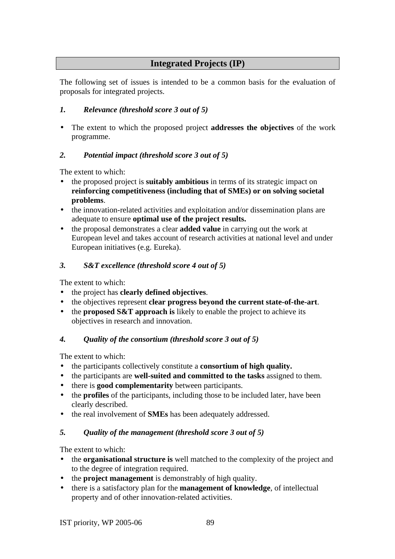## **Integrated Projects (IP)**

The following set of issues is intended to be a common basis for the evaluation of proposals for integrated projects.

## *1. Relevance (threshold score 3 out of 5)*

• The extent to which the proposed project **addresses the objectives** of the work programme.

### *2. Potential impact (threshold score 3 out of 5)*

The extent to which:

- the proposed project is **suitably ambitious** in terms of its strategic impact on **reinforcing competitiveness (including that of SMEs) or on solving societal problems**.
- the innovation-related activities and exploitation and/or dissemination plans are adequate to ensure **optimal use of the project results.**
- the proposal demonstrates a clear **added value** in carrying out the work at European level and takes account of research activities at national level and under European initiatives (e.g. Eureka).

#### *3. S&T excellence (threshold score 4 out of 5)*

The extent to which:

- the project has **clearly defined objectives**.
- the objectives represent **clear progress beyond the current state-of-the-art**.
- the **proposed S&T** approach is likely to enable the project to achieve its objectives in research and innovation.

#### *4. Quality of the consortium (threshold score 3 out of 5)*

The extent to which:

- the participants collectively constitute a **consortium of high quality.**
- the participants are **well-suited and committed to the tasks** assigned to them.
- there is **good complementarity** between participants.
- the **profiles** of the participants, including those to be included later, have been clearly described.
- the real involvement of **SMEs** has been adequately addressed.

## *5. Quality of the management (threshold score 3 out of 5)*

- the **organisational structure is** well matched to the complexity of the project and to the degree of integration required.
- the **project management** is demonstrably of high quality.
- there is a satisfactory plan for the **management of knowledge**, of intellectual property and of other innovation-related activities.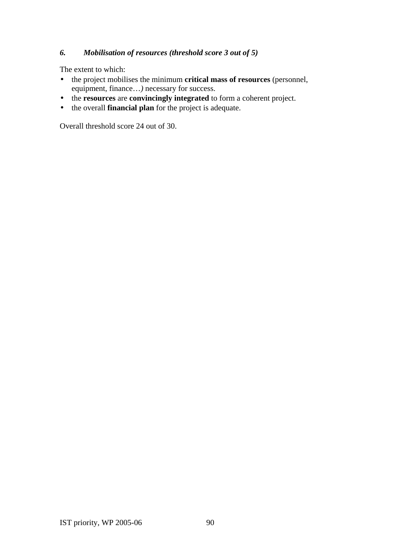### *6. Mobilisation of resources (threshold score 3 out of 5)*

The extent to which:

- the project mobilises the minimum **critical mass of resources** (personnel, equipment, finance…*)* necessary for success.
- the **resources** are **convincingly integrated** to form a coherent project.
- the overall **financial plan** for the project is adequate.

Overall threshold score 24 out of 30.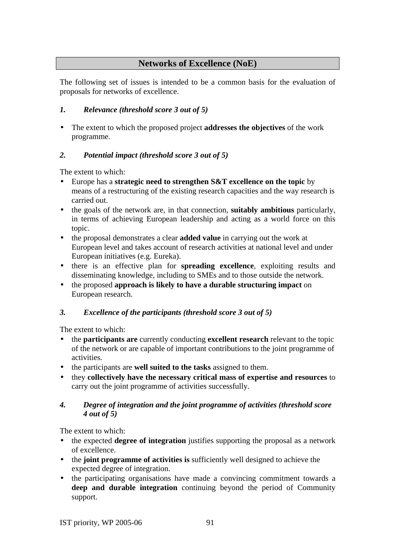## **Networks of Excellence (NoE)**

The following set of issues is intended to be a common basis for the evaluation of proposals for networks of excellence.

## *1. Relevance (threshold score 3 out of 5)*

• The extent to which the proposed project **addresses the objectives** of the work programme.

## *2. Potential impact (threshold score 3 out of 5)*

The extent to which:

- Europe has a **strategic need to strengthen S&T excellence on the topic** by means of a restructuring of the existing research capacities and the way research is carried out.
- the goals of the network are, in that connection, **suitably ambitious** particularly, in terms of achieving European leadership and acting as a world force on this topic.
- the proposal demonstrates a clear **added value** in carrying out the work at European level and takes account of research activities at national level and under European initiatives (e.g. Eureka).
- there is an effective plan for **spreading excellence**, exploiting results and disseminating knowledge, including to SMEs and to those outside the network.
- the proposed **approach is likely to have a durable structuring impact** on European research.

## *3. Excellence of the participants (threshold score 3 out of 5)*

The extent to which:

- the **participants are** currently conducting **excellent research** relevant to the topic of the network or are capable of important contributions to the joint programme of activities.
- the participants are **well suited to the tasks** assigned to them.
- they **collectively have the necessary critical mass of expertise and resources** to carry out the joint programme of activities successfully.

### *4. Degree of integration and the joint programme of activities (threshold score 4 out of 5)*

- the expected **degree of integration** justifies supporting the proposal as a network of excellence.
- the **joint programme of activities is** sufficiently well designed to achieve the expected degree of integration.
- the participating organisations have made a convincing commitment towards a **deep and durable integration** continuing beyond the period of Community support.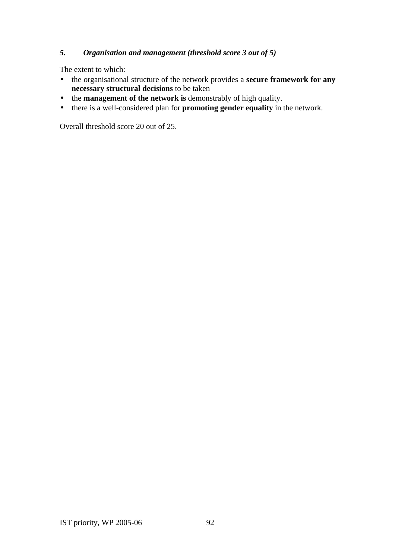### *5. Organisation and management (threshold score 3 out of 5)*

The extent to which:

- the organisational structure of the network provides a **secure framework for any necessary structural decisions** to be taken
- the **management of the network is** demonstrably of high quality.
- there is a well-considered plan for **promoting gender equality** in the network.

Overall threshold score 20 out of 25.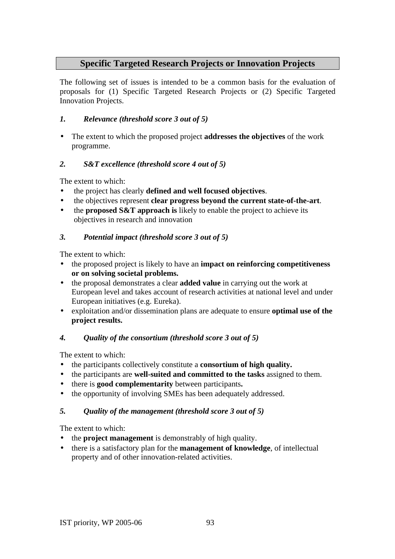## **Specific Targeted Research Projects or Innovation Projects**

The following set of issues is intended to be a common basis for the evaluation of proposals for (1) Specific Targeted Research Projects or (2) Specific Targeted Innovation Projects.

#### *1. Relevance (threshold score 3 out of 5)*

• The extent to which the proposed project **addresses the objectives** of the work programme.

### *2. S&T excellence (threshold score 4 out of 5)*

The extent to which:

- the project has clearly **defined and well focused objectives**.
- the objectives represent **clear progress beyond the current state-of-the-art**.
- the **proposed S&T** approach is likely to enable the project to achieve its objectives in research and innovation

### *3. Potential impact (threshold score 3 out of 5)*

The extent to which:

- the proposed project is likely to have an **impact on reinforcing competitiveness or on solving societal problems.**
- the proposal demonstrates a clear **added value** in carrying out the work at European level and takes account of research activities at national level and under European initiatives (e.g. Eureka).
- exploitation and/or dissemination plans are adequate to ensure **optimal use of the project results.**

#### *4. Quality of the consortium (threshold score 3 out of 5)*

The extent to which:

- the participants collectively constitute a **consortium of high quality.**
- the participants are **well-suited and committed to the tasks** assigned to them.
- there is **good complementarity** between participants**.**
- the opportunity of involving SMEs has been adequately addressed.

#### *5. Quality of the management (threshold score 3 out of 5)*

- the **project management** is demonstrably of high quality.
- there is a satisfactory plan for the **management of knowledge**, of intellectual property and of other innovation-related activities.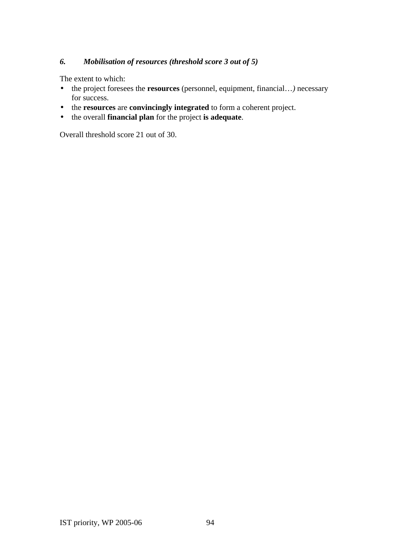### *6. Mobilisation of resources (threshold score 3 out of 5)*

The extent to which:

- the project foresees the **resources** (personnel, equipment, financial…*)* necessary for success.
- the **resources** are **convincingly integrated** to form a coherent project.
- the overall **financial plan** for the project **is adequate**.

Overall threshold score 21 out of 30.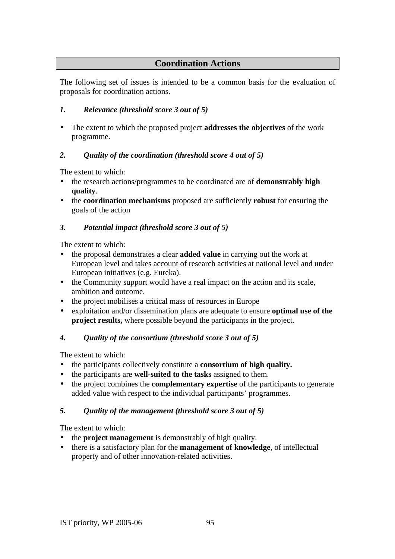## **Coordination Actions**

The following set of issues is intended to be a common basis for the evaluation of proposals for coordination actions.

## *1. Relevance (threshold score 3 out of 5)*

• The extent to which the proposed project **addresses the objectives** of the work programme.

## *2. Quality of the coordination (threshold score 4 out of 5)*

The extent to which:

- the research actions/programmes to be coordinated are of **demonstrably high quality**.
- the **coordination mechanisms** proposed are sufficiently **robust** for ensuring the goals of the action

## *3. Potential impact (threshold score 3 out of 5)*

The extent to which:

- the proposal demonstrates a clear **added value** in carrying out the work at European level and takes account of research activities at national level and under European initiatives (e.g. Eureka).
- the Community support would have a real impact on the action and its scale, ambition and outcome.
- the project mobilises a critical mass of resources in Europe
- exploitation and/or dissemination plans are adequate to ensure **optimal use of the project results,** where possible beyond the participants in the project.

## *4. Quality of the consortium (threshold score 3 out of 5)*

The extent to which:

- the participants collectively constitute a **consortium of high quality.**
- the participants are **well-suited to the tasks** assigned to them.
- the project combines the **complementary expertise** of the participants to generate added value with respect to the individual participants' programmes.

## *5. Quality of the management (threshold score 3 out of 5)*

- the **project management** is demonstrably of high quality.
- there is a satisfactory plan for the **management of knowledge**, of intellectual property and of other innovation-related activities.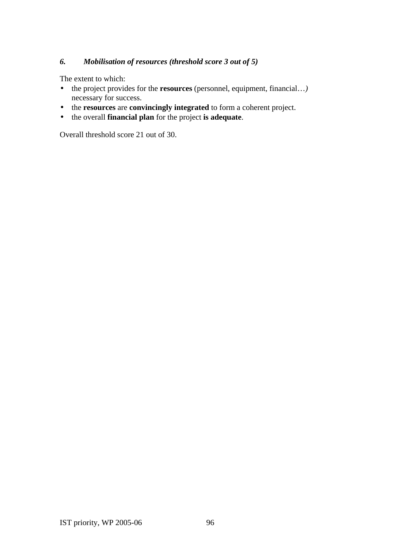### *6. Mobilisation of resources (threshold score 3 out of 5)*

The extent to which:

- the project provides for the **resources** (personnel, equipment, financial…*)* necessary for success.
- the **resources** are **convincingly integrated** to form a coherent project.
- the overall **financial plan** for the project **is adequate**.

Overall threshold score 21 out of 30.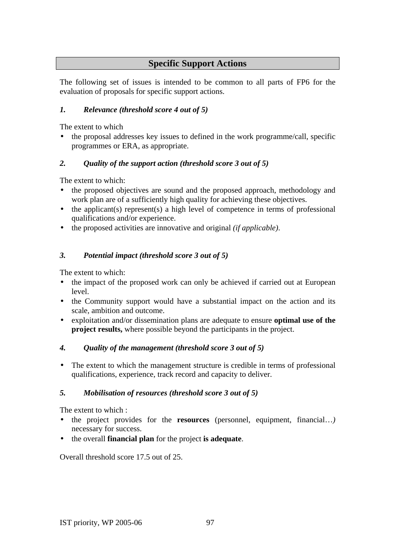## **Specific Support Actions**

The following set of issues is intended to be common to all parts of FP6 for the evaluation of proposals for specific support actions.

## *1. Relevance (threshold score 4 out of 5)*

The extent to which

• the proposal addresses key issues to defined in the work programme/call, specific programmes or ERA, as appropriate.

## *2. Quality of the support action (threshold score 3 out of 5)*

The extent to which:

- the proposed objectives are sound and the proposed approach, methodology and work plan are of a sufficiently high quality for achieving these objectives.
- the applicant(s) represent(s) a high level of competence in terms of professional qualifications and/or experience.
- the proposed activities are innovative and original *(if applicable)*.

## *3. Potential impact (threshold score 3 out of 5)*

The extent to which:

- the impact of the proposed work can only be achieved if carried out at European level.
- the Community support would have a substantial impact on the action and its scale, ambition and outcome.
- exploitation and/or dissemination plans are adequate to ensure **optimal use of the project results,** where possible beyond the participants in the project.

## *4. Quality of the management (threshold score 3 out of 5)*

• The extent to which the management structure is credible in terms of professional qualifications, experience, track record and capacity to deliver.

## *5. Mobilisation of resources (threshold score 3 out of 5)*

The extent to which :

- the project provides for the **resources** (personnel, equipment, financial...) necessary for success.
- the overall **financial plan** for the project **is adequate**.

Overall threshold score 17.5 out of 25.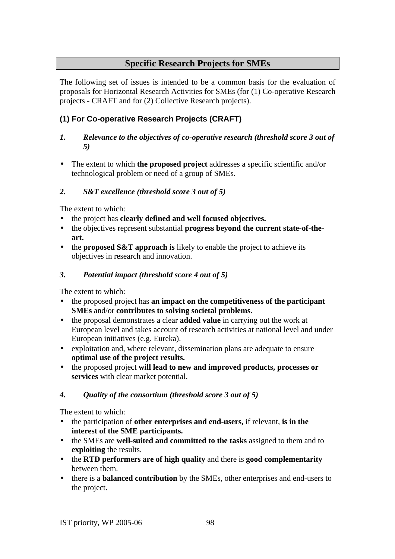## **Specific Research Projects for SMEs**

The following set of issues is intended to be a common basis for the evaluation of proposals for Horizontal Research Activities for SMEs (for (1) Co-operative Research projects - CRAFT and for (2) Collective Research projects).

## **(1) For Co-operative Research Projects (CRAFT)**

#### *1. Relevance to the objectives of co-operative research (threshold score 3 out of 5)*

• The extent to which **the proposed project** addresses a specific scientific and/or technological problem or need of a group of SMEs.

### *2. S&T excellence (threshold score 3 out of 5)*

The extent to which:

- the project has **clearly defined and well focused objectives.**
- the objectives represent substantial **progress beyond the current state-of-theart.**
- the **proposed S&T** approach is likely to enable the project to achieve its objectives in research and innovation.

### *3. Potential impact (threshold score 4 out of 5)*

The extent to which:

- the proposed project has **an impact on the competitiveness of the participant SMEs** and/or **contributes to solving societal problems.**
- the proposal demonstrates a clear **added value** in carrying out the work at European level and takes account of research activities at national level and under European initiatives (e.g. Eureka).
- exploitation and, where relevant, dissemination plans are adequate to ensure **optimal use of the project results.**
- the proposed project **will lead to new and improved products, processes or services** with clear market potential.

#### *4. Quality of the consortium (threshold score 3 out of 5)*

- the participation of **other enterprises and end-users,** if relevant, **is in the interest of the SME participants.**
- the SMEs are **well-suited and committed to the tasks** assigned to them and to **exploiting** the results.
- the **RTD performers are of high quality** and there is **good complementarity** between them.
- there is a **balanced contribution** by the SMEs, other enterprises and end-users to the project.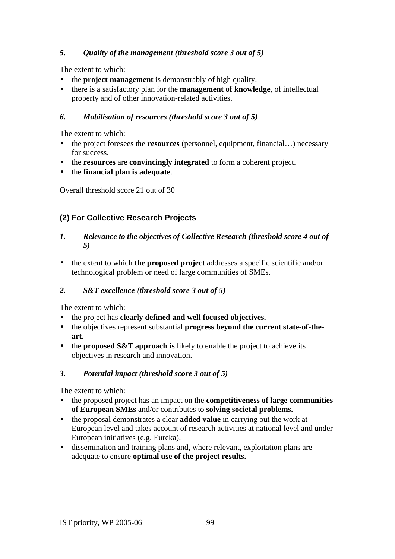### *5. Quality of the management (threshold score 3 out of 5)*

The extent to which:

- the **project management** is demonstrably of high quality.
- there is a satisfactory plan for the **management of knowledge**, of intellectual property and of other innovation-related activities.

#### *6. Mobilisation of resources (threshold score 3 out of 5)*

The extent to which:

- the project foresees the **resources** (personnel, equipment, financial...) necessary for success.
- the **resources** are **convincingly integrated** to form a coherent project.
- the **financial plan is adequate**.

Overall threshold score 21 out of 30

## **(2) For Collective Research Projects**

- *1. Relevance to the objectives of Collective Research (threshold score 4 out of 5)*
- the extent to which **the proposed project** addresses a specific scientific and/or technological problem or need of large communities of SMEs.

#### *2. S&T excellence (threshold score 3 out of 5)*

The extent to which:

- the project has **clearly defined and well focused objectives.**
- the objectives represent substantial **progress beyond the current state-of-theart.**
- the **proposed S&T** approach is likely to enable the project to achieve its objectives in research and innovation.

#### *3. Potential impact (threshold score 3 out of 5)*

- the proposed project has an impact on the **competitiveness of large communities of European SMEs** and/or contributes to **solving societal problems.**
- the proposal demonstrates a clear **added value** in carrying out the work at European level and takes account of research activities at national level and under European initiatives (e.g. Eureka).
- dissemination and training plans and, where relevant, exploitation plans are adequate to ensure **optimal use of the project results.**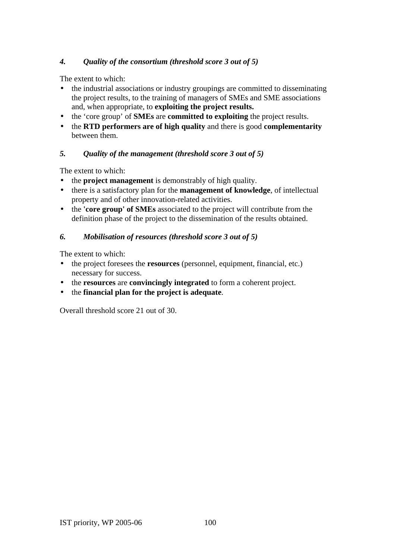### *4. Quality of the consortium (threshold score 3 out of 5)*

The extent to which:

- the industrial associations or industry groupings are committed to disseminating the project results, to the training of managers of SMEs and SME associations and, when appropriate, to **exploiting the project results.**
- the 'core group' of **SMEs** are **committed to exploiting** the project results.
- the **RTD performers are of high quality** and there is good **complementarity**  between them.

#### *5. Quality of the management (threshold score 3 out of 5)*

The extent to which:

- the **project management** is demonstrably of high quality.
- there is a satisfactory plan for the **management of knowledge**, of intellectual property and of other innovation-related activities.
- the **'core group' of SMEs** associated to the project will contribute from the definition phase of the project to the dissemination of the results obtained.

#### *6. Mobilisation of resources (threshold score 3 out of 5)*

The extent to which:

- the project foresees the **resources** (personnel, equipment, financial, etc.) necessary for success.
- the **resources** are **convincingly integrated** to form a coherent project.
- the **financial plan for the project is adequate**.

Overall threshold score 21 out of 30.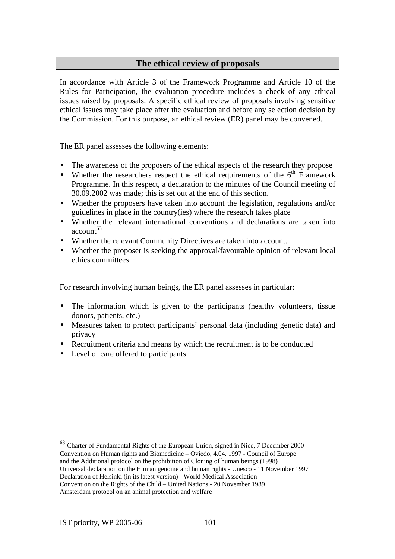## **The ethical review of proposals**

In accordance with Article 3 of the Framework Programme and Article 10 of the Rules for Participation, the evaluation procedure includes a check of any ethical issues raised by proposals. A specific ethical review of proposals involving sensitive ethical issues may take place after the evaluation and before any selection decision by the Commission. For this purpose, an ethical review (ER) panel may be convened.

The ER panel assesses the following elements:

- The awareness of the proposers of the ethical aspects of the research they propose
- Whether the researchers respect the ethical requirements of the  $6<sup>th</sup>$  Framework Programme. In this respect, a declaration to the minutes of the Council meeting of 30.09.2002 was made; this is set out at the end of this section.
- Whether the proposers have taken into account the legislation, regulations and/or guidelines in place in the country(ies) where the research takes place
- Whether the relevant international conventions and declarations are taken into  $account<sup>63</sup>$
- Whether the relevant Community Directives are taken into account.
- Whether the proposer is seeking the approval/favourable opinion of relevant local ethics committees

For research involving human beings, the ER panel assesses in particular:

- The information which is given to the participants (healthy volunteers, tissue donors, patients, etc.)
- Measures taken to protect participants' personal data (including genetic data) and privacy
- Recruitment criteria and means by which the recruitment is to be conducted
- Level of care offered to participants

<sup>63</sup> Charter of Fundamental Rights of the European Union, signed in Nice, 7 December 2000 Convention on Human rights and Biomedicine – Oviedo, 4.04. 1997 - Council of Europe and the Additional protocol on the prohibition of Cloning of human beings (1998) Universal declaration on the Human genome and human rights - Unesco - 11 November 1997 Declaration of Helsinki (in its latest version) - World Medical Association Convention on the Rights of the Child – United Nations - 20 November 1989

Amsterdam protocol on an animal protection and welfare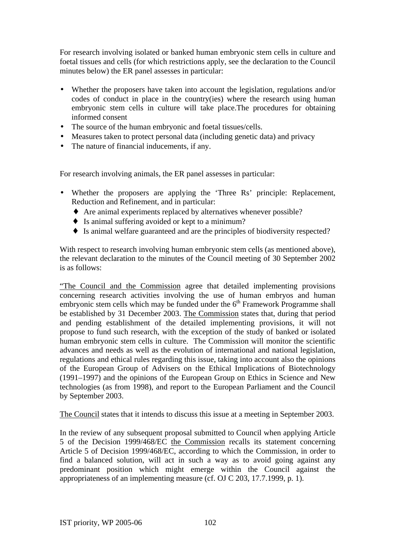For research involving isolated or banked human embryonic stem cells in culture and foetal tissues and cells (for which restrictions apply, see the declaration to the Council minutes below) the ER panel assesses in particular:

- Whether the proposers have taken into account the legislation, regulations and/or codes of conduct in place in the country(ies) where the research using human embryonic stem cells in culture will take place.The procedures for obtaining informed consent
- The source of the human embryonic and foetal tissues/cells.
- Measures taken to protect personal data (including genetic data) and privacy
- The nature of financial inducements, if any.

For research involving animals, the ER panel assesses in particular:

- Whether the proposers are applying the 'Three Rs' principle: Replacement, Reduction and Refinement, and in particular:
	- ♦ Are animal experiments replaced by alternatives whenever possible?
	- ♦ Is animal suffering avoided or kept to a minimum?
	- ♦ Is animal welfare guaranteed and are the principles of biodiversity respected?

With respect to research involving human embryonic stem cells (as mentioned above), the relevant declaration to the minutes of the Council meeting of 30 September 2002 is as follows:

"The Council and the Commission agree that detailed implementing provisions concerning research activities involving the use of human embryos and human embryonic stem cells which may be funded under the  $6<sup>th</sup>$  Framework Programme shall be established by 31 December 2003. The Commission states that, during that period and pending establishment of the detailed implementing provisions, it will not propose to fund such research, with the exception of the study of banked or isolated human embryonic stem cells in culture. The Commission will monitor the scientific advances and needs as well as the evolution of international and national legislation, regulations and ethical rules regarding this issue, taking into account also the opinions of the European Group of Advisers on the Ethical Implications of Biotechnology (1991–1997) and the opinions of the European Group on Ethics in Science and New technologies (as from 1998), and report to the European Parliament and the Council by September 2003.

The Council states that it intends to discuss this issue at a meeting in September 2003.

In the review of any subsequent proposal submitted to Council when applying Article 5 of the Decision 1999/468/EC the Commission recalls its statement concerning Article 5 of Decision 1999/468/EC, according to which the Commission, in order to find a balanced solution, will act in such a way as to avoid going against any predominant position which might emerge within the Council against the appropriateness of an implementing measure (cf. OJ C 203, 17.7.1999, p. 1).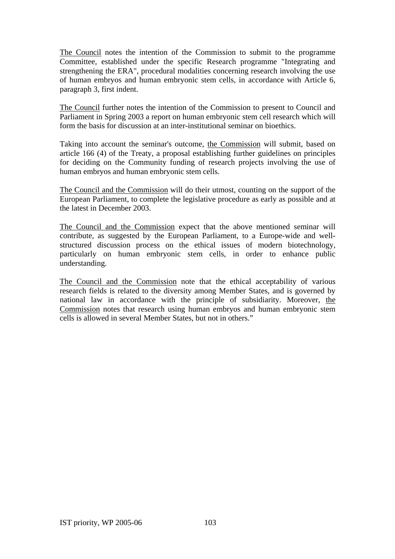The Council notes the intention of the Commission to submit to the programme Committee, established under the specific Research programme "Integrating and strengthening the ERA", procedural modalities concerning research involving the use of human embryos and human embryonic stem cells, in accordance with Article 6, paragraph 3, first indent.

The Council further notes the intention of the Commission to present to Council and Parliament in Spring 2003 a report on human embryonic stem cell research which will form the basis for discussion at an inter-institutional seminar on bioethics.

Taking into account the seminar's outcome, the Commission will submit, based on article 166 (4) of the Treaty, a proposal establishing further guidelines on principles for deciding on the Community funding of research projects involving the use of human embryos and human embryonic stem cells.

The Council and the Commission will do their utmost, counting on the support of the European Parliament, to complete the legislative procedure as early as possible and at the latest in December 2003.

The Council and the Commission expect that the above mentioned seminar will contribute, as suggested by the European Parliament, to a Europe-wide and wellstructured discussion process on the ethical issues of modern biotechnology, particularly on human embryonic stem cells, in order to enhance public understanding.

The Council and the Commission note that the ethical acceptability of various research fields is related to the diversity among Member States, and is governed by national law in accordance with the principle of subsidiarity. Moreover, the Commission notes that research using human embryos and human embryonic stem cells is allowed in several Member States, but not in others."